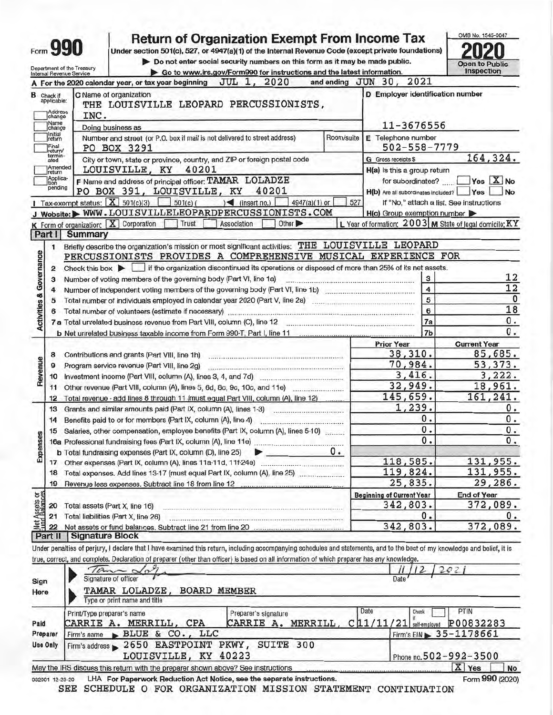| Do not enter social security numbers on this form as it may be made public.<br><b>Open to Public</b><br>Department of the Treasury<br><b>Inspection</b><br>Go to www.irs.gov/Form990 for instructions and the latest information.<br>Internal Revenue Service<br>2021<br><b>JUL 1, 2020</b><br>and ending JUN 30,<br>For the 2020 calendar year, or tax year beginning<br>C Name of organization<br>D Employer identification number<br>THE LOUISVILLE LEOPARD PERCUSSIONISTS,<br>Address<br>INC.<br>change<br>11-3676556<br>Doing business as<br>change<br>E Telephone number<br>Number and street (or P.O. box if mail is not delivered to street address)<br>Room/suite<br>return<br>Final<br>502-558-7779<br><b>PO BOX 3291</b><br>return/<br>termin-<br>City or town, state or province, country, and ZIP or foreign postal code<br>G Gross receipts \$<br>ated<br>Amended<br>LOUISVILLE, KY 40201<br>H(a) is this a group return<br>return<br>Applica-<br>tion<br>F Name and address of principal officer: TAMAR LOLADZE<br>Yes X No<br>for subordinates?<br>pending<br>PO BOX 391, LOUISVILLE, KY<br>40201<br>H(b) Are all subordinates included?<br><b>Yes</b><br>Tax-exempt status: $\boxed{\mathbf{X}}$ 501(c)(3)<br>$\leq$ (insert no.)<br>$501(c)$ (<br>4947(a)(1) or<br>527<br>If "No," attach a list. See instructions<br>J Website: WWW.LOUISVILLELEOPARDPERCUSSIONISTS.COM<br>$H(c)$ Group exemption number<br>$K$ Form of organization: $\boxed{X}$ Corporation<br>L Year of formation: 2003 M State of legal domicile: KY<br>Trust<br>Association<br>Other ><br><b>Summary</b><br>Part I<br>Briefly describe the organization's mission or most significant activities: THE LOUISVILLE LEOPARD<br>1<br>PERCUSSIONISTS PROVIDES A COMPREHENSIVE MUSICAL EXPERIENCE FOR<br>Check this box in it the organization discontinued its operations or disposed of more than 25% of its net assets.<br>$\overline{2}$<br>12<br>Number of voting members of the governing body (Part VI, line 1a)<br>3<br>3<br>12<br>$\overline{4}$<br>4<br>5<br>5<br>6<br>Total number of volunteers (estimate if necessary) manufactured and contact the control of volunteers (estimate if necessary)<br><b>7a</b><br>7 <sub>b</sub><br><b>Prior Year</b><br><b>Current Year</b><br>38,310.<br>8<br>Contributions and grants (Part VIII, line 1h)<br>70,984.<br>Program service revenue (Part VIII, line 2g)<br>9<br>3,416.<br>10<br>32,949.<br>18,961.<br>11<br>145,659.<br>161,241.<br>Total revenue - add lines 8 through 11 (must equal Part VIII, column (A), line 12)<br>12<br>1,239.<br>Grants and similar amounts paid (Part IX, column (A), lines 1-3)<br>13<br>www.communication.com<br>0.<br>0.<br>Benefits paid to or for members (Part IX, column (A), line 4)<br>14<br>,,,,,,,,,,,,,,,,,,,,,,,,,,,,,,,,,,,,,<br>$\mathbf 0$ .<br>$\overline{\mathbf{0}}$ .<br>Salaries, other compensation, employee benefits (Part IX, column (A), lines 5-10)<br>15<br>0.<br>0.<br>ο.<br>b Total fundraising expenses (Part IX, column (D), line 25)<br>118,585.<br>131,955.<br>119,824.<br>131,955.<br>18<br>25,835.<br>19<br><b>Beginning of Current Year</b><br><b>End of Year</b><br>342,803.<br>Total assets (Part X, line 16)<br>0<br>Total liabilities (Part X, line 26) | Form <b>990</b>                                  | <b>Return of Organization Exempt From Income Tax</b><br>Under section 501(c), 527, or 4947(a)(1) of the Internal Revenue Code (except private foundations) |          |             |
|----------------------------------------------------------------------------------------------------------------------------------------------------------------------------------------------------------------------------------------------------------------------------------------------------------------------------------------------------------------------------------------------------------------------------------------------------------------------------------------------------------------------------------------------------------------------------------------------------------------------------------------------------------------------------------------------------------------------------------------------------------------------------------------------------------------------------------------------------------------------------------------------------------------------------------------------------------------------------------------------------------------------------------------------------------------------------------------------------------------------------------------------------------------------------------------------------------------------------------------------------------------------------------------------------------------------------------------------------------------------------------------------------------------------------------------------------------------------------------------------------------------------------------------------------------------------------------------------------------------------------------------------------------------------------------------------------------------------------------------------------------------------------------------------------------------------------------------------------------------------------------------------------------------------------------------------------------------------------------------------------------------------------------------------------------------------------------------------------------------------------------------------------------------------------------------------------------------------------------------------------------------------------------------------------------------------------------------------------------------------------------------------------------------------------------------------------------------------------------------------------------------------------------------------------------------------------------------------------------------------------------------------------------------------------------------------------------------------------------------------------------------------------------------------------------------------------------------------------------------------------------------------------------------------------------------------------------------------------------------------------------------------------------------------------------------------------------------------------------------------------------------------------------------------------------------------------------------------------------------------------------------------------|--------------------------------------------------|------------------------------------------------------------------------------------------------------------------------------------------------------------|----------|-------------|
|                                                                                                                                                                                                                                                                                                                                                                                                                                                                                                                                                                                                                                                                                                                                                                                                                                                                                                                                                                                                                                                                                                                                                                                                                                                                                                                                                                                                                                                                                                                                                                                                                                                                                                                                                                                                                                                                                                                                                                                                                                                                                                                                                                                                                                                                                                                                                                                                                                                                                                                                                                                                                                                                                                                                                                                                                                                                                                                                                                                                                                                                                                                                                                                                                                                                            |                                                  |                                                                                                                                                            |          |             |
|                                                                                                                                                                                                                                                                                                                                                                                                                                                                                                                                                                                                                                                                                                                                                                                                                                                                                                                                                                                                                                                                                                                                                                                                                                                                                                                                                                                                                                                                                                                                                                                                                                                                                                                                                                                                                                                                                                                                                                                                                                                                                                                                                                                                                                                                                                                                                                                                                                                                                                                                                                                                                                                                                                                                                                                                                                                                                                                                                                                                                                                                                                                                                                                                                                                                            |                                                  |                                                                                                                                                            |          |             |
|                                                                                                                                                                                                                                                                                                                                                                                                                                                                                                                                                                                                                                                                                                                                                                                                                                                                                                                                                                                                                                                                                                                                                                                                                                                                                                                                                                                                                                                                                                                                                                                                                                                                                                                                                                                                                                                                                                                                                                                                                                                                                                                                                                                                                                                                                                                                                                                                                                                                                                                                                                                                                                                                                                                                                                                                                                                                                                                                                                                                                                                                                                                                                                                                                                                                            |                                                  |                                                                                                                                                            |          |             |
|                                                                                                                                                                                                                                                                                                                                                                                                                                                                                                                                                                                                                                                                                                                                                                                                                                                                                                                                                                                                                                                                                                                                                                                                                                                                                                                                                                                                                                                                                                                                                                                                                                                                                                                                                                                                                                                                                                                                                                                                                                                                                                                                                                                                                                                                                                                                                                                                                                                                                                                                                                                                                                                                                                                                                                                                                                                                                                                                                                                                                                                                                                                                                                                                                                                                            | <b>B</b> Check if<br>applicable:                 |                                                                                                                                                            |          |             |
|                                                                                                                                                                                                                                                                                                                                                                                                                                                                                                                                                                                                                                                                                                                                                                                                                                                                                                                                                                                                                                                                                                                                                                                                                                                                                                                                                                                                                                                                                                                                                                                                                                                                                                                                                                                                                                                                                                                                                                                                                                                                                                                                                                                                                                                                                                                                                                                                                                                                                                                                                                                                                                                                                                                                                                                                                                                                                                                                                                                                                                                                                                                                                                                                                                                                            | Name                                             |                                                                                                                                                            |          |             |
|                                                                                                                                                                                                                                                                                                                                                                                                                                                                                                                                                                                                                                                                                                                                                                                                                                                                                                                                                                                                                                                                                                                                                                                                                                                                                                                                                                                                                                                                                                                                                                                                                                                                                                                                                                                                                                                                                                                                                                                                                                                                                                                                                                                                                                                                                                                                                                                                                                                                                                                                                                                                                                                                                                                                                                                                                                                                                                                                                                                                                                                                                                                                                                                                                                                                            | Initial                                          |                                                                                                                                                            |          |             |
|                                                                                                                                                                                                                                                                                                                                                                                                                                                                                                                                                                                                                                                                                                                                                                                                                                                                                                                                                                                                                                                                                                                                                                                                                                                                                                                                                                                                                                                                                                                                                                                                                                                                                                                                                                                                                                                                                                                                                                                                                                                                                                                                                                                                                                                                                                                                                                                                                                                                                                                                                                                                                                                                                                                                                                                                                                                                                                                                                                                                                                                                                                                                                                                                                                                                            |                                                  |                                                                                                                                                            |          |             |
|                                                                                                                                                                                                                                                                                                                                                                                                                                                                                                                                                                                                                                                                                                                                                                                                                                                                                                                                                                                                                                                                                                                                                                                                                                                                                                                                                                                                                                                                                                                                                                                                                                                                                                                                                                                                                                                                                                                                                                                                                                                                                                                                                                                                                                                                                                                                                                                                                                                                                                                                                                                                                                                                                                                                                                                                                                                                                                                                                                                                                                                                                                                                                                                                                                                                            |                                                  |                                                                                                                                                            |          | 164,324.    |
|                                                                                                                                                                                                                                                                                                                                                                                                                                                                                                                                                                                                                                                                                                                                                                                                                                                                                                                                                                                                                                                                                                                                                                                                                                                                                                                                                                                                                                                                                                                                                                                                                                                                                                                                                                                                                                                                                                                                                                                                                                                                                                                                                                                                                                                                                                                                                                                                                                                                                                                                                                                                                                                                                                                                                                                                                                                                                                                                                                                                                                                                                                                                                                                                                                                                            |                                                  |                                                                                                                                                            |          |             |
|                                                                                                                                                                                                                                                                                                                                                                                                                                                                                                                                                                                                                                                                                                                                                                                                                                                                                                                                                                                                                                                                                                                                                                                                                                                                                                                                                                                                                                                                                                                                                                                                                                                                                                                                                                                                                                                                                                                                                                                                                                                                                                                                                                                                                                                                                                                                                                                                                                                                                                                                                                                                                                                                                                                                                                                                                                                                                                                                                                                                                                                                                                                                                                                                                                                                            |                                                  |                                                                                                                                                            |          | <b>No</b>   |
|                                                                                                                                                                                                                                                                                                                                                                                                                                                                                                                                                                                                                                                                                                                                                                                                                                                                                                                                                                                                                                                                                                                                                                                                                                                                                                                                                                                                                                                                                                                                                                                                                                                                                                                                                                                                                                                                                                                                                                                                                                                                                                                                                                                                                                                                                                                                                                                                                                                                                                                                                                                                                                                                                                                                                                                                                                                                                                                                                                                                                                                                                                                                                                                                                                                                            |                                                  |                                                                                                                                                            |          |             |
|                                                                                                                                                                                                                                                                                                                                                                                                                                                                                                                                                                                                                                                                                                                                                                                                                                                                                                                                                                                                                                                                                                                                                                                                                                                                                                                                                                                                                                                                                                                                                                                                                                                                                                                                                                                                                                                                                                                                                                                                                                                                                                                                                                                                                                                                                                                                                                                                                                                                                                                                                                                                                                                                                                                                                                                                                                                                                                                                                                                                                                                                                                                                                                                                                                                                            |                                                  |                                                                                                                                                            |          |             |
|                                                                                                                                                                                                                                                                                                                                                                                                                                                                                                                                                                                                                                                                                                                                                                                                                                                                                                                                                                                                                                                                                                                                                                                                                                                                                                                                                                                                                                                                                                                                                                                                                                                                                                                                                                                                                                                                                                                                                                                                                                                                                                                                                                                                                                                                                                                                                                                                                                                                                                                                                                                                                                                                                                                                                                                                                                                                                                                                                                                                                                                                                                                                                                                                                                                                            |                                                  |                                                                                                                                                            |          |             |
|                                                                                                                                                                                                                                                                                                                                                                                                                                                                                                                                                                                                                                                                                                                                                                                                                                                                                                                                                                                                                                                                                                                                                                                                                                                                                                                                                                                                                                                                                                                                                                                                                                                                                                                                                                                                                                                                                                                                                                                                                                                                                                                                                                                                                                                                                                                                                                                                                                                                                                                                                                                                                                                                                                                                                                                                                                                                                                                                                                                                                                                                                                                                                                                                                                                                            |                                                  |                                                                                                                                                            |          |             |
|                                                                                                                                                                                                                                                                                                                                                                                                                                                                                                                                                                                                                                                                                                                                                                                                                                                                                                                                                                                                                                                                                                                                                                                                                                                                                                                                                                                                                                                                                                                                                                                                                                                                                                                                                                                                                                                                                                                                                                                                                                                                                                                                                                                                                                                                                                                                                                                                                                                                                                                                                                                                                                                                                                                                                                                                                                                                                                                                                                                                                                                                                                                                                                                                                                                                            |                                                  |                                                                                                                                                            |          |             |
|                                                                                                                                                                                                                                                                                                                                                                                                                                                                                                                                                                                                                                                                                                                                                                                                                                                                                                                                                                                                                                                                                                                                                                                                                                                                                                                                                                                                                                                                                                                                                                                                                                                                                                                                                                                                                                                                                                                                                                                                                                                                                                                                                                                                                                                                                                                                                                                                                                                                                                                                                                                                                                                                                                                                                                                                                                                                                                                                                                                                                                                                                                                                                                                                                                                                            |                                                  |                                                                                                                                                            |          |             |
|                                                                                                                                                                                                                                                                                                                                                                                                                                                                                                                                                                                                                                                                                                                                                                                                                                                                                                                                                                                                                                                                                                                                                                                                                                                                                                                                                                                                                                                                                                                                                                                                                                                                                                                                                                                                                                                                                                                                                                                                                                                                                                                                                                                                                                                                                                                                                                                                                                                                                                                                                                                                                                                                                                                                                                                                                                                                                                                                                                                                                                                                                                                                                                                                                                                                            |                                                  |                                                                                                                                                            |          |             |
|                                                                                                                                                                                                                                                                                                                                                                                                                                                                                                                                                                                                                                                                                                                                                                                                                                                                                                                                                                                                                                                                                                                                                                                                                                                                                                                                                                                                                                                                                                                                                                                                                                                                                                                                                                                                                                                                                                                                                                                                                                                                                                                                                                                                                                                                                                                                                                                                                                                                                                                                                                                                                                                                                                                                                                                                                                                                                                                                                                                                                                                                                                                                                                                                                                                                            |                                                  |                                                                                                                                                            |          |             |
|                                                                                                                                                                                                                                                                                                                                                                                                                                                                                                                                                                                                                                                                                                                                                                                                                                                                                                                                                                                                                                                                                                                                                                                                                                                                                                                                                                                                                                                                                                                                                                                                                                                                                                                                                                                                                                                                                                                                                                                                                                                                                                                                                                                                                                                                                                                                                                                                                                                                                                                                                                                                                                                                                                                                                                                                                                                                                                                                                                                                                                                                                                                                                                                                                                                                            |                                                  |                                                                                                                                                            |          | $\mathbf 0$ |
|                                                                                                                                                                                                                                                                                                                                                                                                                                                                                                                                                                                                                                                                                                                                                                                                                                                                                                                                                                                                                                                                                                                                                                                                                                                                                                                                                                                                                                                                                                                                                                                                                                                                                                                                                                                                                                                                                                                                                                                                                                                                                                                                                                                                                                                                                                                                                                                                                                                                                                                                                                                                                                                                                                                                                                                                                                                                                                                                                                                                                                                                                                                                                                                                                                                                            |                                                  |                                                                                                                                                            |          | 18          |
|                                                                                                                                                                                                                                                                                                                                                                                                                                                                                                                                                                                                                                                                                                                                                                                                                                                                                                                                                                                                                                                                                                                                                                                                                                                                                                                                                                                                                                                                                                                                                                                                                                                                                                                                                                                                                                                                                                                                                                                                                                                                                                                                                                                                                                                                                                                                                                                                                                                                                                                                                                                                                                                                                                                                                                                                                                                                                                                                                                                                                                                                                                                                                                                                                                                                            |                                                  |                                                                                                                                                            |          | 0.          |
|                                                                                                                                                                                                                                                                                                                                                                                                                                                                                                                                                                                                                                                                                                                                                                                                                                                                                                                                                                                                                                                                                                                                                                                                                                                                                                                                                                                                                                                                                                                                                                                                                                                                                                                                                                                                                                                                                                                                                                                                                                                                                                                                                                                                                                                                                                                                                                                                                                                                                                                                                                                                                                                                                                                                                                                                                                                                                                                                                                                                                                                                                                                                                                                                                                                                            |                                                  |                                                                                                                                                            |          | 0.          |
|                                                                                                                                                                                                                                                                                                                                                                                                                                                                                                                                                                                                                                                                                                                                                                                                                                                                                                                                                                                                                                                                                                                                                                                                                                                                                                                                                                                                                                                                                                                                                                                                                                                                                                                                                                                                                                                                                                                                                                                                                                                                                                                                                                                                                                                                                                                                                                                                                                                                                                                                                                                                                                                                                                                                                                                                                                                                                                                                                                                                                                                                                                                                                                                                                                                                            |                                                  |                                                                                                                                                            |          |             |
|                                                                                                                                                                                                                                                                                                                                                                                                                                                                                                                                                                                                                                                                                                                                                                                                                                                                                                                                                                                                                                                                                                                                                                                                                                                                                                                                                                                                                                                                                                                                                                                                                                                                                                                                                                                                                                                                                                                                                                                                                                                                                                                                                                                                                                                                                                                                                                                                                                                                                                                                                                                                                                                                                                                                                                                                                                                                                                                                                                                                                                                                                                                                                                                                                                                                            |                                                  |                                                                                                                                                            |          | 85,685.     |
|                                                                                                                                                                                                                                                                                                                                                                                                                                                                                                                                                                                                                                                                                                                                                                                                                                                                                                                                                                                                                                                                                                                                                                                                                                                                                                                                                                                                                                                                                                                                                                                                                                                                                                                                                                                                                                                                                                                                                                                                                                                                                                                                                                                                                                                                                                                                                                                                                                                                                                                                                                                                                                                                                                                                                                                                                                                                                                                                                                                                                                                                                                                                                                                                                                                                            |                                                  |                                                                                                                                                            |          | 53, 373.    |
|                                                                                                                                                                                                                                                                                                                                                                                                                                                                                                                                                                                                                                                                                                                                                                                                                                                                                                                                                                                                                                                                                                                                                                                                                                                                                                                                                                                                                                                                                                                                                                                                                                                                                                                                                                                                                                                                                                                                                                                                                                                                                                                                                                                                                                                                                                                                                                                                                                                                                                                                                                                                                                                                                                                                                                                                                                                                                                                                                                                                                                                                                                                                                                                                                                                                            |                                                  |                                                                                                                                                            |          | 3,222.      |
|                                                                                                                                                                                                                                                                                                                                                                                                                                                                                                                                                                                                                                                                                                                                                                                                                                                                                                                                                                                                                                                                                                                                                                                                                                                                                                                                                                                                                                                                                                                                                                                                                                                                                                                                                                                                                                                                                                                                                                                                                                                                                                                                                                                                                                                                                                                                                                                                                                                                                                                                                                                                                                                                                                                                                                                                                                                                                                                                                                                                                                                                                                                                                                                                                                                                            |                                                  |                                                                                                                                                            |          |             |
|                                                                                                                                                                                                                                                                                                                                                                                                                                                                                                                                                                                                                                                                                                                                                                                                                                                                                                                                                                                                                                                                                                                                                                                                                                                                                                                                                                                                                                                                                                                                                                                                                                                                                                                                                                                                                                                                                                                                                                                                                                                                                                                                                                                                                                                                                                                                                                                                                                                                                                                                                                                                                                                                                                                                                                                                                                                                                                                                                                                                                                                                                                                                                                                                                                                                            |                                                  |                                                                                                                                                            |          |             |
|                                                                                                                                                                                                                                                                                                                                                                                                                                                                                                                                                                                                                                                                                                                                                                                                                                                                                                                                                                                                                                                                                                                                                                                                                                                                                                                                                                                                                                                                                                                                                                                                                                                                                                                                                                                                                                                                                                                                                                                                                                                                                                                                                                                                                                                                                                                                                                                                                                                                                                                                                                                                                                                                                                                                                                                                                                                                                                                                                                                                                                                                                                                                                                                                                                                                            |                                                  |                                                                                                                                                            |          | 0.          |
|                                                                                                                                                                                                                                                                                                                                                                                                                                                                                                                                                                                                                                                                                                                                                                                                                                                                                                                                                                                                                                                                                                                                                                                                                                                                                                                                                                                                                                                                                                                                                                                                                                                                                                                                                                                                                                                                                                                                                                                                                                                                                                                                                                                                                                                                                                                                                                                                                                                                                                                                                                                                                                                                                                                                                                                                                                                                                                                                                                                                                                                                                                                                                                                                                                                                            |                                                  |                                                                                                                                                            |          |             |
|                                                                                                                                                                                                                                                                                                                                                                                                                                                                                                                                                                                                                                                                                                                                                                                                                                                                                                                                                                                                                                                                                                                                                                                                                                                                                                                                                                                                                                                                                                                                                                                                                                                                                                                                                                                                                                                                                                                                                                                                                                                                                                                                                                                                                                                                                                                                                                                                                                                                                                                                                                                                                                                                                                                                                                                                                                                                                                                                                                                                                                                                                                                                                                                                                                                                            |                                                  |                                                                                                                                                            |          |             |
|                                                                                                                                                                                                                                                                                                                                                                                                                                                                                                                                                                                                                                                                                                                                                                                                                                                                                                                                                                                                                                                                                                                                                                                                                                                                                                                                                                                                                                                                                                                                                                                                                                                                                                                                                                                                                                                                                                                                                                                                                                                                                                                                                                                                                                                                                                                                                                                                                                                                                                                                                                                                                                                                                                                                                                                                                                                                                                                                                                                                                                                                                                                                                                                                                                                                            |                                                  |                                                                                                                                                            |          |             |
|                                                                                                                                                                                                                                                                                                                                                                                                                                                                                                                                                                                                                                                                                                                                                                                                                                                                                                                                                                                                                                                                                                                                                                                                                                                                                                                                                                                                                                                                                                                                                                                                                                                                                                                                                                                                                                                                                                                                                                                                                                                                                                                                                                                                                                                                                                                                                                                                                                                                                                                                                                                                                                                                                                                                                                                                                                                                                                                                                                                                                                                                                                                                                                                                                                                                            |                                                  |                                                                                                                                                            |          |             |
|                                                                                                                                                                                                                                                                                                                                                                                                                                                                                                                                                                                                                                                                                                                                                                                                                                                                                                                                                                                                                                                                                                                                                                                                                                                                                                                                                                                                                                                                                                                                                                                                                                                                                                                                                                                                                                                                                                                                                                                                                                                                                                                                                                                                                                                                                                                                                                                                                                                                                                                                                                                                                                                                                                                                                                                                                                                                                                                                                                                                                                                                                                                                                                                                                                                                            |                                                  |                                                                                                                                                            |          |             |
|                                                                                                                                                                                                                                                                                                                                                                                                                                                                                                                                                                                                                                                                                                                                                                                                                                                                                                                                                                                                                                                                                                                                                                                                                                                                                                                                                                                                                                                                                                                                                                                                                                                                                                                                                                                                                                                                                                                                                                                                                                                                                                                                                                                                                                                                                                                                                                                                                                                                                                                                                                                                                                                                                                                                                                                                                                                                                                                                                                                                                                                                                                                                                                                                                                                                            |                                                  |                                                                                                                                                            |          | 29,286.     |
|                                                                                                                                                                                                                                                                                                                                                                                                                                                                                                                                                                                                                                                                                                                                                                                                                                                                                                                                                                                                                                                                                                                                                                                                                                                                                                                                                                                                                                                                                                                                                                                                                                                                                                                                                                                                                                                                                                                                                                                                                                                                                                                                                                                                                                                                                                                                                                                                                                                                                                                                                                                                                                                                                                                                                                                                                                                                                                                                                                                                                                                                                                                                                                                                                                                                            |                                                  |                                                                                                                                                            |          |             |
|                                                                                                                                                                                                                                                                                                                                                                                                                                                                                                                                                                                                                                                                                                                                                                                                                                                                                                                                                                                                                                                                                                                                                                                                                                                                                                                                                                                                                                                                                                                                                                                                                                                                                                                                                                                                                                                                                                                                                                                                                                                                                                                                                                                                                                                                                                                                                                                                                                                                                                                                                                                                                                                                                                                                                                                                                                                                                                                                                                                                                                                                                                                                                                                                                                                                            | 20                                               |                                                                                                                                                            |          | 372,089.    |
|                                                                                                                                                                                                                                                                                                                                                                                                                                                                                                                                                                                                                                                                                                                                                                                                                                                                                                                                                                                                                                                                                                                                                                                                                                                                                                                                                                                                                                                                                                                                                                                                                                                                                                                                                                                                                                                                                                                                                                                                                                                                                                                                                                                                                                                                                                                                                                                                                                                                                                                                                                                                                                                                                                                                                                                                                                                                                                                                                                                                                                                                                                                                                                                                                                                                            |                                                  |                                                                                                                                                            |          | 0.          |
|                                                                                                                                                                                                                                                                                                                                                                                                                                                                                                                                                                                                                                                                                                                                                                                                                                                                                                                                                                                                                                                                                                                                                                                                                                                                                                                                                                                                                                                                                                                                                                                                                                                                                                                                                                                                                                                                                                                                                                                                                                                                                                                                                                                                                                                                                                                                                                                                                                                                                                                                                                                                                                                                                                                                                                                                                                                                                                                                                                                                                                                                                                                                                                                                                                                                            |                                                  |                                                                                                                                                            |          | 372,089.    |
| Signature Block                                                                                                                                                                                                                                                                                                                                                                                                                                                                                                                                                                                                                                                                                                                                                                                                                                                                                                                                                                                                                                                                                                                                                                                                                                                                                                                                                                                                                                                                                                                                                                                                                                                                                                                                                                                                                                                                                                                                                                                                                                                                                                                                                                                                                                                                                                                                                                                                                                                                                                                                                                                                                                                                                                                                                                                                                                                                                                                                                                                                                                                                                                                                                                                                                                                            | t Assets or<br>d Balances<br>21<br>22<br>Part II |                                                                                                                                                            | 342,803. |             |
|                                                                                                                                                                                                                                                                                                                                                                                                                                                                                                                                                                                                                                                                                                                                                                                                                                                                                                                                                                                                                                                                                                                                                                                                                                                                                                                                                                                                                                                                                                                                                                                                                                                                                                                                                                                                                                                                                                                                                                                                                                                                                                                                                                                                                                                                                                                                                                                                                                                                                                                                                                                                                                                                                                                                                                                                                                                                                                                                                                                                                                                                                                                                                                                                                                                                            |                                                  |                                                                                                                                                            |          |             |
| Under penalties of perjury, I declare that I have examined this return, including accompanying schedules and statements, and to the best of my knowledge and belief, it is                                                                                                                                                                                                                                                                                                                                                                                                                                                                                                                                                                                                                                                                                                                                                                                                                                                                                                                                                                                                                                                                                                                                                                                                                                                                                                                                                                                                                                                                                                                                                                                                                                                                                                                                                                                                                                                                                                                                                                                                                                                                                                                                                                                                                                                                                                                                                                                                                                                                                                                                                                                                                                                                                                                                                                                                                                                                                                                                                                                                                                                                                                 |                                                  |                                                                                                                                                            |          |             |
| true, correct, and complete. Declaration of preparer (other than officer) is based on all information of which preparer has any knowledge.                                                                                                                                                                                                                                                                                                                                                                                                                                                                                                                                                                                                                                                                                                                                                                                                                                                                                                                                                                                                                                                                                                                                                                                                                                                                                                                                                                                                                                                                                                                                                                                                                                                                                                                                                                                                                                                                                                                                                                                                                                                                                                                                                                                                                                                                                                                                                                                                                                                                                                                                                                                                                                                                                                                                                                                                                                                                                                                                                                                                                                                                                                                                 |                                                  |                                                                                                                                                            |          |             |
| 1, 3, 3<br>202                                                                                                                                                                                                                                                                                                                                                                                                                                                                                                                                                                                                                                                                                                                                                                                                                                                                                                                                                                                                                                                                                                                                                                                                                                                                                                                                                                                                                                                                                                                                                                                                                                                                                                                                                                                                                                                                                                                                                                                                                                                                                                                                                                                                                                                                                                                                                                                                                                                                                                                                                                                                                                                                                                                                                                                                                                                                                                                                                                                                                                                                                                                                                                                                                                                             | Sign                                             |                                                                                                                                                            |          |             |
| Signature of officer<br>Date                                                                                                                                                                                                                                                                                                                                                                                                                                                                                                                                                                                                                                                                                                                                                                                                                                                                                                                                                                                                                                                                                                                                                                                                                                                                                                                                                                                                                                                                                                                                                                                                                                                                                                                                                                                                                                                                                                                                                                                                                                                                                                                                                                                                                                                                                                                                                                                                                                                                                                                                                                                                                                                                                                                                                                                                                                                                                                                                                                                                                                                                                                                                                                                                                                               |                                                  |                                                                                                                                                            |          |             |
| TAMAR LOLADZE, BOARD MEMBER<br>Here                                                                                                                                                                                                                                                                                                                                                                                                                                                                                                                                                                                                                                                                                                                                                                                                                                                                                                                                                                                                                                                                                                                                                                                                                                                                                                                                                                                                                                                                                                                                                                                                                                                                                                                                                                                                                                                                                                                                                                                                                                                                                                                                                                                                                                                                                                                                                                                                                                                                                                                                                                                                                                                                                                                                                                                                                                                                                                                                                                                                                                                                                                                                                                                                                                        |                                                  |                                                                                                                                                            |          |             |
| Type or print name and title                                                                                                                                                                                                                                                                                                                                                                                                                                                                                                                                                                                                                                                                                                                                                                                                                                                                                                                                                                                                                                                                                                                                                                                                                                                                                                                                                                                                                                                                                                                                                                                                                                                                                                                                                                                                                                                                                                                                                                                                                                                                                                                                                                                                                                                                                                                                                                                                                                                                                                                                                                                                                                                                                                                                                                                                                                                                                                                                                                                                                                                                                                                                                                                                                                               |                                                  |                                                                                                                                                            |          |             |
| Date<br>PTIN<br>Check<br>Print/Type preparer's name<br>Preparer's signature                                                                                                                                                                                                                                                                                                                                                                                                                                                                                                                                                                                                                                                                                                                                                                                                                                                                                                                                                                                                                                                                                                                                                                                                                                                                                                                                                                                                                                                                                                                                                                                                                                                                                                                                                                                                                                                                                                                                                                                                                                                                                                                                                                                                                                                                                                                                                                                                                                                                                                                                                                                                                                                                                                                                                                                                                                                                                                                                                                                                                                                                                                                                                                                                |                                                  |                                                                                                                                                            |          |             |
| CARRIE A. MERRILL, CPA<br>$C$ 11/11/21 self-employed<br>CARRIE A. MERRILL,<br>P00832283                                                                                                                                                                                                                                                                                                                                                                                                                                                                                                                                                                                                                                                                                                                                                                                                                                                                                                                                                                                                                                                                                                                                                                                                                                                                                                                                                                                                                                                                                                                                                                                                                                                                                                                                                                                                                                                                                                                                                                                                                                                                                                                                                                                                                                                                                                                                                                                                                                                                                                                                                                                                                                                                                                                                                                                                                                                                                                                                                                                                                                                                                                                                                                                    |                                                  |                                                                                                                                                            |          |             |
| BLUE & CO., LLC<br>Firm's EIN > 35-1178661<br>Preparer<br>Firm's name                                                                                                                                                                                                                                                                                                                                                                                                                                                                                                                                                                                                                                                                                                                                                                                                                                                                                                                                                                                                                                                                                                                                                                                                                                                                                                                                                                                                                                                                                                                                                                                                                                                                                                                                                                                                                                                                                                                                                                                                                                                                                                                                                                                                                                                                                                                                                                                                                                                                                                                                                                                                                                                                                                                                                                                                                                                                                                                                                                                                                                                                                                                                                                                                      |                                                  |                                                                                                                                                            |          |             |
| Firm's address 2650 EASTPOINT PKWY, SUITE 300<br><b>Use Only</b>                                                                                                                                                                                                                                                                                                                                                                                                                                                                                                                                                                                                                                                                                                                                                                                                                                                                                                                                                                                                                                                                                                                                                                                                                                                                                                                                                                                                                                                                                                                                                                                                                                                                                                                                                                                                                                                                                                                                                                                                                                                                                                                                                                                                                                                                                                                                                                                                                                                                                                                                                                                                                                                                                                                                                                                                                                                                                                                                                                                                                                                                                                                                                                                                           |                                                  |                                                                                                                                                            |          | <b>No</b>   |
| LOUISVILLE, KY 40223<br>Phone no.502-992-3500<br>X Yes<br>May the IRS discuss this return with the preparer shown above? See instructions                                                                                                                                                                                                                                                                                                                                                                                                                                                                                                                                                                                                                                                                                                                                                                                                                                                                                                                                                                                                                                                                                                                                                                                                                                                                                                                                                                                                                                                                                                                                                                                                                                                                                                                                                                                                                                                                                                                                                                                                                                                                                                                                                                                                                                                                                                                                                                                                                                                                                                                                                                                                                                                                                                                                                                                                                                                                                                                                                                                                                                                                                                                                  |                                                  |                                                                                                                                                            |          |             |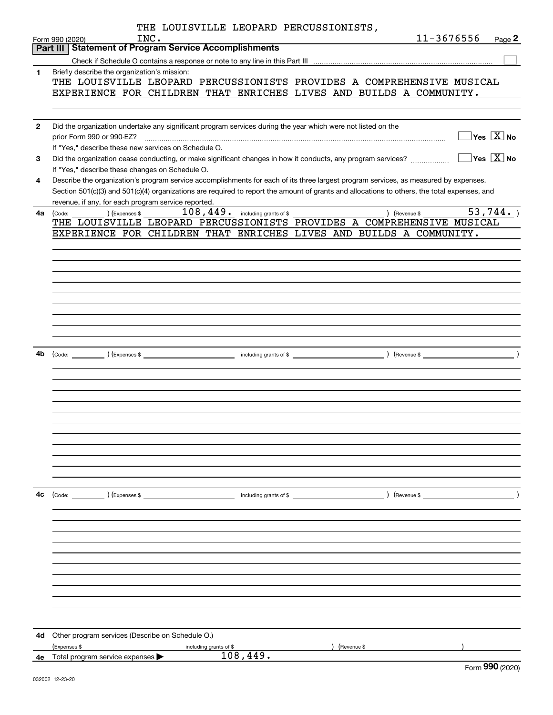|              | THE LOUISVILLE LEOPARD PERCUSSIONISTS,                                                                                                                                                                                                                                               |                                           |
|--------------|--------------------------------------------------------------------------------------------------------------------------------------------------------------------------------------------------------------------------------------------------------------------------------------|-------------------------------------------|
|              | INC.<br>Form 990 (2020)<br><b>Part III Statement of Program Service Accomplishments</b>                                                                                                                                                                                              | 11-3676556<br>Page 2                      |
|              |                                                                                                                                                                                                                                                                                      |                                           |
| 1            | Briefly describe the organization's mission:                                                                                                                                                                                                                                         |                                           |
|              | THE LOUISVILLE LEOPARD PERCUSSIONISTS PROVIDES A COMPREHENSIVE MUSICAL                                                                                                                                                                                                               |                                           |
|              | EXPERIENCE FOR CHILDREN THAT ENRICHES LIVES AND BUILDS A COMMUNITY.                                                                                                                                                                                                                  |                                           |
|              |                                                                                                                                                                                                                                                                                      |                                           |
|              |                                                                                                                                                                                                                                                                                      |                                           |
| $\mathbf{2}$ | Did the organization undertake any significant program services during the year which were not listed on the                                                                                                                                                                         |                                           |
|              | prior Form 990 or 990-EZ?                                                                                                                                                                                                                                                            | $\overline{\ }$ Yes $\overline{\rm X}$ No |
|              | If "Yes," describe these new services on Schedule O.                                                                                                                                                                                                                                 |                                           |
| 3            | Did the organization cease conducting, or make significant changes in how it conducts, any program services?                                                                                                                                                                         | $\sqrt{}$ Yes $\sqrt{}$ X $\sqrt{}$ No    |
|              | If "Yes," describe these changes on Schedule O.                                                                                                                                                                                                                                      |                                           |
| 4            | Describe the organization's program service accomplishments for each of its three largest program services, as measured by expenses.<br>Section 501(c)(3) and 501(c)(4) organizations are required to report the amount of grants and allocations to others, the total expenses, and |                                           |
|              | revenue, if any, for each program service reported.                                                                                                                                                                                                                                  |                                           |
| 4a           | $108,449$ . including grants of \$<br>) (Revenue \$<br>(Expenses \$<br>(Code:                                                                                                                                                                                                        | 53,744.                                   |
|              | THE LOUISVILLE LEOPARD PERCUSSIONISTS PROVIDES A COMPREHENSIVE MUSICAL                                                                                                                                                                                                               |                                           |
|              | EXPERIENCE FOR CHILDREN THAT ENRICHES LIVES AND BUILDS A COMMUNITY.                                                                                                                                                                                                                  |                                           |
|              |                                                                                                                                                                                                                                                                                      |                                           |
|              |                                                                                                                                                                                                                                                                                      |                                           |
|              |                                                                                                                                                                                                                                                                                      |                                           |
|              |                                                                                                                                                                                                                                                                                      |                                           |
|              |                                                                                                                                                                                                                                                                                      |                                           |
|              |                                                                                                                                                                                                                                                                                      |                                           |
|              |                                                                                                                                                                                                                                                                                      |                                           |
|              |                                                                                                                                                                                                                                                                                      |                                           |
|              |                                                                                                                                                                                                                                                                                      |                                           |
|              |                                                                                                                                                                                                                                                                                      |                                           |
|              |                                                                                                                                                                                                                                                                                      |                                           |
|              |                                                                                                                                                                                                                                                                                      |                                           |
|              |                                                                                                                                                                                                                                                                                      |                                           |
|              |                                                                                                                                                                                                                                                                                      |                                           |
|              |                                                                                                                                                                                                                                                                                      |                                           |
|              |                                                                                                                                                                                                                                                                                      |                                           |
|              |                                                                                                                                                                                                                                                                                      |                                           |
|              |                                                                                                                                                                                                                                                                                      |                                           |
|              |                                                                                                                                                                                                                                                                                      |                                           |
|              |                                                                                                                                                                                                                                                                                      |                                           |
|              |                                                                                                                                                                                                                                                                                      |                                           |
|              |                                                                                                                                                                                                                                                                                      |                                           |
| 4c           | (Code: ) (Expenses \$<br>) (Revenue \$<br>including grants of \$                                                                                                                                                                                                                     |                                           |
|              |                                                                                                                                                                                                                                                                                      |                                           |
|              |                                                                                                                                                                                                                                                                                      |                                           |
|              |                                                                                                                                                                                                                                                                                      |                                           |
|              |                                                                                                                                                                                                                                                                                      |                                           |
|              |                                                                                                                                                                                                                                                                                      |                                           |
|              |                                                                                                                                                                                                                                                                                      |                                           |
|              |                                                                                                                                                                                                                                                                                      |                                           |
|              |                                                                                                                                                                                                                                                                                      |                                           |
|              |                                                                                                                                                                                                                                                                                      |                                           |
|              |                                                                                                                                                                                                                                                                                      |                                           |
|              |                                                                                                                                                                                                                                                                                      |                                           |
| 4d           | Other program services (Describe on Schedule O.)                                                                                                                                                                                                                                     |                                           |
|              | (Expenses \$<br>(Revenue \$<br>including grants of \$                                                                                                                                                                                                                                |                                           |
|              | 108,449.<br><b>4e</b> Total program service expenses $\blacktriangleright$                                                                                                                                                                                                           |                                           |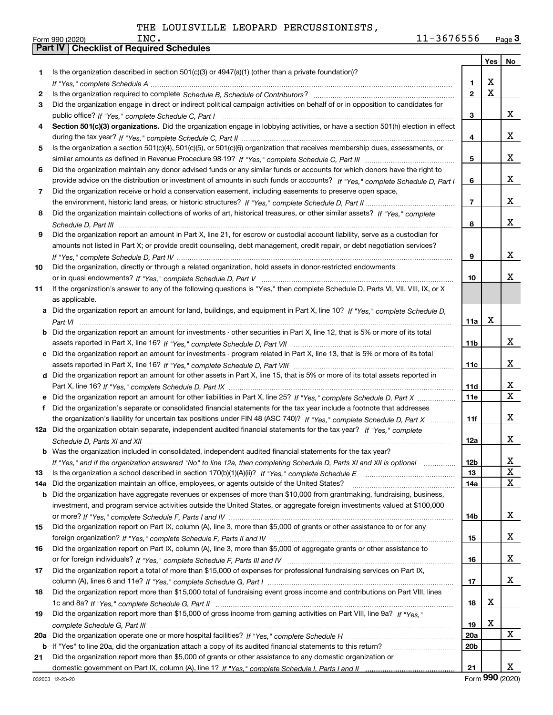|     |                                                                                                                                                                                                                             |                | Yes                     | No                      |
|-----|-----------------------------------------------------------------------------------------------------------------------------------------------------------------------------------------------------------------------------|----------------|-------------------------|-------------------------|
| 1.  | Is the organization described in section $501(c)(3)$ or $4947(a)(1)$ (other than a private foundation)?                                                                                                                     |                |                         |                         |
|     |                                                                                                                                                                                                                             | 1              | X                       |                         |
| 2   |                                                                                                                                                                                                                             | $\overline{2}$ | $\overline{\textbf{X}}$ |                         |
| 3   | Did the organization engage in direct or indirect political campaign activities on behalf of or in opposition to candidates for                                                                                             |                |                         |                         |
|     |                                                                                                                                                                                                                             | 3              |                         | X                       |
| 4   | Section 501(c)(3) organizations. Did the organization engage in lobbying activities, or have a section 501(h) election in effect                                                                                            |                |                         |                         |
|     |                                                                                                                                                                                                                             | 4              |                         | x                       |
| 5   | Is the organization a section 501(c)(4), 501(c)(5), or 501(c)(6) organization that receives membership dues, assessments, or                                                                                                |                |                         |                         |
|     |                                                                                                                                                                                                                             | 5              |                         | x                       |
| 6   | Did the organization maintain any donor advised funds or any similar funds or accounts for which donors have the right to                                                                                                   |                |                         |                         |
|     | provide advice on the distribution or investment of amounts in such funds or accounts? If "Yes," complete Schedule D, Part I                                                                                                | 6              |                         | x                       |
| 7   | Did the organization receive or hold a conservation easement, including easements to preserve open space,                                                                                                                   |                |                         |                         |
|     |                                                                                                                                                                                                                             | $\overline{7}$ |                         | x                       |
| 8   | Did the organization maintain collections of works of art, historical treasures, or other similar assets? If "Yes," complete                                                                                                |                |                         |                         |
|     |                                                                                                                                                                                                                             | 8              |                         | x                       |
| 9   | Did the organization report an amount in Part X, line 21, for escrow or custodial account liability, serve as a custodian for                                                                                               |                |                         |                         |
|     | amounts not listed in Part X; or provide credit counseling, debt management, credit repair, or debt negotiation services?                                                                                                   |                |                         |                         |
|     |                                                                                                                                                                                                                             | 9              |                         | x                       |
| 10  | Did the organization, directly or through a related organization, hold assets in donor-restricted endowments                                                                                                                |                |                         |                         |
|     |                                                                                                                                                                                                                             | 10             |                         | x                       |
| 11  | If the organization's answer to any of the following questions is "Yes," then complete Schedule D, Parts VI, VIII, VIII, IX, or X                                                                                           |                |                         |                         |
|     | as applicable.                                                                                                                                                                                                              |                |                         |                         |
|     | a Did the organization report an amount for land, buildings, and equipment in Part X, line 10? If "Yes," complete Schedule D,                                                                                               |                |                         |                         |
|     |                                                                                                                                                                                                                             | 11a            | X                       |                         |
|     | <b>b</b> Did the organization report an amount for investments - other securities in Part X, line 12, that is 5% or more of its total                                                                                       |                |                         |                         |
|     |                                                                                                                                                                                                                             | 11b            |                         | x                       |
|     | c Did the organization report an amount for investments - program related in Part X, line 13, that is 5% or more of its total                                                                                               |                |                         |                         |
|     |                                                                                                                                                                                                                             | 11c            |                         | x                       |
|     | d Did the organization report an amount for other assets in Part X, line 15, that is 5% or more of its total assets reported in                                                                                             |                |                         |                         |
|     |                                                                                                                                                                                                                             | 11d            |                         | х                       |
|     | e Did the organization report an amount for other liabilities in Part X, line 25? If "Yes," complete Schedule D, Part X                                                                                                     | <b>11e</b>     |                         | $\overline{\mathbf{x}}$ |
| f   | Did the organization's separate or consolidated financial statements for the tax year include a footnote that addresses                                                                                                     |                |                         |                         |
|     | the organization's liability for uncertain tax positions under FIN 48 (ASC 740)? If "Yes," complete Schedule D, Part X                                                                                                      | 11f            |                         | x                       |
|     | 12a Did the organization obtain separate, independent audited financial statements for the tax year? If "Yes," complete                                                                                                     |                |                         |                         |
|     |                                                                                                                                                                                                                             | 12a            |                         | X                       |
|     | <b>b</b> Was the organization included in consolidated, independent audited financial statements for the tax year?                                                                                                          |                |                         |                         |
|     | If "Yes," and if the organization answered "No" to line 12a, then completing Schedule D, Parts XI and XII is optional                                                                                                       | 12b            |                         | x                       |
| 13  |                                                                                                                                                                                                                             | 13             |                         | $\overline{\textbf{X}}$ |
| 14a | Did the organization maintain an office, employees, or agents outside of the United States?                                                                                                                                 | 14a            |                         | $\mathbf x$             |
| b   | Did the organization have aggregate revenues or expenses of more than \$10,000 from grantmaking, fundraising, business,                                                                                                     |                |                         |                         |
|     | investment, and program service activities outside the United States, or aggregate foreign investments valued at \$100,000                                                                                                  |                |                         |                         |
|     |                                                                                                                                                                                                                             | 14b            |                         | X                       |
| 15  | Did the organization report on Part IX, column (A), line 3, more than \$5,000 of grants or other assistance to or for any                                                                                                   |                |                         | X                       |
|     |                                                                                                                                                                                                                             | 15             |                         |                         |
| 16  | Did the organization report on Part IX, column (A), line 3, more than \$5,000 of aggregate grants or other assistance to                                                                                                    |                |                         | X                       |
|     |                                                                                                                                                                                                                             | 16             |                         |                         |
| 17  | Did the organization report a total of more than \$15,000 of expenses for professional fundraising services on Part IX,                                                                                                     |                |                         | X                       |
|     |                                                                                                                                                                                                                             | 17             |                         |                         |
| 18  | Did the organization report more than \$15,000 total of fundraising event gross income and contributions on Part VIII, lines                                                                                                |                | X                       |                         |
|     |                                                                                                                                                                                                                             | 18             |                         |                         |
| 19  | Did the organization report more than \$15,000 of gross income from gaming activities on Part VIII, line 9a? If "Yes."                                                                                                      |                | X                       |                         |
|     |                                                                                                                                                                                                                             | 19             |                         | x                       |
| 20a |                                                                                                                                                                                                                             | 20a            |                         |                         |
| b   | If "Yes" to line 20a, did the organization attach a copy of its audited financial statements to this return?<br>Did the organization report more than \$5,000 of grants or other assistance to any domestic organization or | 20b            |                         |                         |
| 21  |                                                                                                                                                                                                                             |                |                         | х                       |
|     |                                                                                                                                                                                                                             | 21             | $\sim$                  |                         |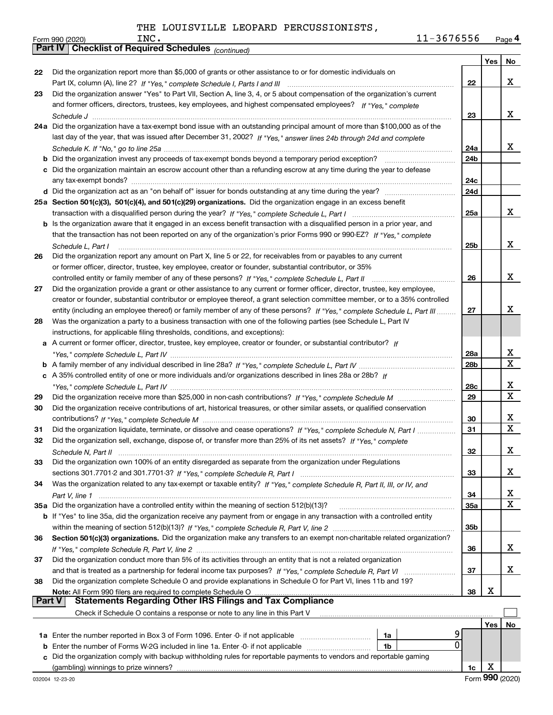|        | 11-3676556<br>INC.<br>Form 990 (2020)                                                                                        |                 |     | Page 4       |
|--------|------------------------------------------------------------------------------------------------------------------------------|-----------------|-----|--------------|
|        | <b>Part IV Checklist of Required Schedules</b> (continued)                                                                   |                 |     |              |
|        |                                                                                                                              |                 | Yes | No           |
| 22     | Did the organization report more than \$5,000 of grants or other assistance to or for domestic individuals on                |                 |     |              |
|        |                                                                                                                              | 22              |     | x            |
| 23     | Did the organization answer "Yes" to Part VII, Section A, line 3, 4, or 5 about compensation of the organization's current   |                 |     |              |
|        | and former officers, directors, trustees, key employees, and highest compensated employees? If "Yes," complete               |                 |     |              |
|        |                                                                                                                              | 23              |     | x            |
|        | 24a Did the organization have a tax-exempt bond issue with an outstanding principal amount of more than \$100,000 as of the  |                 |     |              |
|        | last day of the year, that was issued after December 31, 2002? If "Yes," answer lines 24b through 24d and complete           |                 |     |              |
|        |                                                                                                                              | 24a             |     | x            |
|        |                                                                                                                              | 24 <sub>b</sub> |     |              |
|        | c Did the organization maintain an escrow account other than a refunding escrow at any time during the year to defease       |                 |     |              |
|        |                                                                                                                              |                 |     |              |
|        |                                                                                                                              | 24c             |     |              |
|        |                                                                                                                              | 24d             |     |              |
|        | 25a Section 501(c)(3), 501(c)(4), and 501(c)(29) organizations. Did the organization engage in an excess benefit             |                 |     |              |
|        |                                                                                                                              | 25a             |     | X            |
|        | b Is the organization aware that it engaged in an excess benefit transaction with a disqualified person in a prior year, and |                 |     |              |
|        | that the transaction has not been reported on any of the organization's prior Forms 990 or 990-EZ? If "Yes." complete        |                 |     |              |
|        | Schedule L, Part I                                                                                                           | 25b             |     | x            |
| 26     | Did the organization report any amount on Part X, line 5 or 22, for receivables from or payables to any current              |                 |     |              |
|        | or former officer, director, trustee, key employee, creator or founder, substantial contributor, or 35%                      |                 |     |              |
|        | controlled entity or family member of any of these persons? If "Yes," complete Schedule L, Part II                           | 26              |     | x            |
| 27     | Did the organization provide a grant or other assistance to any current or former officer, director, trustee, key employee,  |                 |     |              |
|        | creator or founder, substantial contributor or employee thereof, a grant selection committee member, or to a 35% controlled  |                 |     |              |
|        | entity (including an employee thereof) or family member of any of these persons? If "Yes," complete Schedule L, Part III     | 27              |     | х            |
| 28     | Was the organization a party to a business transaction with one of the following parties (see Schedule L, Part IV            |                 |     |              |
|        | instructions, for applicable filing thresholds, conditions, and exceptions):                                                 |                 |     |              |
|        | a A current or former officer, director, trustee, key employee, creator or founder, or substantial contributor? If           |                 |     |              |
|        |                                                                                                                              | 28a             |     | X            |
|        |                                                                                                                              | 28b             |     | $\mathbf{x}$ |
|        | c A 35% controlled entity of one or more individuals and/or organizations described in lines 28a or 28b? If                  |                 |     |              |
|        |                                                                                                                              |                 |     | X            |
|        |                                                                                                                              | 28c             |     | X            |
| 29     |                                                                                                                              | 29              |     |              |
| 30     | Did the organization receive contributions of art, historical treasures, or other similar assets, or qualified conservation  |                 |     |              |
|        |                                                                                                                              | 30              |     | X            |
| 31     | Did the organization liquidate, terminate, or dissolve and cease operations? If "Yes," complete Schedule N, Part I           | 31              |     | X            |
| 32     | Did the organization sell, exchange, dispose of, or transfer more than 25% of its net assets? If "Yes," complete             |                 |     |              |
|        |                                                                                                                              | 32              |     | x            |
| 33     | Did the organization own 100% of an entity disregarded as separate from the organization under Regulations                   |                 |     |              |
|        |                                                                                                                              | 33              |     | x            |
| 34     | Was the organization related to any tax-exempt or taxable entity? If "Yes," complete Schedule R, Part II, III, or IV, and    |                 |     |              |
|        |                                                                                                                              | 34              |     | X            |
|        | 35a Did the organization have a controlled entity within the meaning of section 512(b)(13)?                                  | 35a             |     | $\mathbf{x}$ |
|        | b If "Yes" to line 35a, did the organization receive any payment from or engage in any transaction with a controlled entity  |                 |     |              |
|        |                                                                                                                              | 35b             |     |              |
| 36     | Section 501(c)(3) organizations. Did the organization make any transfers to an exempt non-charitable related organization?   |                 |     |              |
|        |                                                                                                                              | 36              |     | x            |
| 37     | Did the organization conduct more than 5% of its activities through an entity that is not a related organization             |                 |     |              |
|        | and that is treated as a partnership for federal income tax purposes? If "Yes," complete Schedule R, Part VI                 | 37              |     | x            |
| 38     | Did the organization complete Schedule O and provide explanations in Schedule O for Part VI, lines 11b and 19?               |                 |     |              |
|        | Note: All Form 990 filers are required to complete Schedule O                                                                | 38              | х   |              |
| Part V | <b>Statements Regarding Other IRS Filings and Tax Compliance</b>                                                             |                 |     |              |
|        |                                                                                                                              |                 |     |              |
|        | Check if Schedule O contains a response or note to any line in this Part V                                                   |                 |     |              |
|        |                                                                                                                              |                 | Yes | No           |
|        | 1a Enter the number reported in Box 3 of Form 1096. Enter -0- if not applicable<br>1a                                        | 9               |     |              |
| b      | Enter the number of Forms W-2G included in line 1a. Enter -0- if not applicable<br>1b                                        | 0               |     |              |
|        | Did the organization comply with backup withholding rules for reportable payments to vendors and reportable gaming           |                 |     |              |
|        |                                                                                                                              | 1c              | X   |              |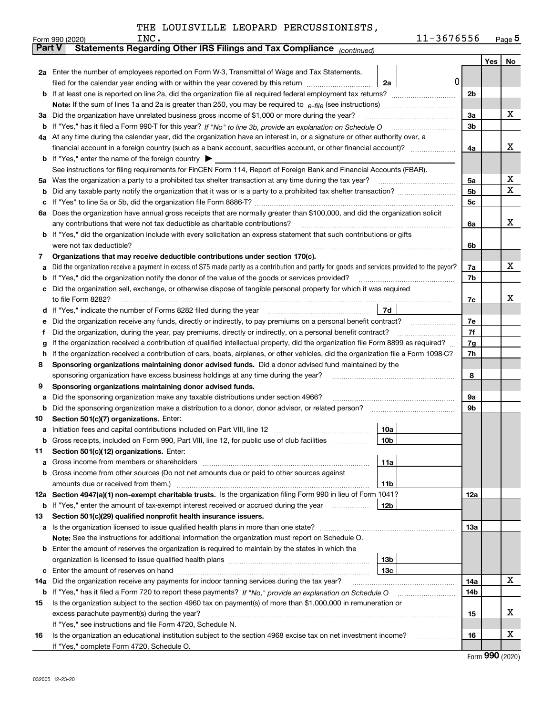|  |  |  | THE LOUISVILLE LEOPARD PERCUSSIONISTS, |
|--|--|--|----------------------------------------|
|--|--|--|----------------------------------------|

|               | 11-3676556<br>INC.<br>Form 990 (2020)                                                                                                                                                                                           |                |     | <u>Page 5</u> |
|---------------|---------------------------------------------------------------------------------------------------------------------------------------------------------------------------------------------------------------------------------|----------------|-----|---------------|
| <b>Part V</b> | Statements Regarding Other IRS Filings and Tax Compliance (continued)                                                                                                                                                           |                |     |               |
|               |                                                                                                                                                                                                                                 |                | Yes | No            |
|               | 2a Enter the number of employees reported on Form W-3, Transmittal of Wage and Tax Statements,                                                                                                                                  |                |     |               |
|               | filed for the calendar year ending with or within the year covered by this return<br>2a                                                                                                                                         | 0              |     |               |
| b             |                                                                                                                                                                                                                                 | 2 <sub>b</sub> |     |               |
|               |                                                                                                                                                                                                                                 |                |     |               |
| За            | Did the organization have unrelated business gross income of \$1,000 or more during the year?                                                                                                                                   | 3a             |     | x             |
| b             |                                                                                                                                                                                                                                 | 3b             |     |               |
|               | 4a At any time during the calendar year, did the organization have an interest in, or a signature or other authority over, a                                                                                                    |                |     |               |
|               |                                                                                                                                                                                                                                 | 4a             |     | x             |
|               | <b>b</b> If "Yes," enter the name of the foreign country $\blacktriangleright$                                                                                                                                                  |                |     |               |
|               | See instructions for filing requirements for FinCEN Form 114, Report of Foreign Bank and Financial Accounts (FBAR).                                                                                                             |                |     |               |
| 5a            | Was the organization a party to a prohibited tax shelter transaction at any time during the tax year?                                                                                                                           | 5a             |     | х             |
| b             |                                                                                                                                                                                                                                 | 5 <sub>b</sub> |     | x             |
| с             |                                                                                                                                                                                                                                 | 5c             |     |               |
| 6а            | Does the organization have annual gross receipts that are normally greater than \$100,000, and did the organization solicit                                                                                                     |                |     |               |
|               | any contributions that were not tax deductible as charitable contributions?                                                                                                                                                     | 6a             |     | x             |
| b             | If "Yes," did the organization include with every solicitation an express statement that such contributions or gifts                                                                                                            |                |     |               |
|               | were not tax deductible?                                                                                                                                                                                                        | 6b             |     |               |
| 7             | Organizations that may receive deductible contributions under section 170(c).                                                                                                                                                   |                |     | x             |
| а             | Did the organization receive a payment in excess of \$75 made partly as a contribution and partly for goods and services provided to the payor?                                                                                 | 7a             |     |               |
| b             | If "Yes," did the organization notify the donor of the value of the goods or services provided?                                                                                                                                 | 7b             |     |               |
| c             | Did the organization sell, exchange, or otherwise dispose of tangible personal property for which it was required                                                                                                               |                |     | X.            |
|               | 7d                                                                                                                                                                                                                              | 7c             |     |               |
| d             |                                                                                                                                                                                                                                 | 7e             |     |               |
| е<br>f        | Did the organization receive any funds, directly or indirectly, to pay premiums on a personal benefit contract?<br>Did the organization, during the year, pay premiums, directly or indirectly, on a personal benefit contract? | 7f             |     |               |
|               | If the organization received a contribution of qualified intellectual property, did the organization file Form 8899 as required?                                                                                                | 7g             |     |               |
| g<br>h        | If the organization received a contribution of cars, boats, airplanes, or other vehicles, did the organization file a Form 1098-C?                                                                                              | 7h             |     |               |
| 8             | Sponsoring organizations maintaining donor advised funds. Did a donor advised fund maintained by the                                                                                                                            |                |     |               |
|               | sponsoring organization have excess business holdings at any time during the year?                                                                                                                                              | 8              |     |               |
| 9             | Sponsoring organizations maintaining donor advised funds.                                                                                                                                                                       |                |     |               |
| а             | Did the sponsoring organization make any taxable distributions under section 4966?                                                                                                                                              | 9а             |     |               |
| b             | Did the sponsoring organization make a distribution to a donor, donor advisor, or related person?                                                                                                                               | 9b             |     |               |
| 10            | Section 501(c)(7) organizations. Enter:                                                                                                                                                                                         |                |     |               |
| а             | 10a                                                                                                                                                                                                                             |                |     |               |
|               | 10b<br>Gross receipts, included on Form 990, Part VIII, line 12, for public use of club facilities                                                                                                                              |                |     |               |
| 11            | Section 501(c)(12) organizations. Enter:                                                                                                                                                                                        |                |     |               |
| a             | 11a<br>Gross income from members or shareholders                                                                                                                                                                                |                |     |               |
| b             | Gross income from other sources (Do not net amounts due or paid to other sources against                                                                                                                                        |                |     |               |
|               | 11 <sub>b</sub><br>amounts due or received from them.)                                                                                                                                                                          |                |     |               |
|               | 12a Section 4947(a)(1) non-exempt charitable trusts. Is the organization filing Form 990 in lieu of Form 1041?                                                                                                                  | 12a            |     |               |
|               | 12b<br><b>b</b> If "Yes," enter the amount of tax-exempt interest received or accrued during the year                                                                                                                           |                |     |               |
| 13            | Section 501(c)(29) qualified nonprofit health insurance issuers.                                                                                                                                                                |                |     |               |
| a             | Is the organization licensed to issue qualified health plans in more than one state?                                                                                                                                            | 13a            |     |               |
|               | Note: See the instructions for additional information the organization must report on Schedule O.                                                                                                                               |                |     |               |
| b             | Enter the amount of reserves the organization is required to maintain by the states in which the                                                                                                                                |                |     |               |
|               | 13 <sub>b</sub>                                                                                                                                                                                                                 |                |     |               |
| с             | 13 <sub>c</sub>                                                                                                                                                                                                                 |                |     |               |
| 14a           | Did the organization receive any payments for indoor tanning services during the tax year?                                                                                                                                      | 14a            |     | X             |
|               | <b>b</b> If "Yes," has it filed a Form 720 to report these payments? If "No," provide an explanation on Schedule O                                                                                                              | 14b            |     |               |
| 15            | Is the organization subject to the section 4960 tax on payment(s) of more than \$1,000,000 in remuneration or                                                                                                                   |                |     |               |
|               | excess parachute payment(s) during the year?                                                                                                                                                                                    | 15             |     | x             |
|               | If "Yes," see instructions and file Form 4720, Schedule N.                                                                                                                                                                      |                |     |               |
| 16            | Is the organization an educational institution subject to the section 4968 excise tax on net investment income?                                                                                                                 | 16             |     | х             |
|               | If "Yes," complete Form 4720, Schedule O.                                                                                                                                                                                       |                |     |               |

Form (2020) **990**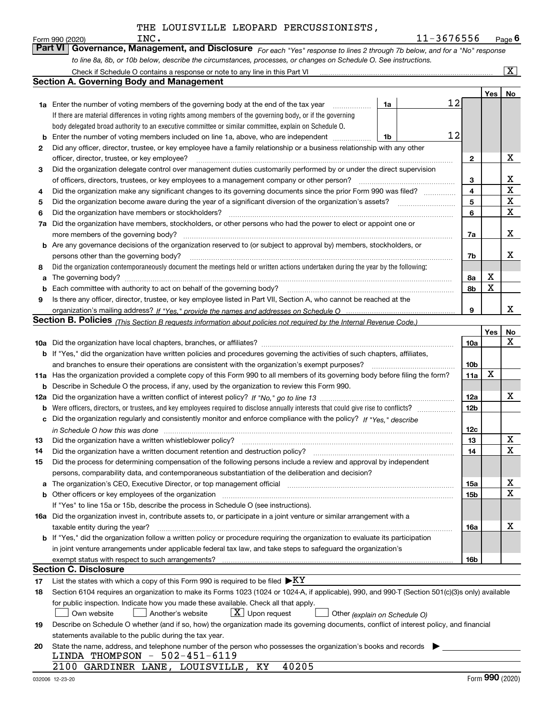|    | INC.<br>Form 990 (2020)                                                                                                                                                       |    | 11-3676556 |                 |     | $Page$ 6                |
|----|-------------------------------------------------------------------------------------------------------------------------------------------------------------------------------|----|------------|-----------------|-----|-------------------------|
|    | <b>Part VI</b><br>Governance, Management, and Disclosure For each "Yes" response to lines 2 through 7b below, and for a "No" response                                         |    |            |                 |     |                         |
|    | to line 8a, 8b, or 10b below, describe the circumstances, processes, or changes on Schedule O. See instructions.                                                              |    |            |                 |     |                         |
|    |                                                                                                                                                                               |    |            |                 |     | $\overline{\mathbf{x}}$ |
|    | Section A. Governing Body and Management                                                                                                                                      |    |            |                 |     |                         |
|    |                                                                                                                                                                               |    |            |                 | Yes | No                      |
|    | <b>1a</b> Enter the number of voting members of the governing body at the end of the tax year                                                                                 | 1a | 12         |                 |     |                         |
|    | If there are material differences in voting rights among members of the governing body, or if the governing                                                                   |    |            |                 |     |                         |
|    | body delegated broad authority to an executive committee or similar committee, explain on Schedule O.                                                                         |    |            |                 |     |                         |
| b  | Enter the number of voting members included on line 1a, above, who are independent                                                                                            | 1b | 12         |                 |     |                         |
| 2  | Did any officer, director, trustee, or key employee have a family relationship or a business relationship with any other                                                      |    |            |                 |     |                         |
|    | officer, director, trustee, or key employee?                                                                                                                                  |    |            | 2               |     | х                       |
| 3  | Did the organization delegate control over management duties customarily performed by or under the direct supervision                                                         |    |            |                 |     |                         |
|    | of officers, directors, trustees, or key employees to a management company or other person?                                                                                   |    |            | 3               |     | х                       |
| 4  | Did the organization make any significant changes to its governing documents since the prior Form 990 was filed?                                                              |    |            | 4               |     | $\mathbf X$             |
| 5  |                                                                                                                                                                               |    |            | 5               |     | X                       |
| 6  | Did the organization have members or stockholders?                                                                                                                            |    |            | 6               |     | X                       |
| 7a | Did the organization have members, stockholders, or other persons who had the power to elect or appoint one or                                                                |    |            |                 |     |                         |
|    | more members of the governing body?                                                                                                                                           |    |            | 7a              |     | X                       |
| b  | Are any governance decisions of the organization reserved to (or subject to approval by) members, stockholders, or                                                            |    |            |                 |     |                         |
|    | persons other than the governing body?                                                                                                                                        |    |            | 7b              |     | x                       |
| 8  | Did the organization contemporaneously document the meetings held or written actions undertaken during the year by the following:                                             |    |            |                 |     |                         |
| a  |                                                                                                                                                                               |    |            | 8а              | х   |                         |
| b  | Each committee with authority to act on behalf of the governing body?                                                                                                         |    |            | 8b              | X   |                         |
| 9  | Is there any officer, director, trustee, or key employee listed in Part VII, Section A, who cannot be reached at the                                                          |    |            |                 |     |                         |
|    |                                                                                                                                                                               |    |            | 9               |     | x                       |
|    | Section B. Policies <sub>(This Section B requests information about policies not required by the Internal Revenue Code.)</sub>                                                |    |            |                 |     |                         |
|    |                                                                                                                                                                               |    |            |                 | Yes | No                      |
|    |                                                                                                                                                                               |    |            | 10a             |     | x                       |
|    | b If "Yes," did the organization have written policies and procedures governing the activities of such chapters, affiliates,                                                  |    |            |                 |     |                         |
|    | and branches to ensure their operations are consistent with the organization's exempt purposes?                                                                               |    |            | 10b             |     |                         |
|    | 11a Has the organization provided a complete copy of this Form 990 to all members of its governing body before filing the form?                                               |    |            | 11a             | x   |                         |
| b  | Describe in Schedule O the process, if any, used by the organization to review this Form 990.                                                                                 |    |            |                 |     |                         |
|    |                                                                                                                                                                               |    |            | 12a             |     | х                       |
| b  |                                                                                                                                                                               |    |            | 12 <sub>b</sub> |     |                         |
|    | Did the organization regularly and consistently monitor and enforce compliance with the policy? If "Yes," describe                                                            |    |            |                 |     |                         |
|    | in Schedule O how this was done measurement contracts and contact the state of the state of the state of the s                                                                |    |            | 12c             |     |                         |
| 13 |                                                                                                                                                                               |    |            | 13              |     | X                       |
| 14 | Did the organization have a written document retention and destruction policy?                                                                                                |    |            | 14              |     | X                       |
| 15 | Did the process for determining compensation of the following persons include a review and approval by independent                                                            |    |            |                 |     |                         |
|    | persons, comparability data, and contemporaneous substantiation of the deliberation and decision?                                                                             |    |            |                 |     |                         |
| a  | The organization's CEO, Executive Director, or top management official manufactured content content of the organization's CEO, executive Director, or top management official |    |            | 15a             |     | х                       |
| b  |                                                                                                                                                                               |    |            | 15b             |     | x                       |
|    | If "Yes" to line 15a or 15b, describe the process in Schedule O (see instructions).                                                                                           |    |            |                 |     |                         |
|    | 16a Did the organization invest in, contribute assets to, or participate in a joint venture or similar arrangement with a                                                     |    |            |                 |     |                         |
|    | taxable entity during the year?                                                                                                                                               |    |            | 16a             |     | х                       |
|    | b If "Yes," did the organization follow a written policy or procedure requiring the organization to evaluate its participation                                                |    |            |                 |     |                         |
|    | in joint venture arrangements under applicable federal tax law, and take steps to safeguard the organization's                                                                |    |            |                 |     |                         |
|    |                                                                                                                                                                               |    |            | 16b             |     |                         |
|    | Section C. Disclosure                                                                                                                                                         |    |            |                 |     |                         |
| 17 | List the states with which a copy of this Form 990 is required to be filed $\blacktriangleright$ KY                                                                           |    |            |                 |     |                         |
| 18 | Section 6104 requires an organization to make its Forms 1023 (1024 or 1024-A, if applicable), 990, and 990-T (Section 501(c)(3)s only) available                              |    |            |                 |     |                         |
|    | for public inspection. Indicate how you made these available. Check all that apply.                                                                                           |    |            |                 |     |                         |
|    | $X$ Upon request<br>Own website<br>Another's website<br>Other (explain on Schedule O)                                                                                         |    |            |                 |     |                         |
| 19 | Describe on Schedule O whether (and if so, how) the organization made its governing documents, conflict of interest policy, and financial                                     |    |            |                 |     |                         |
|    | statements available to the public during the tax year.                                                                                                                       |    |            |                 |     |                         |
| 20 | State the name, address, and telephone number of the person who possesses the organization's books and records                                                                |    |            |                 |     |                         |
|    | LINDA THOMPSON - 502-451-6119                                                                                                                                                 |    |            |                 |     |                         |
|    | 2100 GARDINER LANE, LOUISVILLE, KY<br>40205                                                                                                                                   |    |            |                 |     |                         |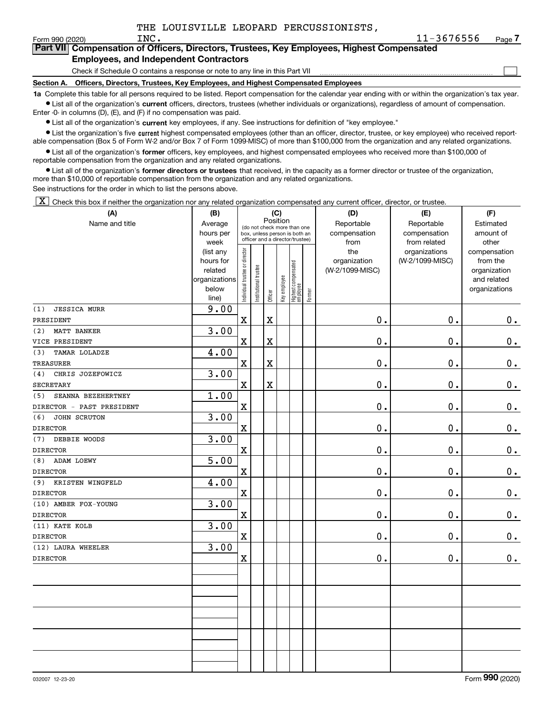$\mathcal{L}^{\text{max}}$ 

### Form 990 (2020)  ${\rm INC.} \hspace{2cm} 11\text{--}3676556$   $_{\rm Page}$ **7Part VII Compensation of Officers, Directors, Trustees, Key Employees, Highest Compensated Employees, and Independent Contractors**

Check if Schedule O contains a response or note to any line in this Part VII

**Section A. Officers, Directors, Trustees, Key Employees, and Highest Compensated Employees**

**1a**  Complete this table for all persons required to be listed. Report compensation for the calendar year ending with or within the organization's tax year. **•** List all of the organization's current officers, directors, trustees (whether individuals or organizations), regardless of amount of compensation.

Enter -0- in columns (D), (E), and (F) if no compensation was paid.

 $\bullet$  List all of the organization's  $\,$ current key employees, if any. See instructions for definition of "key employee."

• List the organization's five current highest compensated employees (other than an officer, director, trustee, or key employee) who received report-■ List the organization's five current highest compensated employees (other than an officer, director, trustee, or key employee) who received report-<br>able compensation (Box 5 of Form W-2 and/or Box 7 of Form 1099-MISC) of

**•** List all of the organization's former officers, key employees, and highest compensated employees who received more than \$100,000 of reportable compensation from the organization and any related organizations.

**former directors or trustees**  ¥ List all of the organization's that received, in the capacity as a former director or trustee of the organization, more than \$10,000 of reportable compensation from the organization and any related organizations.

See instructions for the order in which to list the persons above.

 $\boxed{\textbf{X}}$  Check this box if neither the organization nor any related organization compensated any current officer, director, or trustee.

| (A)                        | (B)                    |                                |                       |             | (C)          |                                                                  |        | (D)             | (E)             | (F)                          |
|----------------------------|------------------------|--------------------------------|-----------------------|-------------|--------------|------------------------------------------------------------------|--------|-----------------|-----------------|------------------------------|
| Name and title             | Average                |                                |                       | Position    |              | (do not check more than one                                      |        | Reportable      | Reportable      | Estimated                    |
|                            | hours per              |                                |                       |             |              | box, unless person is both an<br>officer and a director/trustee) |        | compensation    | compensation    | amount of                    |
|                            | week                   |                                |                       |             |              |                                                                  |        | from            | from related    | other                        |
|                            | (list any              |                                |                       |             |              |                                                                  |        | the             | organizations   | compensation                 |
|                            | hours for              |                                |                       |             |              |                                                                  |        | organization    | (W-2/1099-MISC) | from the                     |
|                            | related                |                                |                       |             |              |                                                                  |        | (W-2/1099-MISC) |                 | organization                 |
|                            | organizations<br>below |                                |                       |             |              |                                                                  |        |                 |                 | and related<br>organizations |
|                            | line)                  | Individual trustee or director | Institutional trustee | Officer     | Key employee | Highest compensated<br>employee                                  | Former |                 |                 |                              |
| <b>JESSICA MURR</b><br>(1) | 9.00                   |                                |                       |             |              |                                                                  |        |                 |                 |                              |
| PRESIDENT                  |                        | $\mathbf x$                    |                       | $\mathbf X$ |              |                                                                  |        | 0.              | 0.              | 0.                           |
| MATT BANKER<br>(2)         | 3.00                   |                                |                       |             |              |                                                                  |        |                 |                 |                              |
| VICE PRESIDENT             |                        | $\mathbf X$                    |                       | $\mathbf X$ |              |                                                                  |        | 0.              | 0.              | 0.                           |
| TAMAR LOLADZE<br>(3)       | 4.00                   |                                |                       |             |              |                                                                  |        |                 |                 |                              |
| <b>TREASURER</b>           |                        | $\mathbf x$                    |                       | $\mathbf X$ |              |                                                                  |        | 0.              | 0.              | 0.                           |
| CHRIS JOZEFOWICZ<br>(4)    | 3.00                   |                                |                       |             |              |                                                                  |        |                 |                 |                              |
| <b>SECRETARY</b>           |                        | $\mathbf X$                    |                       | $\mathbf X$ |              |                                                                  |        | 0.              | 0.              | 0.                           |
| SEANNA BEZEHERTNEY<br>(5)  | 1.00                   |                                |                       |             |              |                                                                  |        |                 |                 |                              |
| DIRECTOR - PAST PRESIDENT  |                        | $\mathbf X$                    |                       |             |              |                                                                  |        | 0.              | 0.              | 0.                           |
| (6)<br>JOHN SCRUTON        | 3.00                   |                                |                       |             |              |                                                                  |        |                 |                 |                              |
| <b>DIRECTOR</b>            |                        | $\mathbf X$                    |                       |             |              |                                                                  |        | 0.              | 0.              | 0.                           |
| DEBBIE WOODS<br>(7)        | 3.00                   |                                |                       |             |              |                                                                  |        |                 |                 |                              |
| <b>DIRECTOR</b>            |                        | $\mathbf X$                    |                       |             |              |                                                                  |        | 0.              | 0.              | $\mathbf 0$ .                |
| ADAM LOEWY<br>(8)          | 5.00                   |                                |                       |             |              |                                                                  |        |                 |                 |                              |
| <b>DIRECTOR</b>            |                        | $\mathbf X$                    |                       |             |              |                                                                  |        | 0.              | 0.              | 0.                           |
| KRISTEN WINGFELD<br>(9)    | 4.00                   |                                |                       |             |              |                                                                  |        |                 |                 |                              |
| <b>DIRECTOR</b>            |                        | $\mathbf X$                    |                       |             |              |                                                                  |        | 0.              | 0.              | $0_{.}$                      |
| (10) AMBER FOX-YOUNG       | 3.00                   |                                |                       |             |              |                                                                  |        |                 |                 |                              |
| <b>DIRECTOR</b>            |                        | $\mathbf X$                    |                       |             |              |                                                                  |        | 0.              | $\mathbf 0$ .   | 0.                           |
| (11) KATE KOLB             | 3.00                   |                                |                       |             |              |                                                                  |        |                 |                 |                              |
| <b>DIRECTOR</b>            |                        | $\mathbf X$                    |                       |             |              |                                                                  |        | 0.              | 0.              | $0$ .                        |
| (12) LAURA WHEELER         | 3.00                   |                                |                       |             |              |                                                                  |        |                 |                 |                              |
| <b>DIRECTOR</b>            |                        | $\mathbf X$                    |                       |             |              |                                                                  |        | 0.              | 0.              | 0.                           |
|                            |                        |                                |                       |             |              |                                                                  |        |                 |                 |                              |
|                            |                        |                                |                       |             |              |                                                                  |        |                 |                 |                              |
|                            |                        |                                |                       |             |              |                                                                  |        |                 |                 |                              |
|                            |                        |                                |                       |             |              |                                                                  |        |                 |                 |                              |
|                            |                        |                                |                       |             |              |                                                                  |        |                 |                 |                              |
|                            |                        |                                |                       |             |              |                                                                  |        |                 |                 |                              |
|                            |                        |                                |                       |             |              |                                                                  |        |                 |                 |                              |
|                            |                        |                                |                       |             |              |                                                                  |        |                 |                 |                              |
|                            |                        |                                |                       |             |              |                                                                  |        |                 |                 |                              |
|                            |                        |                                |                       |             |              |                                                                  |        |                 |                 |                              |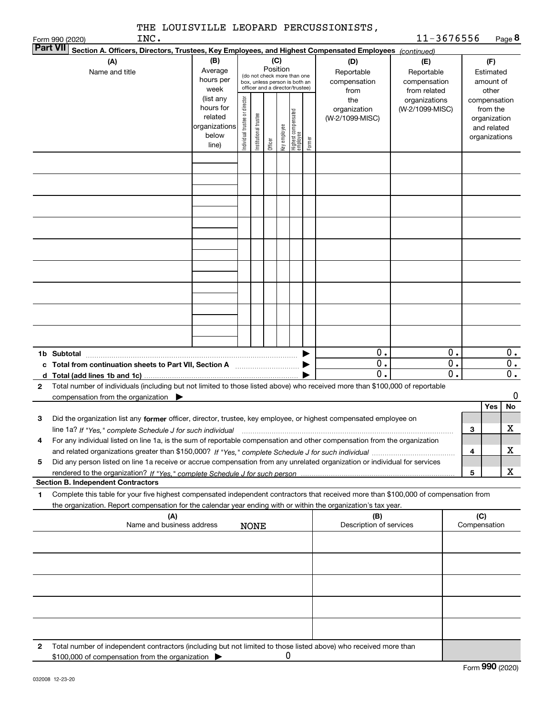| INC.<br>Form 990 (2020)                                                                                                                                                                                                                                                          |                                                                      |                                   |                       |          |              |                                                                                                 |        |                                           | 11-3676556                                        |                        |                                                                          | Page 8   |
|----------------------------------------------------------------------------------------------------------------------------------------------------------------------------------------------------------------------------------------------------------------------------------|----------------------------------------------------------------------|-----------------------------------|-----------------------|----------|--------------|-------------------------------------------------------------------------------------------------|--------|-------------------------------------------|---------------------------------------------------|------------------------|--------------------------------------------------------------------------|----------|
| <b>Part VII</b><br>Section A. Officers, Directors, Trustees, Key Employees, and Highest Compensated Employees (continued)                                                                                                                                                        |                                                                      |                                   |                       |          |              |                                                                                                 |        |                                           |                                                   |                        |                                                                          |          |
| (A)<br>Name and title                                                                                                                                                                                                                                                            | (B)<br>Average<br>hours per<br>week                                  |                                   |                       | Position | (C)          | (do not check more than one<br>box, unless person is both an<br>officer and a director/trustee) |        | (D)<br>Reportable<br>compensation<br>from | (E)<br>Reportable<br>compensation<br>from related |                        | (F)<br>Estimated<br>amount of<br>other                                   |          |
|                                                                                                                                                                                                                                                                                  | (list any<br>hours for<br>related<br>organizations<br>below<br>line) | director<br>Individual trustee or | Institutional trustee | Officer  | Key employee | Highest compensated<br> employee                                                                | Former | the<br>organization<br>(W-2/1099-MISC)    | organizations<br>(W-2/1099-MISC)                  |                        | compensation<br>from the<br>organization<br>and related<br>organizations |          |
|                                                                                                                                                                                                                                                                                  |                                                                      |                                   |                       |          |              |                                                                                                 |        |                                           |                                                   |                        |                                                                          |          |
|                                                                                                                                                                                                                                                                                  |                                                                      |                                   |                       |          |              |                                                                                                 |        |                                           |                                                   |                        |                                                                          |          |
|                                                                                                                                                                                                                                                                                  |                                                                      |                                   |                       |          |              |                                                                                                 |        |                                           |                                                   |                        |                                                                          |          |
|                                                                                                                                                                                                                                                                                  |                                                                      |                                   |                       |          |              |                                                                                                 |        |                                           |                                                   |                        |                                                                          |          |
|                                                                                                                                                                                                                                                                                  |                                                                      |                                   |                       |          |              |                                                                                                 |        |                                           |                                                   |                        |                                                                          |          |
|                                                                                                                                                                                                                                                                                  |                                                                      |                                   |                       |          |              |                                                                                                 |        |                                           |                                                   |                        |                                                                          |          |
|                                                                                                                                                                                                                                                                                  |                                                                      |                                   |                       |          |              |                                                                                                 |        |                                           |                                                   |                        |                                                                          |          |
| 1b Subtotal                                                                                                                                                                                                                                                                      |                                                                      |                                   |                       |          |              |                                                                                                 |        | 0.                                        |                                                   | $0$ .                  |                                                                          | 0.       |
| c Total from continuation sheets to Part VII, Section A <b>manual</b> Total Trum                                                                                                                                                                                                 |                                                                      |                                   |                       |          |              |                                                                                                 |        | 0.<br>$\mathbf{0}$ .                      |                                                   | 0.<br>$\overline{0}$ . |                                                                          | 0.<br>0. |
| Total number of individuals (including but not limited to those listed above) who received more than \$100,000 of reportable<br>$\mathbf{2}$<br>compensation from the organization $\blacktriangleright$                                                                         |                                                                      |                                   |                       |          |              |                                                                                                 |        |                                           |                                                   |                        |                                                                          | 0        |
| Did the organization list any former officer, director, trustee, key employee, or highest compensated employee on<br>3                                                                                                                                                           |                                                                      |                                   |                       |          |              |                                                                                                 |        |                                           |                                                   |                        | Yes                                                                      | No       |
| line 1a? If "Yes," complete Schedule J for such individual manufactured contained and the line 1a? If "Yes," complete Schedule J for such individual<br>For any individual listed on line 1a, is the sum of reportable compensation and other compensation from the organization |                                                                      |                                   |                       |          |              |                                                                                                 |        |                                           |                                                   | 3<br>4                 |                                                                          | X<br>х   |
| Did any person listed on line 1a receive or accrue compensation from any unrelated organization or individual for services<br>5                                                                                                                                                  |                                                                      |                                   |                       |          |              |                                                                                                 |        |                                           |                                                   | 5                      |                                                                          | x        |
| <b>Section B. Independent Contractors</b>                                                                                                                                                                                                                                        |                                                                      |                                   |                       |          |              |                                                                                                 |        |                                           |                                                   |                        |                                                                          |          |
| Complete this table for your five highest compensated independent contractors that received more than \$100,000 of compensation from<br>1.<br>the organization. Report compensation for the calendar year ending with or within the organization's tax year.                     |                                                                      |                                   |                       |          |              |                                                                                                 |        |                                           |                                                   |                        |                                                                          |          |
| (A)<br>Name and business address                                                                                                                                                                                                                                                 |                                                                      |                                   | <b>NONE</b>           |          |              |                                                                                                 |        | (B)<br>Description of services            |                                                   |                        | (C)<br>Compensation                                                      |          |
|                                                                                                                                                                                                                                                                                  |                                                                      |                                   |                       |          |              |                                                                                                 |        |                                           |                                                   |                        |                                                                          |          |
|                                                                                                                                                                                                                                                                                  |                                                                      |                                   |                       |          |              |                                                                                                 |        |                                           |                                                   |                        |                                                                          |          |
|                                                                                                                                                                                                                                                                                  |                                                                      |                                   |                       |          |              |                                                                                                 |        |                                           |                                                   |                        |                                                                          |          |
|                                                                                                                                                                                                                                                                                  |                                                                      |                                   |                       |          |              |                                                                                                 |        |                                           |                                                   |                        |                                                                          |          |
| Total number of independent contractors (including but not limited to those listed above) who received more than<br>2<br>\$100,000 of compensation from the organization                                                                                                         |                                                                      |                                   |                       |          | 0            |                                                                                                 |        |                                           |                                                   |                        |                                                                          |          |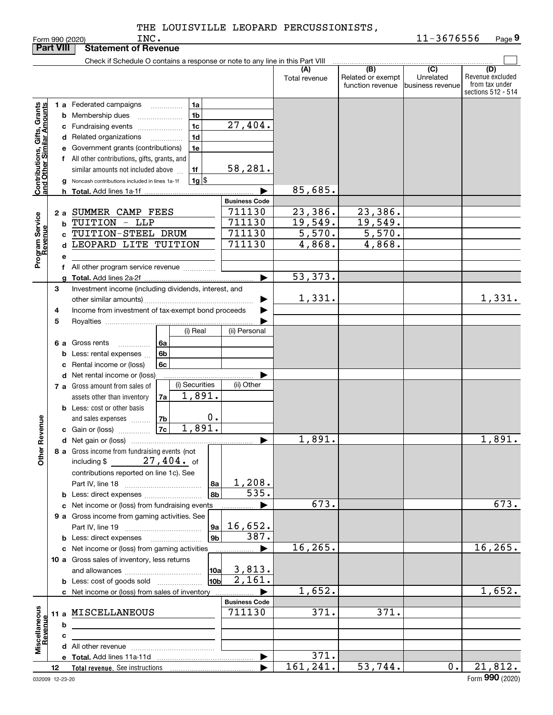|                                                           | <b>Part VIII</b> |    | <b>Statement of Revenue</b>                                                               |                          |                      |                                              |                                                 |                                                                 |
|-----------------------------------------------------------|------------------|----|-------------------------------------------------------------------------------------------|--------------------------|----------------------|----------------------------------------------|-------------------------------------------------|-----------------------------------------------------------------|
|                                                           |                  |    | Check if Schedule O contains a response or note to any line in this Part VIII             |                          |                      |                                              |                                                 |                                                                 |
|                                                           |                  |    |                                                                                           |                          | (A)<br>Total revenue | (B)<br>Related or exempt<br>function revenue | $\overline{C}$<br>Unrelated<br>business revenue | (D)<br>Revenue excluded<br>from tax under<br>sections 512 - 514 |
|                                                           |                  |    |                                                                                           |                          |                      |                                              |                                                 |                                                                 |
|                                                           |                  |    | 1 a Federated campaigns<br>1a<br>.                                                        |                          |                      |                                              |                                                 |                                                                 |
|                                                           |                  |    | 1 <sub>b</sub><br><b>b</b> Membership dues                                                | 27,404.                  |                      |                                              |                                                 |                                                                 |
|                                                           |                  |    | 1 <sub>c</sub><br>c Fundraising events                                                    |                          |                      |                                              |                                                 |                                                                 |
|                                                           |                  |    | 1 <sub>d</sub><br>d Related organizations                                                 |                          |                      |                                              |                                                 |                                                                 |
|                                                           |                  |    | e Government grants (contributions)<br>1e                                                 |                          |                      |                                              |                                                 |                                                                 |
|                                                           |                  |    | f All other contributions, gifts, grants, and                                             |                          |                      |                                              |                                                 |                                                                 |
|                                                           |                  |    | similar amounts not included above<br>1f                                                  | 58,281.                  |                      |                                              |                                                 |                                                                 |
| Contributions, Gifts, Grants<br>and Other Similar Amounts |                  |    | $1g$ $\frac{1}{3}$<br>Noncash contributions included in lines 1a-1f                       |                          | 85,685.              |                                              |                                                 |                                                                 |
|                                                           |                  |    | <b>Total.</b> Add lines 1a-1f                                                             | <b>Business Code</b>     |                      |                                              |                                                 |                                                                 |
|                                                           |                  |    | SUMMER CAMP FEES                                                                          | 711130                   | 23,386.              | 23,386.                                      |                                                 |                                                                 |
|                                                           | 2а               |    | TUITION - LLP                                                                             | 711130                   | 19,549.              | 19,549.                                      |                                                 |                                                                 |
|                                                           |                  | b  | TUITION-STEEL DRUM                                                                        | 711130                   | $\overline{5,570}$ . | $\overline{5,570}$ .                         |                                                 |                                                                 |
|                                                           |                  | c  | LEOPARD LITE TUITION                                                                      | 711130                   | 4,868.               | 4,868.                                       |                                                 |                                                                 |
|                                                           |                  | d  |                                                                                           |                          |                      |                                              |                                                 |                                                                 |
| Program Service<br>Revenue                                |                  | е  |                                                                                           |                          |                      |                                              |                                                 |                                                                 |
|                                                           |                  | f. | All other program service revenue                                                         |                          | 53, 373.             |                                              |                                                 |                                                                 |
|                                                           | 3                |    |                                                                                           |                          |                      |                                              |                                                 |                                                                 |
|                                                           |                  |    | Investment income (including dividends, interest, and                                     |                          | 1,331.               |                                              |                                                 | 1,331.                                                          |
|                                                           |                  |    | Income from investment of tax-exempt bond proceeds                                        |                          |                      |                                              |                                                 |                                                                 |
|                                                           | 4<br>5           |    |                                                                                           |                          |                      |                                              |                                                 |                                                                 |
|                                                           |                  |    | (i) Real                                                                                  | (ii) Personal            |                      |                                              |                                                 |                                                                 |
|                                                           |                  |    | 6 a Gross rents<br>6a                                                                     |                          |                      |                                              |                                                 |                                                                 |
|                                                           |                  |    | .<br>6b<br><b>b</b> Less: rental expenses                                                 |                          |                      |                                              |                                                 |                                                                 |
|                                                           |                  |    | 6c<br>c Rental income or (loss)                                                           |                          |                      |                                              |                                                 |                                                                 |
|                                                           |                  |    | d Net rental income or (loss)                                                             |                          |                      |                                              |                                                 |                                                                 |
|                                                           |                  |    | (i) Securities<br>7 a Gross amount from sales of                                          | (ii) Other               |                      |                                              |                                                 |                                                                 |
|                                                           |                  |    | 1,891.<br>7a<br>assets other than inventory                                               |                          |                      |                                              |                                                 |                                                                 |
|                                                           |                  |    | <b>b</b> Less: cost or other basis                                                        |                          |                      |                                              |                                                 |                                                                 |
|                                                           |                  |    | 7b<br>and sales expenses                                                                  | 0.                       |                      |                                              |                                                 |                                                                 |
|                                                           |                  |    | 1,891.<br>7c<br>c Gain or (loss)                                                          |                          |                      |                                              |                                                 |                                                                 |
| Revenue                                                   |                  |    |                                                                                           | ▶                        | 1,891.               |                                              |                                                 | 1,891.                                                          |
| <b>Othe</b>                                               |                  |    | 8 a Gross income from fundraising events (not<br>$27$ , $404$ $\cdot$ of<br>including $$$ |                          |                      |                                              |                                                 |                                                                 |
|                                                           |                  |    | contributions reported on line 1c). See                                                   |                          |                      |                                              |                                                 |                                                                 |
|                                                           |                  |    |                                                                                           | 1,208.<br>8a             |                      |                                              |                                                 |                                                                 |
|                                                           |                  |    | <b>b</b> Less: direct expenses                                                            | $\overline{535}$ .<br>8b |                      |                                              |                                                 |                                                                 |
|                                                           |                  |    | c Net income or (loss) from fundraising events                                            |                          | 673.                 |                                              |                                                 | 673.                                                            |
|                                                           |                  |    | 9 a Gross income from gaming activities. See                                              |                          |                      |                                              |                                                 |                                                                 |
|                                                           |                  |    |                                                                                           | 16,652.<br> 9a           |                      |                                              |                                                 |                                                                 |
|                                                           |                  |    | <b>b</b> Less: direct expenses                                                            | 387.<br>9 <sub>b</sub>   |                      |                                              |                                                 |                                                                 |
|                                                           |                  |    | c Net income or (loss) from gaming activities                                             |                          | 16, 265.             |                                              |                                                 | 16, 265.                                                        |
|                                                           |                  |    | 10 a Gross sales of inventory, less returns                                               |                          |                      |                                              |                                                 |                                                                 |
|                                                           |                  |    |                                                                                           | 3,813.<br> 10a           |                      |                                              |                                                 |                                                                 |
|                                                           |                  |    | <b>b</b> Less: cost of goods sold                                                         | 2,161.<br>10b            |                      |                                              |                                                 |                                                                 |
|                                                           |                  |    | c Net income or (loss) from sales of inventory                                            |                          | 1,652.               |                                              |                                                 | 1,652.                                                          |
|                                                           |                  |    |                                                                                           | <b>Business Code</b>     |                      |                                              |                                                 |                                                                 |
|                                                           |                  |    | 11 a MISCELLANEOUS                                                                        | 711130                   | $\overline{371}$ .   | 371.                                         |                                                 |                                                                 |
|                                                           |                  | b  |                                                                                           |                          |                      |                                              |                                                 |                                                                 |
|                                                           |                  | c  |                                                                                           |                          |                      |                                              |                                                 |                                                                 |
| Miscellaneous<br>Revenue                                  |                  |    |                                                                                           |                          |                      |                                              |                                                 |                                                                 |
|                                                           |                  |    |                                                                                           | $\blacktriangleright$    | 371.                 |                                              |                                                 |                                                                 |
|                                                           | 12               |    |                                                                                           |                          | 161, 241.            | 53,744.                                      | 0.                                              | 21,812.<br>$\Omega$                                             |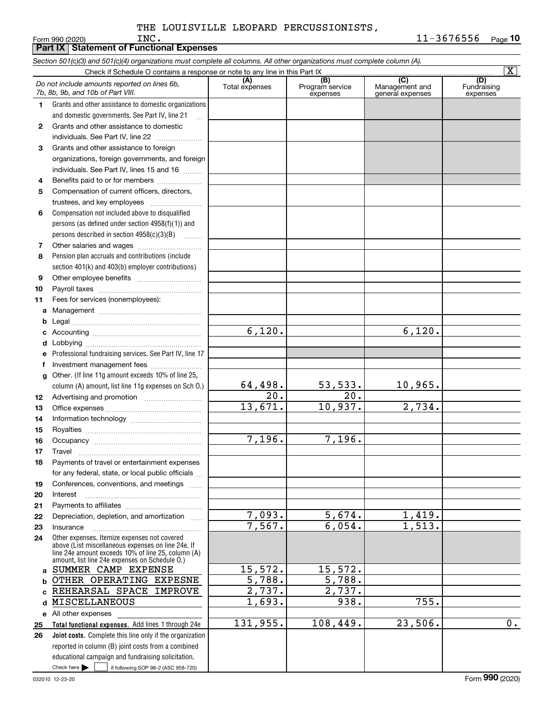|              | Section 501(c)(3) and 501(c)(4) organizations must complete all columns. All other organizations must complete column (A).                                                                                 |                       |                                    |                                           |                                |
|--------------|------------------------------------------------------------------------------------------------------------------------------------------------------------------------------------------------------------|-----------------------|------------------------------------|-------------------------------------------|--------------------------------|
|              | Check if Schedule O contains a response or note to any line in this Part IX                                                                                                                                |                       |                                    |                                           | $\overline{\mathbf{X}}$        |
|              | Do not include amounts reported on lines 6b,<br>7b, 8b, 9b, and 10b of Part VIII.                                                                                                                          | (A)<br>Total expenses | (B)<br>Program service<br>expenses | (C)<br>Management and<br>general expenses | (D)<br>Fundraising<br>expenses |
| 1.           | Grants and other assistance to domestic organizations                                                                                                                                                      |                       |                                    |                                           |                                |
|              | and domestic governments. See Part IV, line 21                                                                                                                                                             |                       |                                    |                                           |                                |
| $\mathbf{2}$ | Grants and other assistance to domestic                                                                                                                                                                    |                       |                                    |                                           |                                |
|              | individuals. See Part IV, line 22                                                                                                                                                                          |                       |                                    |                                           |                                |
| 3            | Grants and other assistance to foreign                                                                                                                                                                     |                       |                                    |                                           |                                |
|              | organizations, foreign governments, and foreign                                                                                                                                                            |                       |                                    |                                           |                                |
|              | individuals. See Part IV, lines 15 and 16                                                                                                                                                                  |                       |                                    |                                           |                                |
| 4            | Benefits paid to or for members                                                                                                                                                                            |                       |                                    |                                           |                                |
| 5            | Compensation of current officers, directors,                                                                                                                                                               |                       |                                    |                                           |                                |
|              | trustees, and key employees                                                                                                                                                                                |                       |                                    |                                           |                                |
| 6            | Compensation not included above to disqualified                                                                                                                                                            |                       |                                    |                                           |                                |
|              | persons (as defined under section 4958(f)(1)) and                                                                                                                                                          |                       |                                    |                                           |                                |
|              | persons described in section $4958(c)(3)(B)$                                                                                                                                                               |                       |                                    |                                           |                                |
| 7            |                                                                                                                                                                                                            |                       |                                    |                                           |                                |
| 8            | Pension plan accruals and contributions (include                                                                                                                                                           |                       |                                    |                                           |                                |
|              | section 401(k) and 403(b) employer contributions)                                                                                                                                                          |                       |                                    |                                           |                                |
| 9            |                                                                                                                                                                                                            |                       |                                    |                                           |                                |
| 10           |                                                                                                                                                                                                            |                       |                                    |                                           |                                |
| 11           | Fees for services (nonemployees):                                                                                                                                                                          |                       |                                    |                                           |                                |
| а            |                                                                                                                                                                                                            |                       |                                    |                                           |                                |
| b            |                                                                                                                                                                                                            |                       |                                    |                                           |                                |
| с            |                                                                                                                                                                                                            | 6,120.                |                                    | 6,120.                                    |                                |
| d            |                                                                                                                                                                                                            |                       |                                    |                                           |                                |
|              | Professional fundraising services. See Part IV, line 17                                                                                                                                                    |                       |                                    |                                           |                                |
| f            | Investment management fees                                                                                                                                                                                 |                       |                                    |                                           |                                |
| g            | Other. (If line 11g amount exceeds 10% of line 25,                                                                                                                                                         |                       |                                    |                                           |                                |
|              | column (A) amount, list line 11g expenses on Sch O.)                                                                                                                                                       | 64,498.               | <u>53,533.</u>                     | 10,965.                                   |                                |
| 12           |                                                                                                                                                                                                            | $\overline{20}$ .     | $\overline{20}$ .                  |                                           |                                |
| 13           |                                                                                                                                                                                                            | 13,671.               | 10,937.                            | 2,734.                                    |                                |
| 14           |                                                                                                                                                                                                            |                       |                                    |                                           |                                |
| 15           |                                                                                                                                                                                                            |                       |                                    |                                           |                                |
| 16           |                                                                                                                                                                                                            | 7,196.                | 7,196.                             |                                           |                                |
| 17           |                                                                                                                                                                                                            |                       |                                    |                                           |                                |
| 18           | Payments of travel or entertainment expenses                                                                                                                                                               |                       |                                    |                                           |                                |
|              | for any federal, state, or local public officials                                                                                                                                                          |                       |                                    |                                           |                                |
| 19           | Conferences, conventions, and meetings                                                                                                                                                                     |                       |                                    |                                           |                                |
| 20           | Interest                                                                                                                                                                                                   |                       |                                    |                                           |                                |
| 21           |                                                                                                                                                                                                            |                       |                                    |                                           |                                |
| 22           | Depreciation, depletion, and amortization                                                                                                                                                                  | 7,093.                | 5,674.                             | 1,419.                                    |                                |
| 23           | Insurance                                                                                                                                                                                                  | 7,567.                | 6,054.                             | 1,513.                                    |                                |
| 24           | Other expenses. Itemize expenses not covered<br>above (List miscellaneous expenses on line 24e. If<br>line 24e amount exceeds 10% of line 25, column (A)<br>amount, list line 24e expenses on Schedule O.) |                       |                                    |                                           |                                |
| a            | SUMMER CAMP EXPENSE                                                                                                                                                                                        | 15,572.               | 15,572.                            |                                           |                                |
| b            | OTHER OPERATING EXPESNE                                                                                                                                                                                    | 5,788.                | 5,788.                             |                                           |                                |
| c            | REHEARSAL SPACE<br><b>IMPROVE</b>                                                                                                                                                                          | 2,737.                | 2,737.                             |                                           |                                |
| d            | MISCELLANEOUS                                                                                                                                                                                              | 1,693.                | 938.                               | 755.                                      |                                |
|              | e All other expenses                                                                                                                                                                                       |                       |                                    |                                           |                                |
| 25           | Total functional expenses. Add lines 1 through 24e                                                                                                                                                         | 131,955.              | 108,449.                           | 23,506.                                   | $\overline{0}$ .               |
| 26           | <b>Joint costs.</b> Complete this line only if the organization                                                                                                                                            |                       |                                    |                                           |                                |
|              | reported in column (B) joint costs from a combined                                                                                                                                                         |                       |                                    |                                           |                                |
|              | educational campaign and fundraising solicitation.                                                                                                                                                         |                       |                                    |                                           |                                |
|              | Check here $\blacktriangleright$<br>if following SOP 98-2 (ASC 958-720)                                                                                                                                    |                       |                                    |                                           |                                |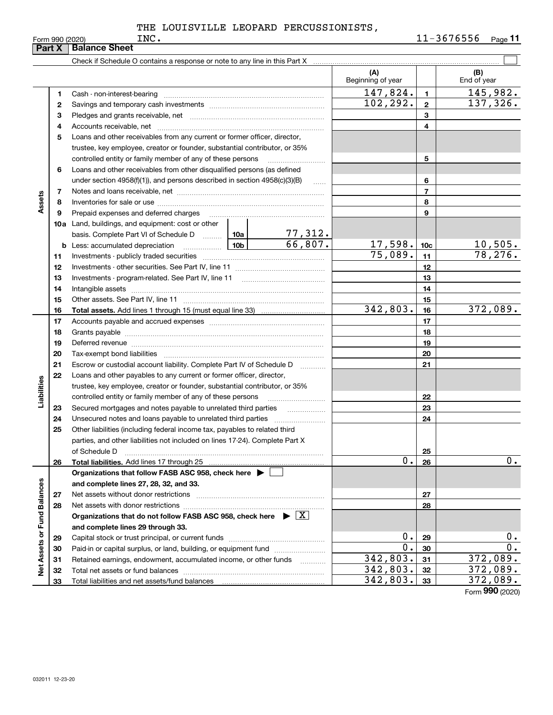|                             | Part X | <b>Balance Sheet</b>                                                                                                |                 |                           |                          |                 |                    |
|-----------------------------|--------|---------------------------------------------------------------------------------------------------------------------|-----------------|---------------------------|--------------------------|-----------------|--------------------|
|                             |        |                                                                                                                     |                 |                           |                          |                 |                    |
|                             |        |                                                                                                                     |                 |                           | (A)<br>Beginning of year |                 | (B)<br>End of year |
|                             | 1      |                                                                                                                     |                 |                           | 147,824.                 | $\blacksquare$  | 145,982.           |
|                             | 2      |                                                                                                                     |                 |                           | 102, 292.                | $\mathbf{2}$    | 137, 326.          |
|                             | з      |                                                                                                                     |                 |                           |                          | 3               |                    |
|                             | 4      |                                                                                                                     |                 |                           |                          | 4               |                    |
|                             | 5      | Loans and other receivables from any current or former officer, director,                                           |                 |                           |                          |                 |                    |
|                             |        | trustee, key employee, creator or founder, substantial contributor, or 35%                                          |                 |                           |                          |                 |                    |
|                             |        | controlled entity or family member of any of these persons                                                          |                 |                           |                          | 5               |                    |
|                             | 6      | Loans and other receivables from other disqualified persons (as defined                                             |                 |                           |                          |                 |                    |
|                             |        | under section $4958(f)(1)$ , and persons described in section $4958(c)(3)(B)$                                       |                 | $\ldots$                  |                          | 6               |                    |
|                             | 7      |                                                                                                                     |                 |                           |                          | $\overline{7}$  |                    |
| Assets                      | 8      |                                                                                                                     |                 |                           |                          | 8               |                    |
|                             | 9      | Prepaid expenses and deferred charges                                                                               |                 |                           |                          | 9               |                    |
|                             |        | <b>10a</b> Land, buildings, and equipment: cost or other                                                            |                 |                           |                          |                 |                    |
|                             |        | basis. Complete Part VI of Schedule D  10a                                                                          |                 |                           |                          |                 |                    |
|                             |        | <b>b</b> Less: accumulated depreciation<br>$\ldots \ldots \ldots \ldots$                                            | 10 <sub>b</sub> | $\frac{77,312}{66,807}$ . | 17,598.                  | 10 <sub>c</sub> | <u>10,505.</u>     |
|                             | 11     |                                                                                                                     |                 |                           | 75,089.                  | 11              | 78, 276.           |
|                             | 12     |                                                                                                                     |                 |                           |                          | 12              |                    |
|                             | 13     |                                                                                                                     |                 |                           |                          | 13              |                    |
|                             | 14     |                                                                                                                     |                 |                           |                          | 14              |                    |
|                             | 15     |                                                                                                                     |                 |                           |                          | 15              |                    |
|                             | 16     |                                                                                                                     |                 |                           | 342,803.                 | 16              | 372,089.           |
|                             | 17     |                                                                                                                     |                 |                           |                          | 17              |                    |
|                             | 18     |                                                                                                                     |                 |                           |                          | 18              |                    |
|                             | 19     | Deferred revenue manual contracts and contracts are all the manual contracts and contracts are all the contracts of |                 |                           |                          | 19              |                    |
|                             | 20     |                                                                                                                     |                 |                           |                          | 20              |                    |
|                             | 21     | Escrow or custodial account liability. Complete Part IV of Schedule D                                               |                 | .                         |                          | 21              |                    |
|                             | 22     | Loans and other payables to any current or former officer, director,                                                |                 |                           |                          |                 |                    |
| Liabilities                 |        | trustee, key employee, creator or founder, substantial contributor, or 35%                                          |                 |                           |                          |                 |                    |
|                             |        | controlled entity or family member of any of these persons                                                          |                 |                           |                          | 22              |                    |
|                             | 23     | Secured mortgages and notes payable to unrelated third parties                                                      |                 | .                         |                          | 23              |                    |
|                             | 24     |                                                                                                                     |                 |                           |                          | 24              |                    |
|                             | 25     | Other liabilities (including federal income tax, payables to related third                                          |                 |                           |                          |                 |                    |
|                             |        | parties, and other liabilities not included on lines 17-24). Complete Part X                                        |                 |                           |                          |                 |                    |
|                             |        | of Schedule D                                                                                                       |                 | 25                        |                          |                 |                    |
|                             | 26     |                                                                                                                     |                 | 0.                        | 26                       | 0.              |                    |
|                             |        | Organizations that follow FASB ASC 958, check here >                                                                |                 |                           |                          |                 |                    |
|                             |        | and complete lines 27, 28, 32, and 33.                                                                              |                 |                           |                          |                 |                    |
|                             | 27     | Net assets without donor restrictions                                                                               |                 |                           |                          | 27              |                    |
|                             | 28     |                                                                                                                     |                 |                           |                          | 28              |                    |
|                             |        | Organizations that do not follow FASB ASC 958, check here $\triangleright \lfloor X \rfloor$                        |                 |                           |                          |                 |                    |
|                             |        | and complete lines 29 through 33.                                                                                   |                 |                           |                          |                 |                    |
|                             | 29     |                                                                                                                     |                 |                           | $0$ .                    | 29              | $0$ .              |
| Net Assets or Fund Balances | 30     | Paid-in or capital surplus, or land, building, or equipment fund                                                    |                 |                           | 0.                       | 30              | 0.                 |
|                             | 31     | Retained earnings, endowment, accumulated income, or other funds                                                    |                 |                           | 342,803.                 | 31              | 372,089.           |
|                             | 32     |                                                                                                                     |                 |                           | 342,803.                 | 32              | 372,089.           |
|                             | 33     |                                                                                                                     |                 |                           | 342,803.                 | 33              | 372,089.           |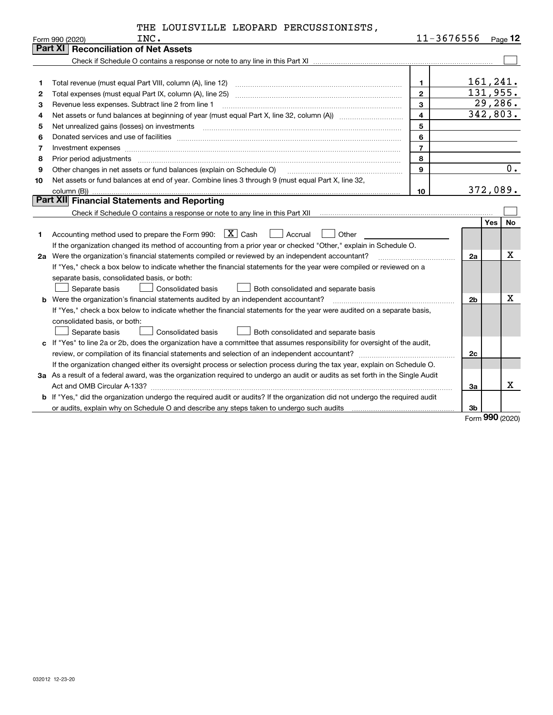|  | THE LOUISVILLE LEOPARD PERCUSSIONISTS, |
|--|----------------------------------------|
|  |                                        |

|    | INC.<br>Form 990 (2020)                                                                                                         | 11-3676556              |                |            | $Page$ 12 |
|----|---------------------------------------------------------------------------------------------------------------------------------|-------------------------|----------------|------------|-----------|
|    | Part XI   Reconciliation of Net Assets                                                                                          |                         |                |            |           |
|    |                                                                                                                                 |                         |                |            |           |
|    |                                                                                                                                 |                         |                |            |           |
|    | Total revenue (must equal Part VIII, column (A), line 12)                                                                       | $\mathbf 1$             | 161,241.       |            |           |
| 2  |                                                                                                                                 | $\overline{2}$          | 131,955.       |            |           |
| 3  | Revenue less expenses. Subtract line 2 from line 1                                                                              | 3                       |                |            | 29,286.   |
| 4  | Net assets or fund balances at beginning of year (must equal Part X, line 32, column (A))                                       | $\overline{\mathbf{4}}$ | 342,803.       |            |           |
| 5  | Net unrealized gains (losses) on investments                                                                                    | 5                       |                |            |           |
| 6  |                                                                                                                                 | 6                       |                |            |           |
| 7  | Investment expenses www.communication.com/www.communication.com/www.communication.com/www.com                                   | $\overline{7}$          |                |            |           |
| 8  | Prior period adjustments                                                                                                        | 8                       |                |            |           |
| 9  | Other changes in net assets or fund balances (explain on Schedule O)                                                            | 9                       |                |            | 0.        |
| 10 | Net assets or fund balances at end of year. Combine lines 3 through 9 (must equal Part X, line 32,                              |                         |                |            |           |
|    | column (B)).                                                                                                                    | 10                      | 372,089.       |            |           |
|    | Part XII Financial Statements and Reporting                                                                                     |                         |                |            |           |
|    |                                                                                                                                 |                         |                |            |           |
|    |                                                                                                                                 |                         |                | <b>Yes</b> | No        |
| 1  | Accounting method used to prepare the Form 990: $X$ Cash<br>  Accrual<br>Other                                                  |                         |                |            |           |
|    | If the organization changed its method of accounting from a prior year or checked "Other," explain in Schedule O.               |                         |                |            |           |
|    | 2a Were the organization's financial statements compiled or reviewed by an independent accountant?                              |                         | 2a             |            | X         |
|    | If "Yes," check a box below to indicate whether the financial statements for the year were compiled or reviewed on a            |                         |                |            |           |
|    | separate basis, consolidated basis, or both:                                                                                    |                         |                |            |           |
|    | Separate basis<br>Consolidated basis<br>Both consolidated and separate basis                                                    |                         |                |            |           |
|    | <b>b</b> Were the organization's financial statements audited by an independent accountant?                                     |                         | 2 <sub>b</sub> |            | X         |
|    | If "Yes," check a box below to indicate whether the financial statements for the year were audited on a separate basis,         |                         |                |            |           |
|    | consolidated basis, or both:                                                                                                    |                         |                |            |           |
|    | Separate basis<br><b>Consolidated basis</b><br>Both consolidated and separate basis                                             |                         |                |            |           |
|    | c If "Yes" to line 2a or 2b, does the organization have a committee that assumes responsibility for oversight of the audit,     |                         |                |            |           |
|    |                                                                                                                                 |                         | 2c             |            |           |
|    | If the organization changed either its oversight process or selection process during the tax year, explain on Schedule O.       |                         |                |            |           |
|    | 3a As a result of a federal award, was the organization required to undergo an audit or audits as set forth in the Single Audit |                         |                |            |           |
|    |                                                                                                                                 |                         | За             |            | x         |
|    | b If "Yes," did the organization undergo the required audit or audits? If the organization did not undergo the required audit   |                         |                |            |           |
|    |                                                                                                                                 |                         | 3b             |            |           |

Form (2020) **990**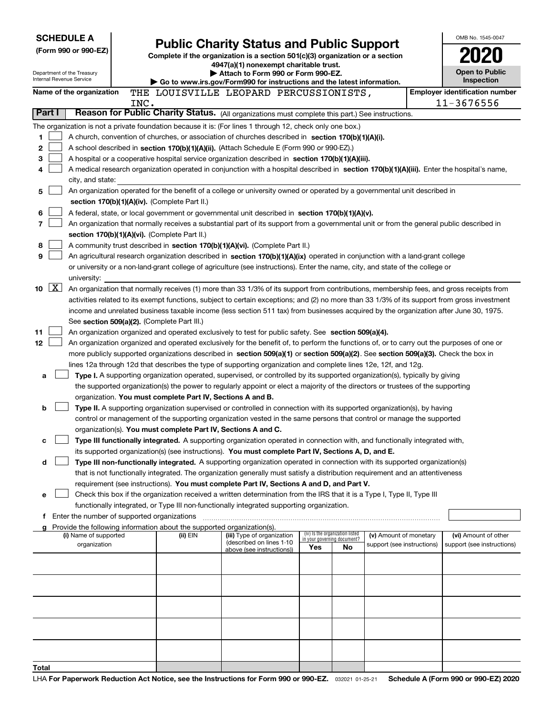| <b>SCHEDULE A</b>        |                                               |      |                                                                                                                                  |                                                                                                                                                                                                                                                      |                                                                |    |                            |  | OMB No. 1545-0047                     |
|--------------------------|-----------------------------------------------|------|----------------------------------------------------------------------------------------------------------------------------------|------------------------------------------------------------------------------------------------------------------------------------------------------------------------------------------------------------------------------------------------------|----------------------------------------------------------------|----|----------------------------|--|---------------------------------------|
| (Form 990 or 990-EZ)     |                                               |      | <b>Public Charity Status and Public Support</b><br>Complete if the organization is a section 501(c)(3) organization or a section |                                                                                                                                                                                                                                                      |                                                                |    |                            |  |                                       |
|                          |                                               |      |                                                                                                                                  | 4947(a)(1) nonexempt charitable trust.                                                                                                                                                                                                               |                                                                |    |                            |  |                                       |
| Internal Revenue Service | Department of the Treasury                    |      |                                                                                                                                  | Attach to Form 990 or Form 990-EZ.<br>Go to www.irs.gov/Form990 for instructions and the latest information.                                                                                                                                         |                                                                |    |                            |  | Open to Public<br>Inspection          |
|                          | Name of the organization                      |      |                                                                                                                                  | THE LOUISVILLE LEOPARD PERCUSSIONISTS,                                                                                                                                                                                                               |                                                                |    |                            |  | <b>Employer identification number</b> |
|                          |                                               | INC. |                                                                                                                                  |                                                                                                                                                                                                                                                      |                                                                |    |                            |  | 11-3676556                            |
| Part I                   |                                               |      |                                                                                                                                  | Reason for Public Charity Status. (All organizations must complete this part.) See instructions.                                                                                                                                                     |                                                                |    |                            |  |                                       |
|                          |                                               |      |                                                                                                                                  | The organization is not a private foundation because it is: (For lines 1 through 12, check only one box.)                                                                                                                                            |                                                                |    |                            |  |                                       |
| 1                        |                                               |      |                                                                                                                                  | A church, convention of churches, or association of churches described in section 170(b)(1)(A)(i).                                                                                                                                                   |                                                                |    |                            |  |                                       |
| 2                        |                                               |      |                                                                                                                                  | A school described in section 170(b)(1)(A)(ii). (Attach Schedule E (Form 990 or 990-EZ).)                                                                                                                                                            |                                                                |    |                            |  |                                       |
| 3                        |                                               |      |                                                                                                                                  | A hospital or a cooperative hospital service organization described in section $170(b)(1)(A)(iii)$ .                                                                                                                                                 |                                                                |    |                            |  |                                       |
| 4                        | city, and state:                              |      |                                                                                                                                  | A medical research organization operated in conjunction with a hospital described in section 170(b)(1)(A)(iii). Enter the hospital's name,                                                                                                           |                                                                |    |                            |  |                                       |
| 5                        |                                               |      |                                                                                                                                  | An organization operated for the benefit of a college or university owned or operated by a governmental unit described in                                                                                                                            |                                                                |    |                            |  |                                       |
|                          |                                               |      | section 170(b)(1)(A)(iv). (Complete Part II.)                                                                                    |                                                                                                                                                                                                                                                      |                                                                |    |                            |  |                                       |
| 6                        |                                               |      |                                                                                                                                  | A federal, state, or local government or governmental unit described in section 170(b)(1)(A)(v).                                                                                                                                                     |                                                                |    |                            |  |                                       |
| 7                        |                                               |      |                                                                                                                                  | An organization that normally receives a substantial part of its support from a governmental unit or from the general public described in                                                                                                            |                                                                |    |                            |  |                                       |
|                          |                                               |      | section 170(b)(1)(A)(vi). (Complete Part II.)                                                                                    |                                                                                                                                                                                                                                                      |                                                                |    |                            |  |                                       |
| 8                        |                                               |      |                                                                                                                                  | A community trust described in section 170(b)(1)(A)(vi). (Complete Part II.)                                                                                                                                                                         |                                                                |    |                            |  |                                       |
| 9                        |                                               |      |                                                                                                                                  | An agricultural research organization described in section 170(b)(1)(A)(ix) operated in conjunction with a land-grant college                                                                                                                        |                                                                |    |                            |  |                                       |
|                          | university:                                   |      |                                                                                                                                  | or university or a non-land-grant college of agriculture (see instructions). Enter the name, city, and state of the college or                                                                                                                       |                                                                |    |                            |  |                                       |
| $\vert$ X $\vert$<br>10  |                                               |      |                                                                                                                                  | An organization that normally receives (1) more than 33 1/3% of its support from contributions, membership fees, and gross receipts from                                                                                                             |                                                                |    |                            |  |                                       |
|                          |                                               |      |                                                                                                                                  | activities related to its exempt functions, subject to certain exceptions; and (2) no more than 33 1/3% of its support from gross investment                                                                                                         |                                                                |    |                            |  |                                       |
|                          |                                               |      |                                                                                                                                  | income and unrelated business taxable income (less section 511 tax) from businesses acquired by the organization after June 30, 1975.                                                                                                                |                                                                |    |                            |  |                                       |
|                          |                                               |      | See section 509(a)(2). (Complete Part III.)                                                                                      |                                                                                                                                                                                                                                                      |                                                                |    |                            |  |                                       |
| 11                       |                                               |      |                                                                                                                                  | An organization organized and operated exclusively to test for public safety. See section 509(a)(4).                                                                                                                                                 |                                                                |    |                            |  |                                       |
| 12                       |                                               |      |                                                                                                                                  | An organization organized and operated exclusively for the benefit of, to perform the functions of, or to carry out the purposes of one or                                                                                                           |                                                                |    |                            |  |                                       |
|                          |                                               |      |                                                                                                                                  | more publicly supported organizations described in section 509(a)(1) or section 509(a)(2). See section 509(a)(3). Check the box in<br>lines 12a through 12d that describes the type of supporting organization and complete lines 12e, 12f, and 12g. |                                                                |    |                            |  |                                       |
| a                        |                                               |      |                                                                                                                                  | Type I. A supporting organization operated, supervised, or controlled by its supported organization(s), typically by giving                                                                                                                          |                                                                |    |                            |  |                                       |
|                          |                                               |      |                                                                                                                                  | the supported organization(s) the power to regularly appoint or elect a majority of the directors or trustees of the supporting                                                                                                                      |                                                                |    |                            |  |                                       |
|                          |                                               |      | organization. You must complete Part IV, Sections A and B.                                                                       |                                                                                                                                                                                                                                                      |                                                                |    |                            |  |                                       |
| b                        |                                               |      |                                                                                                                                  | Type II. A supporting organization supervised or controlled in connection with its supported organization(s), by having                                                                                                                              |                                                                |    |                            |  |                                       |
|                          |                                               |      |                                                                                                                                  | control or management of the supporting organization vested in the same persons that control or manage the supported                                                                                                                                 |                                                                |    |                            |  |                                       |
|                          |                                               |      | organization(s). You must complete Part IV, Sections A and C.                                                                    |                                                                                                                                                                                                                                                      |                                                                |    |                            |  |                                       |
| с                        |                                               |      |                                                                                                                                  | Type III functionally integrated. A supporting organization operated in connection with, and functionally integrated with,<br>its supported organization(s) (see instructions). You must complete Part IV, Sections A, D, and E.                     |                                                                |    |                            |  |                                       |
| d                        |                                               |      |                                                                                                                                  | Type III non-functionally integrated. A supporting organization operated in connection with its supported organization(s)                                                                                                                            |                                                                |    |                            |  |                                       |
|                          |                                               |      |                                                                                                                                  | that is not functionally integrated. The organization generally must satisfy a distribution requirement and an attentiveness                                                                                                                         |                                                                |    |                            |  |                                       |
|                          |                                               |      |                                                                                                                                  | requirement (see instructions). You must complete Part IV, Sections A and D, and Part V.                                                                                                                                                             |                                                                |    |                            |  |                                       |
| е                        |                                               |      |                                                                                                                                  | Check this box if the organization received a written determination from the IRS that it is a Type I, Type II, Type III                                                                                                                              |                                                                |    |                            |  |                                       |
|                          |                                               |      |                                                                                                                                  | functionally integrated, or Type III non-functionally integrated supporting organization.                                                                                                                                                            |                                                                |    |                            |  |                                       |
|                          | f Enter the number of supported organizations |      |                                                                                                                                  |                                                                                                                                                                                                                                                      |                                                                |    |                            |  |                                       |
|                          | (i) Name of supported                         |      | Provide the following information about the supported organization(s).<br>(ii) EIN                                               | (iii) Type of organization                                                                                                                                                                                                                           | (iv) Is the organization listed<br>in your governing document? |    | (v) Amount of monetary     |  | (vi) Amount of other                  |
|                          | organization                                  |      |                                                                                                                                  | (described on lines 1-10<br>above (see instructions))                                                                                                                                                                                                | Yes                                                            | No | support (see instructions) |  | support (see instructions)            |
|                          |                                               |      |                                                                                                                                  |                                                                                                                                                                                                                                                      |                                                                |    |                            |  |                                       |
|                          |                                               |      |                                                                                                                                  |                                                                                                                                                                                                                                                      |                                                                |    |                            |  |                                       |
|                          |                                               |      |                                                                                                                                  |                                                                                                                                                                                                                                                      |                                                                |    |                            |  |                                       |
|                          |                                               |      |                                                                                                                                  |                                                                                                                                                                                                                                                      |                                                                |    |                            |  |                                       |
|                          |                                               |      |                                                                                                                                  |                                                                                                                                                                                                                                                      |                                                                |    |                            |  |                                       |
|                          |                                               |      |                                                                                                                                  |                                                                                                                                                                                                                                                      |                                                                |    |                            |  |                                       |
|                          |                                               |      |                                                                                                                                  |                                                                                                                                                                                                                                                      |                                                                |    |                            |  |                                       |
|                          |                                               |      |                                                                                                                                  |                                                                                                                                                                                                                                                      |                                                                |    |                            |  |                                       |
|                          |                                               |      |                                                                                                                                  |                                                                                                                                                                                                                                                      |                                                                |    |                            |  |                                       |
| Total                    |                                               |      |                                                                                                                                  |                                                                                                                                                                                                                                                      |                                                                |    |                            |  |                                       |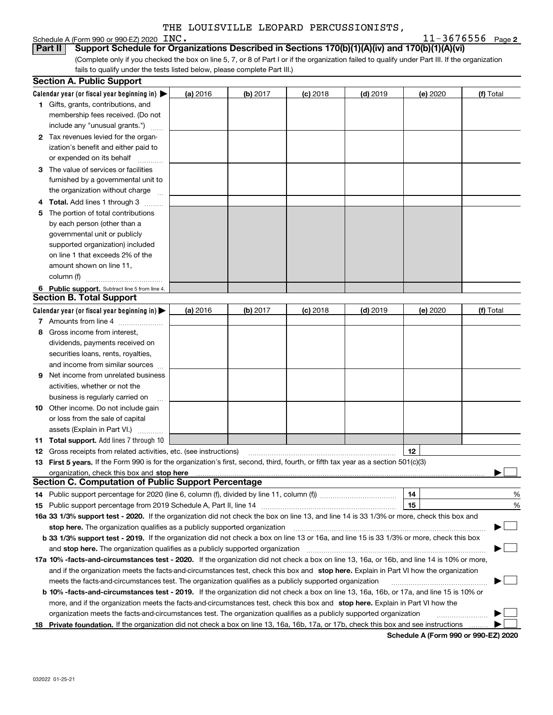# Schedule A (Form 990 or 990-EZ) 2020 INC.<br>**Part II** Support Schedule for Orga

**2** INC. 11-3676556

(Complete only if you checked the box on line 5, 7, or 8 of Part I or if the organization failed to qualify under Part III. If the organization fails to qualify under the tests listed below, please complete Part III.) **Part II Support Schedule for Organizations Described in Sections 170(b)(1)(A)(iv) and 170(b)(1)(A)(vi)** 

|    | <b>Section A. Public Support</b>                                                                                                               |          |          |            |            |                                      |                          |
|----|------------------------------------------------------------------------------------------------------------------------------------------------|----------|----------|------------|------------|--------------------------------------|--------------------------|
|    | Calendar year (or fiscal year beginning in) $\blacktriangleright$                                                                              | (a) 2016 | (b) 2017 | $(c)$ 2018 | $(d)$ 2019 | (e) 2020                             | (f) Total                |
|    | <b>1</b> Gifts, grants, contributions, and                                                                                                     |          |          |            |            |                                      |                          |
|    | membership fees received. (Do not                                                                                                              |          |          |            |            |                                      |                          |
|    | include any "unusual grants.")                                                                                                                 |          |          |            |            |                                      |                          |
|    | 2 Tax revenues levied for the organ-                                                                                                           |          |          |            |            |                                      |                          |
|    | ization's benefit and either paid to                                                                                                           |          |          |            |            |                                      |                          |
|    | or expended on its behalf                                                                                                                      |          |          |            |            |                                      |                          |
|    | 3 The value of services or facilities                                                                                                          |          |          |            |            |                                      |                          |
|    | furnished by a governmental unit to                                                                                                            |          |          |            |            |                                      |                          |
|    | the organization without charge                                                                                                                |          |          |            |            |                                      |                          |
|    | 4 Total. Add lines 1 through 3                                                                                                                 |          |          |            |            |                                      |                          |
| 5. | The portion of total contributions                                                                                                             |          |          |            |            |                                      |                          |
|    | by each person (other than a                                                                                                                   |          |          |            |            |                                      |                          |
|    | governmental unit or publicly                                                                                                                  |          |          |            |            |                                      |                          |
|    | supported organization) included                                                                                                               |          |          |            |            |                                      |                          |
|    | on line 1 that exceeds 2% of the                                                                                                               |          |          |            |            |                                      |                          |
|    | amount shown on line 11,                                                                                                                       |          |          |            |            |                                      |                          |
|    | column (f)                                                                                                                                     |          |          |            |            |                                      |                          |
|    | 6 Public support. Subtract line 5 from line 4.<br><b>Section B. Total Support</b>                                                              |          |          |            |            |                                      |                          |
|    |                                                                                                                                                |          |          |            |            |                                      |                          |
|    | Calendar year (or fiscal year beginning in) $\blacktriangleright$                                                                              | (a) 2016 | (b) 2017 | $(c)$ 2018 | $(d)$ 2019 | (e) 2020                             | (f) Total                |
|    | 7 Amounts from line 4                                                                                                                          |          |          |            |            |                                      |                          |
|    | 8 Gross income from interest,                                                                                                                  |          |          |            |            |                                      |                          |
|    | dividends, payments received on                                                                                                                |          |          |            |            |                                      |                          |
|    | securities loans, rents, royalties,                                                                                                            |          |          |            |            |                                      |                          |
|    | and income from similar sources<br>Net income from unrelated business                                                                          |          |          |            |            |                                      |                          |
| 9. | activities, whether or not the                                                                                                                 |          |          |            |            |                                      |                          |
|    | business is regularly carried on                                                                                                               |          |          |            |            |                                      |                          |
|    | <b>10</b> Other income. Do not include gain                                                                                                    |          |          |            |            |                                      |                          |
|    | or loss from the sale of capital                                                                                                               |          |          |            |            |                                      |                          |
|    | assets (Explain in Part VI.)                                                                                                                   |          |          |            |            |                                      |                          |
|    | <b>11 Total support.</b> Add lines 7 through 10                                                                                                |          |          |            |            |                                      |                          |
|    | <b>12</b> Gross receipts from related activities, etc. (see instructions)                                                                      |          |          |            |            | 12                                   |                          |
|    | 13 First 5 years. If the Form 990 is for the organization's first, second, third, fourth, or fifth tax year as a section 501(c)(3)             |          |          |            |            |                                      |                          |
|    |                                                                                                                                                |          |          |            |            |                                      |                          |
|    | <b>Section C. Computation of Public Support Percentage</b>                                                                                     |          |          |            |            |                                      |                          |
|    | 14 Public support percentage for 2020 (line 6, column (f), divided by line 11, column (f)) <i></i>                                             |          |          |            |            | 14                                   | %                        |
|    |                                                                                                                                                |          |          |            |            | 15                                   | %                        |
|    | 16a 33 1/3% support test - 2020. If the organization did not check the box on line 13, and line 14 is 33 1/3% or more, check this box and      |          |          |            |            |                                      |                          |
|    | stop here. The organization qualifies as a publicly supported organization                                                                     |          |          |            |            |                                      | $\overline{\phantom{a}}$ |
|    | b 33 1/3% support test - 2019. If the organization did not check a box on line 13 or 16a, and line 15 is 33 1/3% or more, check this box       |          |          |            |            |                                      |                          |
|    | and stop here. The organization qualifies as a publicly supported organization                                                                 |          |          |            |            |                                      |                          |
|    | 17a 10% -facts-and-circumstances test - 2020. If the organization did not check a box on line 13, 16a, or 16b, and line 14 is 10% or more,     |          |          |            |            |                                      |                          |
|    | and if the organization meets the facts and circumstances test, check this box and stop here. Explain in Part VI how the organization          |          |          |            |            |                                      |                          |
|    | meets the facts-and-circumstances test. The organization qualifies as a publicly supported organization                                        |          |          |            |            |                                      |                          |
|    | <b>b 10% -facts-and-circumstances test - 2019.</b> If the organization did not check a box on line 13, 16a, 16b, or 17a, and line 15 is 10% or |          |          |            |            |                                      |                          |
|    | more, and if the organization meets the facts-and-circumstances test, check this box and stop here. Explain in Part VI how the                 |          |          |            |            |                                      |                          |
|    | organization meets the facts-and-circumstances test. The organization qualifies as a publicly supported organization                           |          |          |            |            |                                      |                          |
| 18 | Private foundation. If the organization did not check a box on line 13, 16a, 16b, 17a, or 17b, check this box and see instructions             |          |          |            |            |                                      |                          |
|    |                                                                                                                                                |          |          |            |            | Schedule A (Form 990 or 990-EZ) 2020 |                          |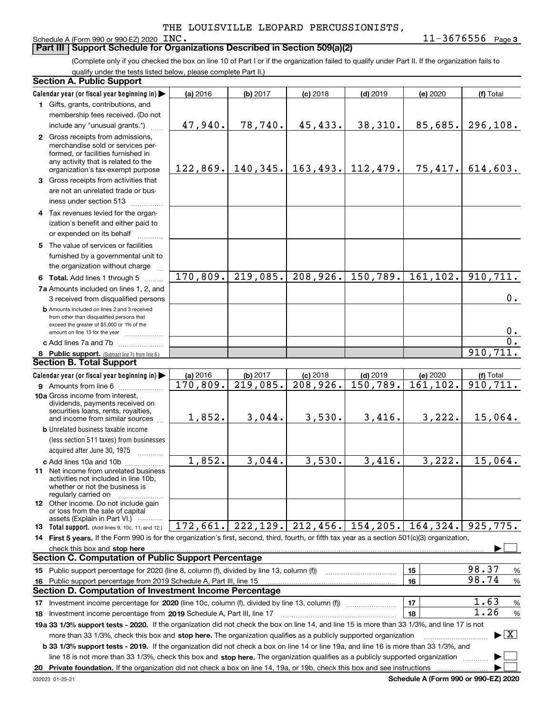### Schedule A (Form 990 or 990-EZ) 2020 INC.

**3** INC. 11-3676556

(Complete only if you checked the box on line 10 of Part I or if the organization failed to qualify under Part II. If the organization fails to **Part III** | Support Schedule for Organizations Described in Section 509(a)(2)

qualify under the tests listed below, please complete Part II.)

| <b>Section A. Public Support</b> |                                                                                                                                                                                               |            |                                          |            |            |                                             |                                          |
|----------------------------------|-----------------------------------------------------------------------------------------------------------------------------------------------------------------------------------------------|------------|------------------------------------------|------------|------------|---------------------------------------------|------------------------------------------|
|                                  | Calendar year (or fiscal year beginning in)                                                                                                                                                   | (a) 2016   | (b) 2017                                 | $(c)$ 2018 | $(d)$ 2019 | (e) 2020                                    | (f) Total                                |
|                                  | 1 Gifts, grants, contributions, and                                                                                                                                                           |            |                                          |            |            |                                             |                                          |
|                                  | membership fees received. (Do not                                                                                                                                                             |            |                                          |            |            |                                             |                                          |
|                                  | include any "unusual grants.")                                                                                                                                                                | 47,940.    | 78,740.                                  | 45,433.    | 38,310.    | 85,685.                                     | 296, 108.                                |
|                                  | 2 Gross receipts from admissions,<br>merchandise sold or services per-<br>formed, or facilities furnished in<br>any activity that is related to the<br>organization's tax-exempt purpose      |            | $122,869.$ 140, 345. 163, 493. 112, 479. |            |            | 75,417.                                     | 614,603.                                 |
|                                  | 3 Gross receipts from activities that                                                                                                                                                         |            |                                          |            |            |                                             |                                          |
|                                  | are not an unrelated trade or bus-<br>iness under section 513                                                                                                                                 |            |                                          |            |            |                                             |                                          |
|                                  | 4 Tax revenues levied for the organ-                                                                                                                                                          |            |                                          |            |            |                                             |                                          |
|                                  | ization's benefit and either paid to<br>or expended on its behalf                                                                                                                             |            |                                          |            |            |                                             |                                          |
|                                  | 5 The value of services or facilities                                                                                                                                                         |            |                                          |            |            |                                             |                                          |
|                                  | furnished by a governmental unit to<br>the organization without charge                                                                                                                        |            |                                          |            |            |                                             |                                          |
|                                  | 6 Total. Add lines 1 through 5                                                                                                                                                                | 170,809.   | 219,085.                                 | 208,926.   | 150, 789.  | 161, 102.                                   | 910, 711.                                |
|                                  | 7a Amounts included on lines 1, 2, and                                                                                                                                                        |            |                                          |            |            |                                             |                                          |
|                                  | 3 received from disqualified persons                                                                                                                                                          |            |                                          |            |            |                                             | 0.                                       |
|                                  | <b>b</b> Amounts included on lines 2 and 3 received<br>from other than disqualified persons that<br>exceed the greater of \$5,000 or 1% of the<br>amount on line 13 for the year              |            |                                          |            |            |                                             | 0.                                       |
|                                  | c Add lines 7a and 7b                                                                                                                                                                         |            |                                          |            |            |                                             | $\overline{0}$ .                         |
|                                  | 8 Public support. (Subtract line 7c from line 6.)                                                                                                                                             |            |                                          |            |            |                                             | 910, 711.                                |
|                                  | <b>Section B. Total Support</b>                                                                                                                                                               |            |                                          |            |            |                                             |                                          |
|                                  | Calendar year (or fiscal year beginning in)                                                                                                                                                   | $(a)$ 2016 | (b) 2017                                 | $(c)$ 2018 | $(d)$ 2019 | (e) 2020                                    | (f) Total                                |
|                                  | 9 Amounts from line 6                                                                                                                                                                         | 170,809.   | 219,085.                                 | 208,926.   | 150, 789.  | 161, 102.                                   | 910, 711.                                |
|                                  | 10a Gross income from interest,<br>dividends, payments received on<br>securities loans, rents, royalties,<br>and income from similar sources                                                  | 1,852.     | 3,044.                                   | 3,530.     | 3,416.     | 3,222.                                      | 15,064.                                  |
|                                  | <b>b</b> Unrelated business taxable income<br>(less section 511 taxes) from businesses                                                                                                        |            |                                          |            |            |                                             |                                          |
|                                  | acquired after June 30, 1975                                                                                                                                                                  |            |                                          |            |            |                                             |                                          |
|                                  | c Add lines 10a and 10b<br>11 Net income from unrelated business<br>activities not included in line 10b,<br>whether or not the business is<br>regularly carried on                            | 1,852.     | 3,044.                                   | 3,530.     | 3,416.     | 3,222.                                      | 15,064.                                  |
|                                  | <b>12</b> Other income. Do not include gain<br>or loss from the sale of capital<br>assets (Explain in Part VI.)                                                                               |            |                                          |            |            |                                             |                                          |
|                                  | 13 Total support. (Add lines 9, 10c, 11, and 12.)                                                                                                                                             | 172,661.   | 222, 129.                                | 212, 456.  | 154, 205.  | 164,324.                                    | 925,775.                                 |
|                                  | 14 First 5 years. If the Form 990 is for the organization's first, second, third, fourth, or fifth tax year as a section 501(c)(3) organization,                                              |            |                                          |            |            |                                             |                                          |
|                                  | check this box and stop here manufactured and stream and stream and stream and stream and stream and stop here<br><b>Section C. Computation of Public Support Percentage</b>                  |            |                                          |            |            |                                             |                                          |
|                                  | 15 Public support percentage for 2020 (line 8, column (f), divided by line 13, column (f))                                                                                                    |            |                                          |            |            | 15                                          | 98.37<br>%                               |
| 16                               | Public support percentage from 2019 Schedule A, Part III, line 15                                                                                                                             |            |                                          |            |            | 16                                          | 98.74<br>%                               |
|                                  | <b>Section D. Computation of Investment Income Percentage</b>                                                                                                                                 |            |                                          |            |            |                                             |                                          |
|                                  |                                                                                                                                                                                               |            |                                          |            |            | 17                                          | 1.63<br>$\%$                             |
|                                  | 17 Investment income percentage for 2020 (line 10c, column (f), divided by line 13, column (f))<br>1.26<br>18<br>%<br>18 Investment income percentage from 2019 Schedule A, Part III, line 17 |            |                                          |            |            |                                             |                                          |
|                                  | 19a 33 1/3% support tests - 2020. If the organization did not check the box on line 14, and line 15 is more than 33 1/3%, and line 17 is not                                                  |            |                                          |            |            |                                             |                                          |
|                                  | more than 33 1/3%, check this box and stop here. The organization qualifies as a publicly supported organization                                                                              |            |                                          |            |            |                                             | $\blacktriangleright$ $\boxed{\text{X}}$ |
|                                  | <b>b 33 1/3% support tests - 2019.</b> If the organization did not check a box on line 14 or line 19a, and line 16 is more than 33 1/3%, and                                                  |            |                                          |            |            |                                             |                                          |
|                                  | line 18 is not more than 33 1/3%, check this box and stop here. The organization qualifies as a publicly supported organization                                                               |            |                                          |            |            |                                             |                                          |
|                                  | 20 Private foundation. If the organization did not check a box on line 14, 19a, or 19b, check this box and see instructions                                                                   |            |                                          |            |            | <b>Cohodulo A (Form 000 or 000 EZ) 2020</b> |                                          |

**Schedule A (Form 990 or 990-EZ) 2020**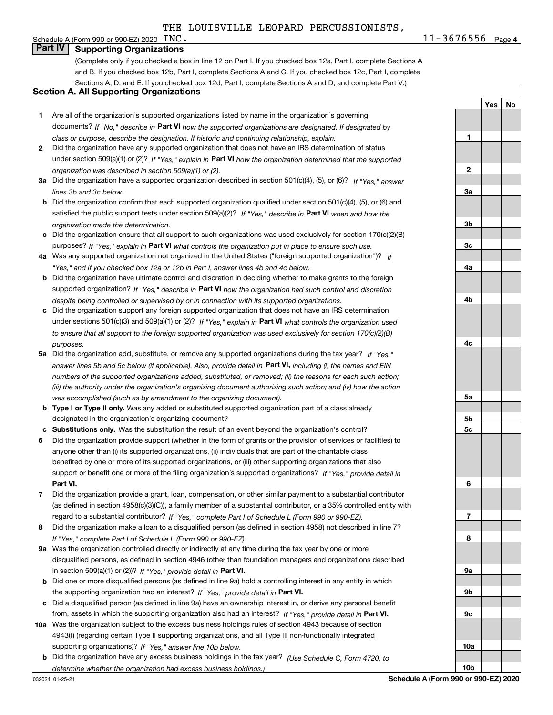Schedule A (Form 990 or 990-EZ) 2020  $\text{INC.}$ 

**4**INC. 11-3676556

**1**

**2**

**3a**

**3b**

**3c**

**4a**

**4b**

**4c**

**5a**

**5b5c**

**6**

**7**

**8**

**9a**

**9b**

**9c**

**10a**

**10b**

**Yes**

 **No**

## **Part IV Supporting Organizations**

(Complete only if you checked a box in line 12 on Part I. If you checked box 12a, Part I, complete Sections A and B. If you checked box 12b, Part I, complete Sections A and C. If you checked box 12c, Part I, complete Sections A, D, and E. If you checked box 12d, Part I, complete Sections A and D, and complete Part V.)

## **Section A. All Supporting Organizations**

- **1** Are all of the organization's supported organizations listed by name in the organization's governing documents? If "No," describe in **Part VI** how the supported organizations are designated. If designated by *class or purpose, describe the designation. If historic and continuing relationship, explain.*
- **2** Did the organization have any supported organization that does not have an IRS determination of status under section 509(a)(1) or (2)? If "Yes," explain in Part VI how the organization determined that the supported *organization was described in section 509(a)(1) or (2).*
- **3a** Did the organization have a supported organization described in section 501(c)(4), (5), or (6)? If "Yes," answer *lines 3b and 3c below.*
- **b** Did the organization confirm that each supported organization qualified under section 501(c)(4), (5), or (6) and satisfied the public support tests under section 509(a)(2)? If "Yes," describe in **Part VI** when and how the *organization made the determination.*
- **c**Did the organization ensure that all support to such organizations was used exclusively for section 170(c)(2)(B) purposes? If "Yes," explain in **Part VI** what controls the organization put in place to ensure such use.
- **4a***If* Was any supported organization not organized in the United States ("foreign supported organization")? *"Yes," and if you checked box 12a or 12b in Part I, answer lines 4b and 4c below.*
- **b** Did the organization have ultimate control and discretion in deciding whether to make grants to the foreign supported organization? If "Yes," describe in **Part VI** how the organization had such control and discretion *despite being controlled or supervised by or in connection with its supported organizations.*
- **c** Did the organization support any foreign supported organization that does not have an IRS determination under sections 501(c)(3) and 509(a)(1) or (2)? If "Yes," explain in **Part VI** what controls the organization used *to ensure that all support to the foreign supported organization was used exclusively for section 170(c)(2)(B) purposes.*
- **5a***If "Yes,"* Did the organization add, substitute, or remove any supported organizations during the tax year? answer lines 5b and 5c below (if applicable). Also, provide detail in **Part VI,** including (i) the names and EIN *numbers of the supported organizations added, substituted, or removed; (ii) the reasons for each such action; (iii) the authority under the organization's organizing document authorizing such action; and (iv) how the action was accomplished (such as by amendment to the organizing document).*
- **b** Type I or Type II only. Was any added or substituted supported organization part of a class already designated in the organization's organizing document?
- **cSubstitutions only.**  Was the substitution the result of an event beyond the organization's control?
- **6** Did the organization provide support (whether in the form of grants or the provision of services or facilities) to **Part VI.** *If "Yes," provide detail in* support or benefit one or more of the filing organization's supported organizations? anyone other than (i) its supported organizations, (ii) individuals that are part of the charitable class benefited by one or more of its supported organizations, or (iii) other supporting organizations that also
- **7**Did the organization provide a grant, loan, compensation, or other similar payment to a substantial contributor *If "Yes," complete Part I of Schedule L (Form 990 or 990-EZ).* regard to a substantial contributor? (as defined in section 4958(c)(3)(C)), a family member of a substantial contributor, or a 35% controlled entity with
- **8** Did the organization make a loan to a disqualified person (as defined in section 4958) not described in line 7? *If "Yes," complete Part I of Schedule L (Form 990 or 990-EZ).*
- **9a** Was the organization controlled directly or indirectly at any time during the tax year by one or more in section 509(a)(1) or (2))? If "Yes," *provide detail in* <code>Part VI.</code> disqualified persons, as defined in section 4946 (other than foundation managers and organizations described
- **b** Did one or more disqualified persons (as defined in line 9a) hold a controlling interest in any entity in which the supporting organization had an interest? If "Yes," provide detail in P**art VI**.
- **c**Did a disqualified person (as defined in line 9a) have an ownership interest in, or derive any personal benefit from, assets in which the supporting organization also had an interest? If "Yes," provide detail in P**art VI.**
- **10a** Was the organization subject to the excess business holdings rules of section 4943 because of section supporting organizations)? If "Yes," answer line 10b below. 4943(f) (regarding certain Type II supporting organizations, and all Type III non-functionally integrated
- **b** Did the organization have any excess business holdings in the tax year? (Use Schedule C, Form 4720, to *determine whether the organization had excess business holdings.)*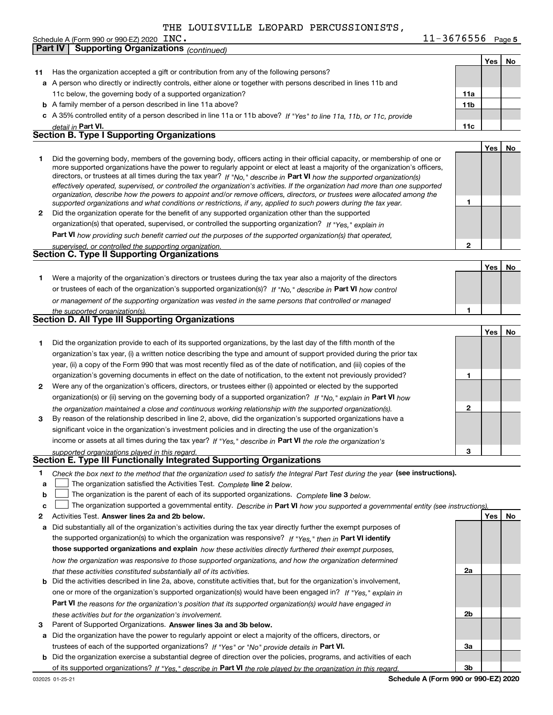**Part IV Supporting Organizations** *(continued)*

**5** INC. 11-3676556 Schedule A (Form 990 or 990-EZ) 2020  $\Box$  INC  $\Box$  Page and the contract of the contract of the contract of the contract of the contract of the contract of the contract of the contract of the contract of the contract of th

|        |                                                                                                                                                                                                                                                                                                                                                                                        |                 | Yes∣ | No |
|--------|----------------------------------------------------------------------------------------------------------------------------------------------------------------------------------------------------------------------------------------------------------------------------------------------------------------------------------------------------------------------------------------|-----------------|------|----|
| 11     | Has the organization accepted a gift or contribution from any of the following persons?                                                                                                                                                                                                                                                                                                |                 |      |    |
|        | a A person who directly or indirectly controls, either alone or together with persons described in lines 11b and                                                                                                                                                                                                                                                                       |                 |      |    |
|        | 11c below, the governing body of a supported organization?                                                                                                                                                                                                                                                                                                                             | 11a             |      |    |
|        | <b>b</b> A family member of a person described in line 11a above?                                                                                                                                                                                                                                                                                                                      | 11 <sub>b</sub> |      |    |
|        | c A 35% controlled entity of a person described in line 11a or 11b above? If "Yes" to line 11a, 11b, or 11c, provide                                                                                                                                                                                                                                                                   |                 |      |    |
|        | detail in Part VI.                                                                                                                                                                                                                                                                                                                                                                     | 11c             |      |    |
|        | <b>Section B. Type I Supporting Organizations</b>                                                                                                                                                                                                                                                                                                                                      |                 |      |    |
|        |                                                                                                                                                                                                                                                                                                                                                                                        |                 | Yes  | No |
| 1.     | Did the governing body, members of the governing body, officers acting in their official capacity, or membership of one or<br>more supported organizations have the power to regularly appoint or elect at least a majority of the organization's officers,<br>directors, or trustees at all times during the tax year? If "No," describe in Part VI how the supported organization(s) |                 |      |    |
|        | effectively operated, supervised, or controlled the organization's activities. If the organization had more than one supported<br>organization, describe how the powers to appoint and/or remove officers, directors, or trustees were allocated among the<br>supported organizations and what conditions or restrictions, if any, applied to such powers during the tax year.         | 1               |      |    |
| 2      | Did the organization operate for the benefit of any supported organization other than the supported                                                                                                                                                                                                                                                                                    |                 |      |    |
|        | organization(s) that operated, supervised, or controlled the supporting organization? If "Yes," explain in                                                                                                                                                                                                                                                                             |                 |      |    |
|        | Part VI how providing such benefit carried out the purposes of the supported organization(s) that operated,                                                                                                                                                                                                                                                                            |                 |      |    |
|        | supervised, or controlled the supporting organization.                                                                                                                                                                                                                                                                                                                                 | 2               |      |    |
|        | Section C. Type II Supporting Organizations                                                                                                                                                                                                                                                                                                                                            |                 |      |    |
|        |                                                                                                                                                                                                                                                                                                                                                                                        |                 | Yes  | No |
| 1.     | Were a majority of the organization's directors or trustees during the tax year also a majority of the directors                                                                                                                                                                                                                                                                       |                 |      |    |
|        | or trustees of each of the organization's supported organization(s)? If "No," describe in Part VI how control                                                                                                                                                                                                                                                                          |                 |      |    |
|        | or management of the supporting organization was vested in the same persons that controlled or managed                                                                                                                                                                                                                                                                                 |                 |      |    |
|        | the supported organization(s).                                                                                                                                                                                                                                                                                                                                                         | 1               |      |    |
|        | <b>Section D. All Type III Supporting Organizations</b>                                                                                                                                                                                                                                                                                                                                |                 |      |    |
|        |                                                                                                                                                                                                                                                                                                                                                                                        |                 | Yes  | No |
| 1.     | Did the organization provide to each of its supported organizations, by the last day of the fifth month of the                                                                                                                                                                                                                                                                         |                 |      |    |
|        | organization's tax year, (i) a written notice describing the type and amount of support provided during the prior tax                                                                                                                                                                                                                                                                  |                 |      |    |
|        | year, (ii) a copy of the Form 990 that was most recently filed as of the date of notification, and (iii) copies of the                                                                                                                                                                                                                                                                 |                 |      |    |
|        | organization's governing documents in effect on the date of notification, to the extent not previously provided?                                                                                                                                                                                                                                                                       | 1               |      |    |
| 2      | Were any of the organization's officers, directors, or trustees either (i) appointed or elected by the supported                                                                                                                                                                                                                                                                       |                 |      |    |
|        | organization(s) or (ii) serving on the governing body of a supported organization? If "No," explain in Part VI how                                                                                                                                                                                                                                                                     |                 |      |    |
|        | the organization maintained a close and continuous working relationship with the supported organization(s).                                                                                                                                                                                                                                                                            | 2               |      |    |
| 3      | By reason of the relationship described in line 2, above, did the organization's supported organizations have a                                                                                                                                                                                                                                                                        |                 |      |    |
|        | significant voice in the organization's investment policies and in directing the use of the organization's                                                                                                                                                                                                                                                                             |                 |      |    |
|        | income or assets at all times during the tax year? If "Yes," describe in Part VI the role the organization's                                                                                                                                                                                                                                                                           |                 |      |    |
|        | supported organizations played in this regard.                                                                                                                                                                                                                                                                                                                                         | з               |      |    |
|        | Section E. Type III Functionally Integrated Supporting Organizations                                                                                                                                                                                                                                                                                                                   |                 |      |    |
| 1<br>a | Check the box next to the method that the organization used to satisfy the Integral Part Test during the year (see instructions).<br>The organization satisfied the Activities Test. Complete line 2 below.                                                                                                                                                                            |                 |      |    |
| b      | The organization is the parent of each of its supported organizations. Complete line 3 below.                                                                                                                                                                                                                                                                                          |                 |      |    |
| c      | The organization supported a governmental entity. Describe in Part VI how you supported a governmental entity (see instructions).                                                                                                                                                                                                                                                      |                 |      |    |
| 2      | Activities Test. Answer lines 2a and 2b below.                                                                                                                                                                                                                                                                                                                                         |                 | Yes  | No |
| а      | Did substantially all of the organization's activities during the tax year directly further the exempt purposes of                                                                                                                                                                                                                                                                     |                 |      |    |
|        | the supported organization(s) to which the organization was responsive? If "Yes." then in Part VI identify                                                                                                                                                                                                                                                                             |                 |      |    |
|        | those supported organizations and explain how these activities directly furthered their exempt purposes,                                                                                                                                                                                                                                                                               |                 |      |    |
|        | how the organization was responsive to those supported organizations, and how the organization determined                                                                                                                                                                                                                                                                              |                 |      |    |
|        | that these activities constituted substantially all of its activities.                                                                                                                                                                                                                                                                                                                 | 2a              |      |    |
|        | <b>b</b> Did the activities described in line 2a, above, constitute activities that, but for the organization's involvement,                                                                                                                                                                                                                                                           |                 |      |    |
|        | one or more of the organization's supported organization(s) would have been engaged in? If "Yes," explain in                                                                                                                                                                                                                                                                           |                 |      |    |
|        | <b>Part VI</b> the reasons for the organization's position that its supported organization(s) would have engaged in                                                                                                                                                                                                                                                                    |                 |      |    |
|        | these activities but for the organization's involvement.                                                                                                                                                                                                                                                                                                                               | 2b              |      |    |
| з      | Parent of Supported Organizations. Answer lines 3a and 3b below.                                                                                                                                                                                                                                                                                                                       |                 |      |    |
|        | a Did the organization have the power to regularly appoint or elect a majority of the officers, directors, or                                                                                                                                                                                                                                                                          |                 |      |    |
|        | trustees of each of the supported organizations? If "Yes" or "No" provide details in Part VI.                                                                                                                                                                                                                                                                                          | За              |      |    |
|        | <b>b</b> Did the organization exercise a substantial degree of direction over the policies, programs, and activities of each                                                                                                                                                                                                                                                           |                 |      |    |
|        | of its supported organizations? If "Yes." describe in Part VI the role played by the organization in this regard.                                                                                                                                                                                                                                                                      | Зb              |      |    |
|        | Schedule A (Form 990 or 990-EZ) 2020<br>032025 01-25-21                                                                                                                                                                                                                                                                                                                                |                 |      |    |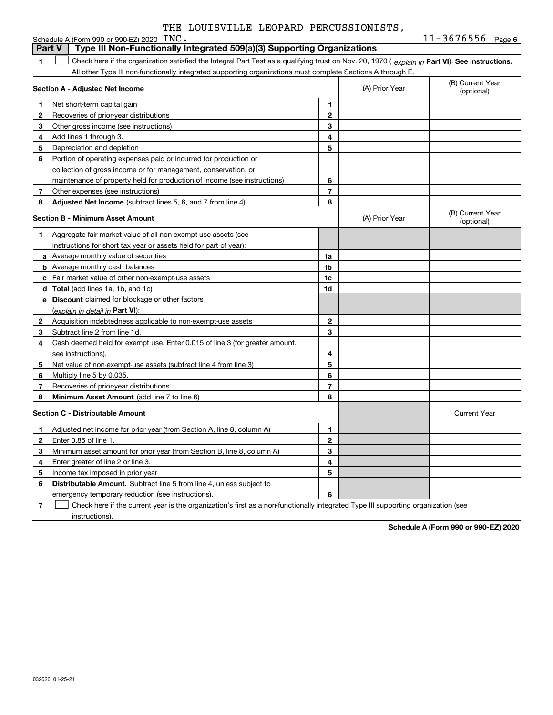### **1Part VI** Check here if the organization satisfied the Integral Part Test as a qualifying trust on Nov. 20, 1970 ( *explain in* Part **VI**). See instructions. **Section A - Adjusted Net Income 123** Other gross income (see instructions) **4**Add lines 1 through 3. **56** Portion of operating expenses paid or incurred for production or **78** Adjusted Net Income (subtract lines 5, 6, and 7 from line 4) **8 8 1234567Section B - Minimum Asset Amount 1**Aggregate fair market value of all non-exempt-use assets (see **2**Acquisition indebtedness applicable to non-exempt-use assets **3** Subtract line 2 from line 1d. **4**Cash deemed held for exempt use. Enter 0.015 of line 3 (for greater amount, **5** Net value of non-exempt-use assets (subtract line 4 from line 3) **678a** Average monthly value of securities **b** Average monthly cash balances **c**Fair market value of other non-exempt-use assets **dTotal**  (add lines 1a, 1b, and 1c) **eDiscount** claimed for blockage or other factors **1a1b1c1d2345678**<u>(explain in detail in **Part VI**):</u> **Minimum Asset Amount**  (add line 7 to line 6) **Section C - Distributable Amount 123456123456Distributable Amount.** Subtract line 5 from line 4, unless subject to Schedule A (Form 990 or 990-EZ) 2020  $\text{INC.}$ All other Type III non-functionally integrated supporting organizations must complete Sections A through E. (B) Current Year (optional)(A) Prior Year Net short-term capital gain Recoveries of prior-year distributions Depreciation and depletion collection of gross income or for management, conservation, or maintenance of property held for production of income (see instructions) Other expenses (see instructions) (B) Current Year (optional)(A) Prior Year instructions for short tax year or assets held for part of year): see instructions). Multiply line 5 by 0.035. Recoveries of prior-year distributions Current Year Adjusted net income for prior year (from Section A, line 8, column A) Enter 0.85 of line 1. Minimum asset amount for prior year (from Section B, line 8, column A) Enter greater of line 2 or line 3. Income tax imposed in prior year emergency temporary reduction (see instructions). **Part V Type III Non-Functionally Integrated 509(a)(3) Supporting Organizations**   $\mathcal{L}^{\text{max}}$

**7**Check here if the current year is the organization's first as a non-functionally integrated Type III supporting organization (see instructions). $\mathcal{L}^{\text{max}}$ 

**Schedule A (Form 990 or 990-EZ) 2020**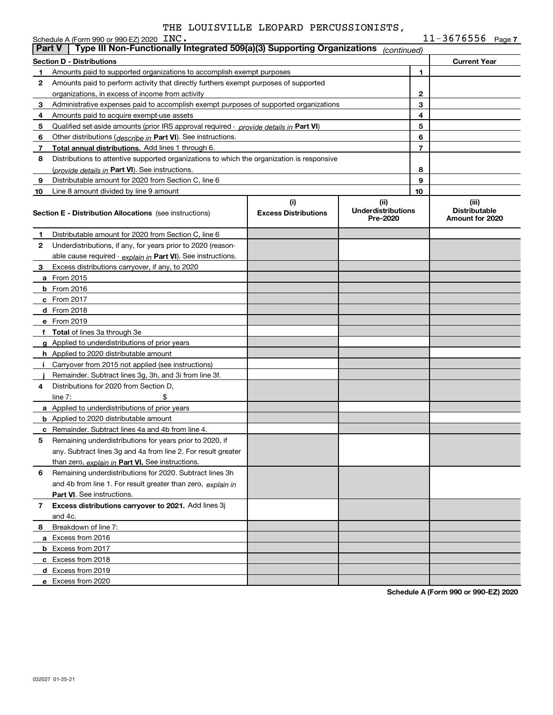|    | Schedule A (Form 990 or 990-EZ) 2020 INC.                                                               |                                    |                                               |    | $11 - 3676556$ Page 7                            |  |  |
|----|---------------------------------------------------------------------------------------------------------|------------------------------------|-----------------------------------------------|----|--------------------------------------------------|--|--|
|    | Type III Non-Functionally Integrated 509(a)(3) Supporting Organizations<br><b>Part V</b><br>(continued) |                                    |                                               |    |                                                  |  |  |
|    | <b>Section D - Distributions</b>                                                                        |                                    |                                               |    | <b>Current Year</b>                              |  |  |
| 1  | Amounts paid to supported organizations to accomplish exempt purposes                                   |                                    |                                               | 1  |                                                  |  |  |
| 2  | Amounts paid to perform activity that directly furthers exempt purposes of supported                    |                                    |                                               |    |                                                  |  |  |
|    | organizations, in excess of income from activity                                                        |                                    | $\mathbf{2}$                                  |    |                                                  |  |  |
| 3  | Administrative expenses paid to accomplish exempt purposes of supported organizations                   |                                    | 3                                             |    |                                                  |  |  |
| 4  | Amounts paid to acquire exempt-use assets                                                               |                                    |                                               | 4  |                                                  |  |  |
| 5  | Qualified set-aside amounts (prior IRS approval required - provide details in Part VI)                  |                                    |                                               | 5  |                                                  |  |  |
| 6  | Other distributions ( <i>describe in</i> Part VI). See instructions.                                    |                                    |                                               | 6  |                                                  |  |  |
| 7  | <b>Total annual distributions.</b> Add lines 1 through 6.                                               |                                    |                                               | 7  |                                                  |  |  |
| 8  | Distributions to attentive supported organizations to which the organization is responsive              |                                    |                                               |    |                                                  |  |  |
|    | (provide details in Part VI). See instructions.                                                         |                                    |                                               | 8  |                                                  |  |  |
| 9  | Distributable amount for 2020 from Section C, line 6                                                    |                                    |                                               | 9  |                                                  |  |  |
| 10 | Line 8 amount divided by line 9 amount                                                                  |                                    |                                               | 10 |                                                  |  |  |
|    | <b>Section E - Distribution Allocations</b> (see instructions)                                          | (i)<br><b>Excess Distributions</b> | (ii)<br><b>Underdistributions</b><br>Pre-2020 |    | (iii)<br><b>Distributable</b><br>Amount for 2020 |  |  |
| 1  | Distributable amount for 2020 from Section C, line 6                                                    |                                    |                                               |    |                                                  |  |  |
| 2  | Underdistributions, if any, for years prior to 2020 (reason-                                            |                                    |                                               |    |                                                  |  |  |
|    | able cause required - explain in Part VI). See instructions.                                            |                                    |                                               |    |                                                  |  |  |
| 3  | Excess distributions carryover, if any, to 2020                                                         |                                    |                                               |    |                                                  |  |  |
|    | <b>a</b> From 2015                                                                                      |                                    |                                               |    |                                                  |  |  |
|    | $b$ From 2016                                                                                           |                                    |                                               |    |                                                  |  |  |
|    | $c$ From 2017                                                                                           |                                    |                                               |    |                                                  |  |  |
|    | d From 2018                                                                                             |                                    |                                               |    |                                                  |  |  |
|    | e From 2019                                                                                             |                                    |                                               |    |                                                  |  |  |
|    | f Total of lines 3a through 3e                                                                          |                                    |                                               |    |                                                  |  |  |
|    | <b>g</b> Applied to underdistributions of prior years                                                   |                                    |                                               |    |                                                  |  |  |
|    | <b>h</b> Applied to 2020 distributable amount                                                           |                                    |                                               |    |                                                  |  |  |
|    | Carryover from 2015 not applied (see instructions)                                                      |                                    |                                               |    |                                                  |  |  |
|    | Remainder. Subtract lines 3g, 3h, and 3i from line 3f.                                                  |                                    |                                               |    |                                                  |  |  |
| 4  | Distributions for 2020 from Section D,                                                                  |                                    |                                               |    |                                                  |  |  |
|    | line $7:$                                                                                               |                                    |                                               |    |                                                  |  |  |
|    | a Applied to underdistributions of prior years                                                          |                                    |                                               |    |                                                  |  |  |
|    | <b>b</b> Applied to 2020 distributable amount                                                           |                                    |                                               |    |                                                  |  |  |
|    | <b>c</b> Remainder. Subtract lines 4a and 4b from line 4.                                               |                                    |                                               |    |                                                  |  |  |
| 5  | Remaining underdistributions for years prior to 2020, if                                                |                                    |                                               |    |                                                  |  |  |
|    | any. Subtract lines 3g and 4a from line 2. For result greater                                           |                                    |                                               |    |                                                  |  |  |
|    | than zero, explain in Part VI. See instructions.                                                        |                                    |                                               |    |                                                  |  |  |
| 6  | Remaining underdistributions for 2020. Subtract lines 3h                                                |                                    |                                               |    |                                                  |  |  |
|    | and 4b from line 1. For result greater than zero, explain in                                            |                                    |                                               |    |                                                  |  |  |
|    | Part VI. See instructions.                                                                              |                                    |                                               |    |                                                  |  |  |
| 7  | Excess distributions carryover to 2021. Add lines 3j                                                    |                                    |                                               |    |                                                  |  |  |
|    | and 4c.                                                                                                 |                                    |                                               |    |                                                  |  |  |
| 8. | Breakdown of line 7:                                                                                    |                                    |                                               |    |                                                  |  |  |
|    | a Excess from 2016                                                                                      |                                    |                                               |    |                                                  |  |  |
|    | <b>b</b> Excess from 2017                                                                               |                                    |                                               |    |                                                  |  |  |
|    | c Excess from 2018                                                                                      |                                    |                                               |    |                                                  |  |  |
|    | d Excess from 2019                                                                                      |                                    |                                               |    |                                                  |  |  |
|    | e Excess from 2020                                                                                      |                                    |                                               |    |                                                  |  |  |
|    |                                                                                                         |                                    |                                               |    |                                                  |  |  |

**Schedule A (Form 990 or 990-EZ) 2020**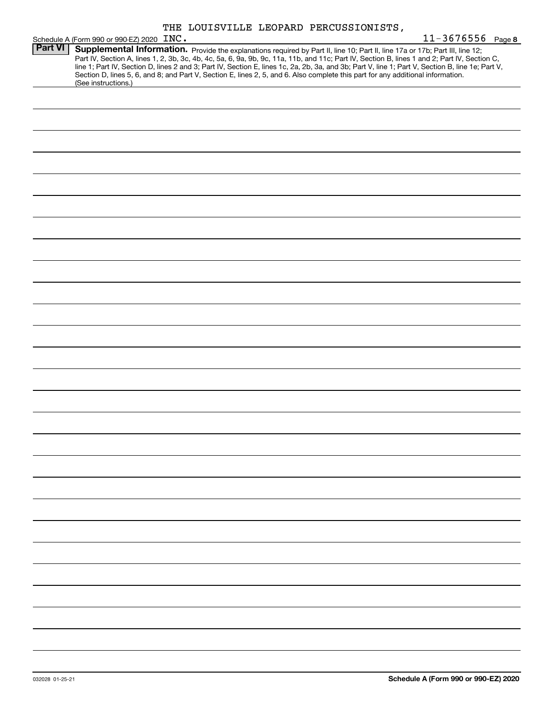**INC.** 2008 22:00 22:00 22:00 23:00 23:00 24:00 24:00 25:00 25:00 25:00 25:00 25:00 25:00 25:00 25:00 25:00 25:00 25:00 25:00 25:00 25:00 25:00 25:00 25:00 25:00 25:00 25:00 25:00 25:00 25:00 25:00 25:00 25:00 25:00 25:00 Schedule A (Form 990 or 990-EZ) 2020 INC.<br>**Part VI | Supplemental Information.** Part VI | Supplemental Information. Provide the explanations required by Part II, line 10; Part II, line 17a or 17b; Part III, line 12; Part IV, Section A, lines 1, 2, 3b, 3c, 4b, 4c, 5a, 6, 9a, 9b, 9c, 11a, 11b, and 11c; Part IV, Section B, lines 1 and 2; Part IV, Section C, line 1; Part IV, Section D, lines 2 and 3; Part IV, Section E, lines 1c, 2a, 2b, 3a, and 3b; Part V, line 1; Part V, Section B, line 1e; Part V, Section D, lines 5, 6, and 8; and Part V, Section E, lines 2, 5, and 6. Also complete this part for any additional information. (See instructions.) THE LOUISVILLE LEOPARD PERCUSSIONISTS,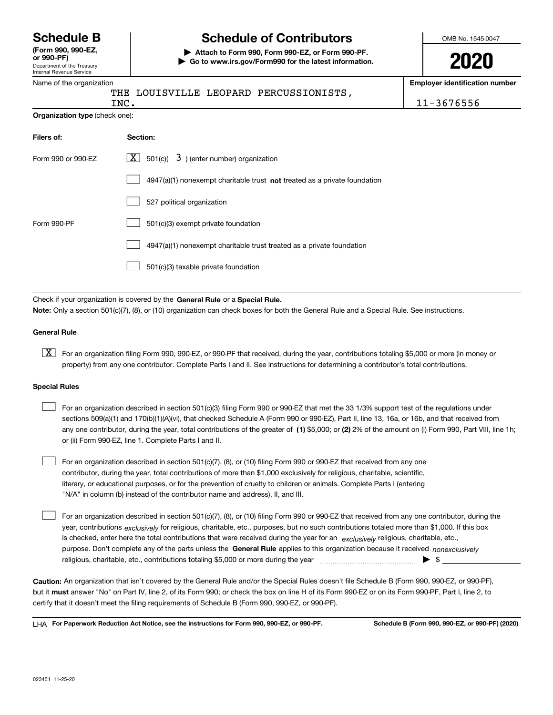Department of the Treasury Internal Revenue Service **(Form 990, 990-EZ, or 990-PF)**

Name of the organization

## **Schedule B Schedule of Contributors**

**| Attach to Form 990, Form 990-EZ, or Form 990-PF. | Go to www.irs.gov/Form990 for the latest information.** OMB No. 1545-0047

**2020**

**Employer identification number**

|                                | THE LOUISVILLE LEOPARD PERCUSSIONISTS,<br>INC.                                     | 11-3676556 |
|--------------------------------|------------------------------------------------------------------------------------|------------|
| Organization type (check one): |                                                                                    |            |
| Filers of:                     | Section:                                                                           |            |
| Form 990 or 990-EZ             | $X \mid$<br>$3$ ) (enter number) organization<br>501(c)(                           |            |
|                                | $4947(a)(1)$ nonexempt charitable trust <b>not</b> treated as a private foundation |            |
|                                | 527 political organization                                                         |            |
| Form 990-PF                    | 501(c)(3) exempt private foundation                                                |            |
|                                | 4947(a)(1) nonexempt charitable trust treated as a private foundation              |            |
|                                | 501(c)(3) taxable private foundation                                               |            |
|                                |                                                                                    |            |

Check if your organization is covered by the **General Rule** or a **Special Rule.**<br>Nota: Only a section 501(c)(7), (8), or (10) erganization can chock boxes for be **Note:**  Only a section 501(c)(7), (8), or (10) organization can check boxes for both the General Rule and a Special Rule. See instructions.

### **General Rule**

 $\boxed{\textbf{X}}$  For an organization filing Form 990, 990-EZ, or 990-PF that received, during the year, contributions totaling \$5,000 or more (in money or property) from any one contributor. Complete Parts I and II. See instructions for determining a contributor's total contributions.

### **Special Rules**

| For an organization described in section 501(c)(3) filing Form 990 or 990-EZ that met the 33 1/3% support test of the regulations under               |
|-------------------------------------------------------------------------------------------------------------------------------------------------------|
| sections 509(a)(1) and 170(b)(1)(A)(vi), that checked Schedule A (Form 990 or 990-EZ), Part II, line 13, 16a, or 16b, and that received from          |
| any one contributor, during the year, total contributions of the greater of (1) \$5,000; or (2) 2% of the amount on (i) Form 990, Part VIII, line 1h; |
| or (ii) Form 990-EZ, line 1. Complete Parts I and II.                                                                                                 |

For an organization described in section 501(c)(7), (8), or (10) filing Form 990 or 990-EZ that received from any one contributor, during the year, total contributions of more than \$1,000 exclusively for religious, charitable, scientific, literary, or educational purposes, or for the prevention of cruelty to children or animals. Complete Parts I (entering "N/A" in column (b) instead of the contributor name and address), II, and III.  $\mathcal{L}^{\text{max}}$ 

purpose. Don't complete any of the parts unless the **General Rule** applies to this organization because it received *nonexclusively* year, contributions <sub>exclusively</sub> for religious, charitable, etc., purposes, but no such contributions totaled more than \$1,000. If this box is checked, enter here the total contributions that were received during the year for an  $\;$ exclusively religious, charitable, etc., For an organization described in section 501(c)(7), (8), or (10) filing Form 990 or 990-EZ that received from any one contributor, during the religious, charitable, etc., contributions totaling \$5,000 or more during the year  $\Box$ — $\Box$   $\Box$  $\mathcal{L}^{\text{max}}$ 

**Caution:**  An organization that isn't covered by the General Rule and/or the Special Rules doesn't file Schedule B (Form 990, 990-EZ, or 990-PF), but it **must** answer "No" on Part IV, line 2, of its Form 990; or check the box on line H of its Form 990-EZ or on its Form 990-PF, Part I, line 2, to<br>cortify that it doesn't meet the filipe requirements of Schodule B (Fer certify that it doesn't meet the filing requirements of Schedule B (Form 990, 990-EZ, or 990-PF).

**For Paperwork Reduction Act Notice, see the instructions for Form 990, 990-EZ, or 990-PF. Schedule B (Form 990, 990-EZ, or 990-PF) (2020)** LHA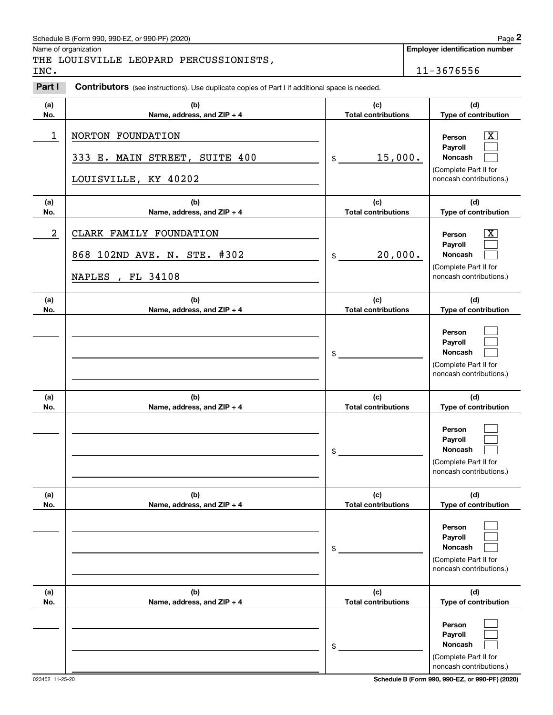## Schedule B (Form 990, 990-EZ, or 990-PF) (2020) Page 2

# THE LOUISVILLE LEOPARD PERCUSSIONISTS,<br>INC.

|                | Schedule B (Form 990, 990-EZ, or 990-PF) (2020)                                                       |                                   | Page 2                                                                                                             |
|----------------|-------------------------------------------------------------------------------------------------------|-----------------------------------|--------------------------------------------------------------------------------------------------------------------|
| INC.           | Name of organization<br>THE LOUISVILLE LEOPARD PERCUSSIONISTS,                                        |                                   | <b>Employer identification number</b><br>11-3676556                                                                |
| Part I         | <b>Contributors</b> (see instructions). Use duplicate copies of Part I if additional space is needed. |                                   |                                                                                                                    |
| (a)<br>No.     | (b)<br>Name, address, and ZIP + 4                                                                     | (c)<br><b>Total contributions</b> | (d)<br>Type of contribution                                                                                        |
| 1              | NORTON FOUNDATION<br>333 E. MAIN STREET, SUITE 400<br>LOUISVILLE, KY 40202                            | 15,000.<br>\$                     | $\mathbf{X}$<br>Person<br>Payroll<br><b>Noncash</b><br>(Complete Part II for<br>noncash contributions.)            |
| (a)<br>No.     | (b)<br>Name, address, and ZIP + 4                                                                     | (c)<br><b>Total contributions</b> | (d)<br>Type of contribution                                                                                        |
| $\overline{a}$ | CLARK FAMILY FOUNDATION<br>868 102ND AVE. N. STE. #302<br>, FL 34108<br><b>NAPLES</b>                 | 20,000.<br>\$                     | $\overline{\mathbf{X}}$<br>Person<br>Payroll<br><b>Noncash</b><br>(Complete Part II for<br>noncash contributions.) |
| (a)<br>No.     | (b)<br>Name, address, and ZIP + 4                                                                     | (c)<br><b>Total contributions</b> | (d)<br>Type of contribution                                                                                        |
|                |                                                                                                       | \$                                | Person<br>Payroll<br>Noncash<br>(Complete Part II for<br>noncash contributions.)                                   |
| (a)<br>No.     | (b)<br>Name, address, and ZIP + 4                                                                     | (c)<br><b>Total contributions</b> | (d)<br>Type of contribution                                                                                        |
|                |                                                                                                       | \$                                | Person<br>Payroll<br><b>Noncash</b><br>(Complete Part II for<br>noncash contributions.)                            |
| (a)<br>No.     | (b)<br>Name, address, and ZIP + 4                                                                     | (c)<br><b>Total contributions</b> | (d)<br>Type of contribution                                                                                        |
|                |                                                                                                       | \$                                | Person<br>Payroll<br>Noncash<br>(Complete Part II for<br>noncash contributions.)                                   |
| (a)<br>No.     | (b)<br>Name, address, and ZIP + 4                                                                     | (c)<br><b>Total contributions</b> | (d)<br>Type of contribution                                                                                        |
|                |                                                                                                       | \$                                | Person<br>Payroll<br><b>Noncash</b><br>(Complete Part II for<br>noncash contributions.)                            |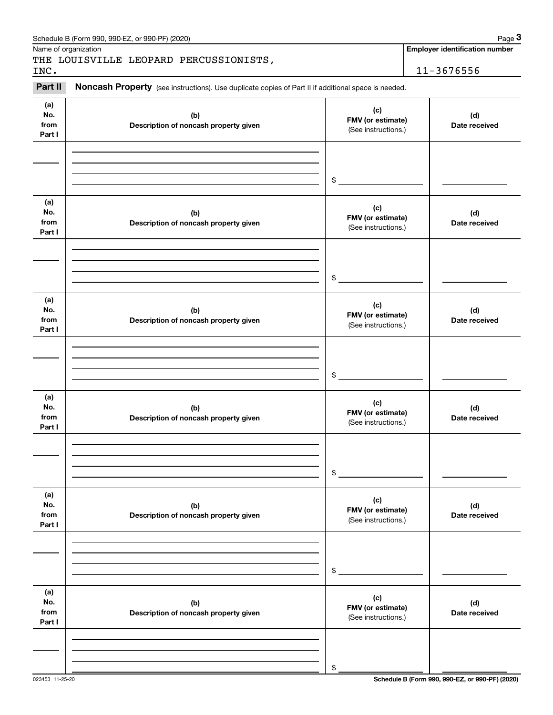|                              | Schedule B (Form 990, 990-EZ, or 990-PF) (2020)                                                     |                                                 | Page 3                                |
|------------------------------|-----------------------------------------------------------------------------------------------------|-------------------------------------------------|---------------------------------------|
|                              | Name of organization<br>THE LOUISVILLE LEOPARD PERCUSSIONISTS,                                      |                                                 | <b>Employer identification number</b> |
| INC.                         |                                                                                                     |                                                 | 11-3676556                            |
| Part II                      | Noncash Property (see instructions). Use duplicate copies of Part II if additional space is needed. |                                                 |                                       |
| (a)<br>No.<br>from<br>Part I | (b)<br>Description of noncash property given                                                        | (c)<br>FMV (or estimate)<br>(See instructions.) | (d)<br>Date received                  |
|                              |                                                                                                     | $$^{\circ}$                                     |                                       |
| (a)<br>No.<br>from<br>Part I | (b)<br>Description of noncash property given                                                        | (c)<br>FMV (or estimate)<br>(See instructions.) | (d)<br>Date received                  |
|                              |                                                                                                     | $\frac{1}{2}$                                   |                                       |
| (a)<br>No.<br>from<br>Part I | (b)<br>Description of noncash property given                                                        | (c)<br>FMV (or estimate)<br>(See instructions.) | (d)<br>Date received                  |
|                              |                                                                                                     | $\frac{1}{2}$                                   |                                       |
| (a)<br>No.<br>from<br>Part I | (b)<br>Description of noncash property given                                                        | (c)<br>FMV (or estimate)<br>(See instructions.) | (d)<br>Date received                  |
|                              |                                                                                                     | \$                                              |                                       |
| (a)<br>No.<br>from<br>Part I | (b)<br>Description of noncash property given                                                        | (c)<br>FMV (or estimate)<br>(See instructions.) | (d)<br>Date received                  |
|                              |                                                                                                     | \$                                              |                                       |
| (a)<br>No.<br>from<br>Part I | (b)<br>Description of noncash property given                                                        | (c)<br>FMV (or estimate)<br>(See instructions.) | (d)<br>Date received                  |
|                              |                                                                                                     | \$                                              |                                       |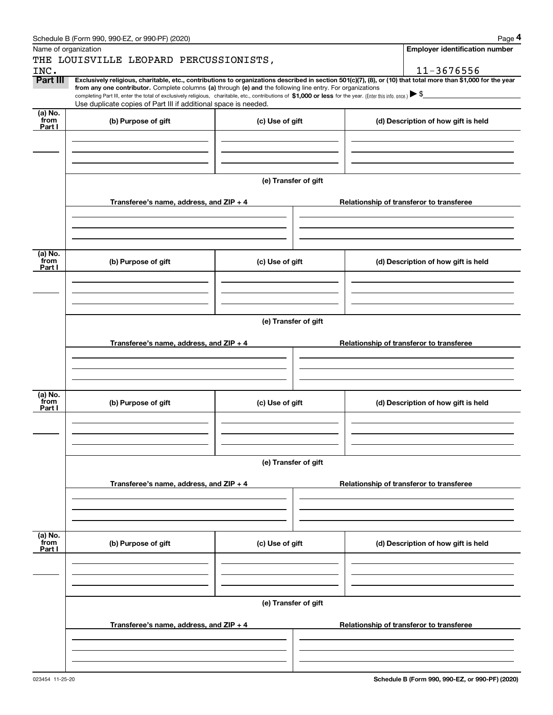|                 | Schedule B (Form 990, 990-EZ, or 990-PF) (2020)                                                                                                                                                                                 |                      | Page 4                                                                                                                                                         |  |  |  |  |  |  |
|-----------------|---------------------------------------------------------------------------------------------------------------------------------------------------------------------------------------------------------------------------------|----------------------|----------------------------------------------------------------------------------------------------------------------------------------------------------------|--|--|--|--|--|--|
|                 | Name of organization                                                                                                                                                                                                            |                      | <b>Employer identification number</b>                                                                                                                          |  |  |  |  |  |  |
| INC.            | THE LOUISVILLE LEOPARD PERCUSSIONISTS,                                                                                                                                                                                          |                      | 11-3676556                                                                                                                                                     |  |  |  |  |  |  |
| Part III        | from any one contributor. Complete columns (a) through (e) and the following line entry. For organizations                                                                                                                      |                      | Exclusively religious, charitable, etc., contributions to organizations described in section 501(c)(7), (8), or (10) that total more than \$1,000 for the year |  |  |  |  |  |  |
|                 | completing Part III, enter the total of exclusively religious, charitable, etc., contributions of \$1,000 or less for the year. (Enter this info. once.) \\$<br>Use duplicate copies of Part III if additional space is needed. |                      |                                                                                                                                                                |  |  |  |  |  |  |
| (a) No.         |                                                                                                                                                                                                                                 |                      |                                                                                                                                                                |  |  |  |  |  |  |
| from<br>Part I  | (b) Purpose of gift                                                                                                                                                                                                             | (c) Use of gift      | (d) Description of how gift is held                                                                                                                            |  |  |  |  |  |  |
|                 |                                                                                                                                                                                                                                 |                      |                                                                                                                                                                |  |  |  |  |  |  |
|                 |                                                                                                                                                                                                                                 |                      |                                                                                                                                                                |  |  |  |  |  |  |
|                 |                                                                                                                                                                                                                                 |                      |                                                                                                                                                                |  |  |  |  |  |  |
|                 |                                                                                                                                                                                                                                 | (e) Transfer of gift |                                                                                                                                                                |  |  |  |  |  |  |
|                 |                                                                                                                                                                                                                                 |                      |                                                                                                                                                                |  |  |  |  |  |  |
|                 | Transferee's name, address, and ZIP + 4                                                                                                                                                                                         |                      | Relationship of transferor to transferee                                                                                                                       |  |  |  |  |  |  |
|                 |                                                                                                                                                                                                                                 |                      |                                                                                                                                                                |  |  |  |  |  |  |
|                 |                                                                                                                                                                                                                                 |                      |                                                                                                                                                                |  |  |  |  |  |  |
|                 |                                                                                                                                                                                                                                 |                      |                                                                                                                                                                |  |  |  |  |  |  |
| (a) No.<br>from | (b) Purpose of gift                                                                                                                                                                                                             | (c) Use of gift      | (d) Description of how gift is held                                                                                                                            |  |  |  |  |  |  |
| Part I          |                                                                                                                                                                                                                                 |                      |                                                                                                                                                                |  |  |  |  |  |  |
|                 |                                                                                                                                                                                                                                 |                      |                                                                                                                                                                |  |  |  |  |  |  |
|                 |                                                                                                                                                                                                                                 |                      |                                                                                                                                                                |  |  |  |  |  |  |
|                 |                                                                                                                                                                                                                                 |                      |                                                                                                                                                                |  |  |  |  |  |  |
|                 | (e) Transfer of gift                                                                                                                                                                                                            |                      |                                                                                                                                                                |  |  |  |  |  |  |
|                 |                                                                                                                                                                                                                                 |                      |                                                                                                                                                                |  |  |  |  |  |  |
|                 | Transferee's name, address, and $ZIP + 4$                                                                                                                                                                                       |                      | Relationship of transferor to transferee                                                                                                                       |  |  |  |  |  |  |
|                 |                                                                                                                                                                                                                                 |                      |                                                                                                                                                                |  |  |  |  |  |  |
|                 |                                                                                                                                                                                                                                 |                      |                                                                                                                                                                |  |  |  |  |  |  |
|                 |                                                                                                                                                                                                                                 |                      |                                                                                                                                                                |  |  |  |  |  |  |
| (a) No.<br>from | (b) Purpose of gift                                                                                                                                                                                                             | (c) Use of gift      | (d) Description of how gift is held                                                                                                                            |  |  |  |  |  |  |
| Part I          |                                                                                                                                                                                                                                 |                      |                                                                                                                                                                |  |  |  |  |  |  |
|                 |                                                                                                                                                                                                                                 |                      |                                                                                                                                                                |  |  |  |  |  |  |
|                 |                                                                                                                                                                                                                                 |                      |                                                                                                                                                                |  |  |  |  |  |  |
|                 |                                                                                                                                                                                                                                 |                      |                                                                                                                                                                |  |  |  |  |  |  |
|                 |                                                                                                                                                                                                                                 | (e) Transfer of gift |                                                                                                                                                                |  |  |  |  |  |  |
|                 |                                                                                                                                                                                                                                 |                      |                                                                                                                                                                |  |  |  |  |  |  |
|                 | Transferee's name, address, and $ZIP + 4$                                                                                                                                                                                       |                      | Relationship of transferor to transferee                                                                                                                       |  |  |  |  |  |  |
|                 |                                                                                                                                                                                                                                 |                      |                                                                                                                                                                |  |  |  |  |  |  |
|                 |                                                                                                                                                                                                                                 |                      |                                                                                                                                                                |  |  |  |  |  |  |
|                 |                                                                                                                                                                                                                                 |                      |                                                                                                                                                                |  |  |  |  |  |  |
| (a) No.<br>from | (b) Purpose of gift                                                                                                                                                                                                             | (c) Use of gift      | (d) Description of how gift is held                                                                                                                            |  |  |  |  |  |  |
| Part I          |                                                                                                                                                                                                                                 |                      |                                                                                                                                                                |  |  |  |  |  |  |
|                 |                                                                                                                                                                                                                                 |                      |                                                                                                                                                                |  |  |  |  |  |  |
|                 |                                                                                                                                                                                                                                 |                      |                                                                                                                                                                |  |  |  |  |  |  |
|                 |                                                                                                                                                                                                                                 |                      |                                                                                                                                                                |  |  |  |  |  |  |
|                 | (e) Transfer of gift                                                                                                                                                                                                            |                      |                                                                                                                                                                |  |  |  |  |  |  |
|                 |                                                                                                                                                                                                                                 |                      |                                                                                                                                                                |  |  |  |  |  |  |
|                 | Transferee's name, address, and $ZIP + 4$                                                                                                                                                                                       |                      | Relationship of transferor to transferee                                                                                                                       |  |  |  |  |  |  |
|                 |                                                                                                                                                                                                                                 |                      |                                                                                                                                                                |  |  |  |  |  |  |
|                 |                                                                                                                                                                                                                                 |                      |                                                                                                                                                                |  |  |  |  |  |  |
|                 |                                                                                                                                                                                                                                 |                      |                                                                                                                                                                |  |  |  |  |  |  |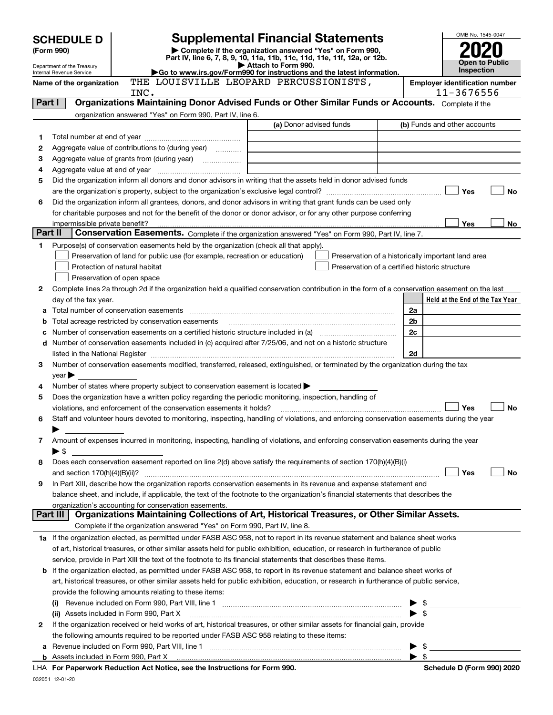| <b>SCHEDULE D</b><br>(Form 990)<br>Department of the Treasury<br>Internal Revenue Service |                                                   |                               |                                                                                                   | <b>Supplemental Financial Statements</b><br>Complete if the organization answered "Yes" on Form 990,<br>Part IV, line 6, 7, 8, 9, 10, 11a, 11b, 11c, 11d, 11e, 11f, 12a, or 12b.<br>Attach to Form 990.<br>Go to www.irs.gov/Form990 for instructions and the latest information. |                          | OMB No. 1545-0047<br><b>Open to Public</b><br>Inspection |
|-------------------------------------------------------------------------------------------|---------------------------------------------------|-------------------------------|---------------------------------------------------------------------------------------------------|-----------------------------------------------------------------------------------------------------------------------------------------------------------------------------------------------------------------------------------------------------------------------------------|--------------------------|----------------------------------------------------------|
|                                                                                           | Name of the organization                          | INC.                          |                                                                                                   | THE LOUISVILLE LEOPARD PERCUSSIONISTS,                                                                                                                                                                                                                                            |                          | <b>Employer identification number</b><br>11-3676556      |
| Part I                                                                                    |                                                   |                               |                                                                                                   | Organizations Maintaining Donor Advised Funds or Other Similar Funds or Accounts. Complete if the                                                                                                                                                                                 |                          |                                                          |
|                                                                                           |                                                   |                               | organization answered "Yes" on Form 990, Part IV, line 6.                                         |                                                                                                                                                                                                                                                                                   |                          |                                                          |
|                                                                                           |                                                   |                               |                                                                                                   | (a) Donor advised funds                                                                                                                                                                                                                                                           |                          | (b) Funds and other accounts                             |
| 1                                                                                         |                                                   |                               |                                                                                                   |                                                                                                                                                                                                                                                                                   |                          |                                                          |
| 2                                                                                         | Aggregate value of contributions to (during year) |                               |                                                                                                   |                                                                                                                                                                                                                                                                                   |                          |                                                          |
| 3                                                                                         |                                                   |                               |                                                                                                   |                                                                                                                                                                                                                                                                                   |                          |                                                          |
| 4                                                                                         |                                                   |                               |                                                                                                   |                                                                                                                                                                                                                                                                                   |                          |                                                          |
| 5                                                                                         |                                                   |                               |                                                                                                   | Did the organization inform all donors and donor advisors in writing that the assets held in donor advised funds                                                                                                                                                                  |                          |                                                          |
|                                                                                           |                                                   |                               |                                                                                                   |                                                                                                                                                                                                                                                                                   |                          | Yes<br>No                                                |
| 6                                                                                         |                                                   |                               |                                                                                                   | Did the organization inform all grantees, donors, and donor advisors in writing that grant funds can be used only                                                                                                                                                                 |                          |                                                          |
|                                                                                           |                                                   |                               |                                                                                                   | for charitable purposes and not for the benefit of the donor or donor advisor, or for any other purpose conferring                                                                                                                                                                |                          | Yes<br>No                                                |
| Part II                                                                                   |                                                   |                               |                                                                                                   | Conservation Easements. Complete if the organization answered "Yes" on Form 990, Part IV, line 7.                                                                                                                                                                                 |                          |                                                          |
| 1                                                                                         |                                                   |                               | Purpose(s) of conservation easements held by the organization (check all that apply).             |                                                                                                                                                                                                                                                                                   |                          |                                                          |
|                                                                                           |                                                   |                               | Preservation of land for public use (for example, recreation or education)                        |                                                                                                                                                                                                                                                                                   |                          | Preservation of a historically important land area       |
|                                                                                           |                                                   | Protection of natural habitat |                                                                                                   |                                                                                                                                                                                                                                                                                   |                          | Preservation of a certified historic structure           |
|                                                                                           |                                                   | Preservation of open space    |                                                                                                   |                                                                                                                                                                                                                                                                                   |                          |                                                          |
| 2                                                                                         |                                                   |                               |                                                                                                   | Complete lines 2a through 2d if the organization held a qualified conservation contribution in the form of a conservation easement on the last                                                                                                                                    |                          |                                                          |
|                                                                                           | day of the tax year.                              |                               |                                                                                                   |                                                                                                                                                                                                                                                                                   |                          | Held at the End of the Tax Year                          |
|                                                                                           |                                                   |                               |                                                                                                   |                                                                                                                                                                                                                                                                                   | 2a                       |                                                          |
| b                                                                                         |                                                   |                               | Total acreage restricted by conservation easements                                                |                                                                                                                                                                                                                                                                                   | 2b                       |                                                          |
| с                                                                                         |                                                   |                               |                                                                                                   |                                                                                                                                                                                                                                                                                   | 2c                       |                                                          |
|                                                                                           |                                                   |                               |                                                                                                   | d Number of conservation easements included in (c) acquired after 7/25/06, and not on a historic structure                                                                                                                                                                        |                          |                                                          |
|                                                                                           |                                                   |                               |                                                                                                   |                                                                                                                                                                                                                                                                                   | 2d                       |                                                          |
| 3                                                                                         |                                                   |                               |                                                                                                   | Number of conservation easements modified, transferred, released, extinguished, or terminated by the organization during the tax                                                                                                                                                  |                          |                                                          |
|                                                                                           | $year \blacktriangleright$                        |                               |                                                                                                   |                                                                                                                                                                                                                                                                                   |                          |                                                          |
| 4                                                                                         |                                                   |                               | Number of states where property subject to conservation easement is located $\blacktriangleright$ |                                                                                                                                                                                                                                                                                   |                          |                                                          |
| 5                                                                                         |                                                   |                               |                                                                                                   | Does the organization have a written policy regarding the periodic monitoring, inspection, handling of                                                                                                                                                                            |                          |                                                          |
|                                                                                           |                                                   |                               | violations, and enforcement of the conservation easements it holds?                               |                                                                                                                                                                                                                                                                                   |                          | <b>Yes</b><br>No                                         |
| 6                                                                                         |                                                   |                               |                                                                                                   | Staff and volunteer hours devoted to monitoring, inspecting, handling of violations, and enforcing conservation easements during the year                                                                                                                                         |                          |                                                          |
|                                                                                           |                                                   |                               |                                                                                                   |                                                                                                                                                                                                                                                                                   |                          |                                                          |
| 7                                                                                         |                                                   |                               |                                                                                                   | Amount of expenses incurred in monitoring, inspecting, handling of violations, and enforcing conservation easements during the year                                                                                                                                               |                          |                                                          |
|                                                                                           | $\blacktriangleright$ \$                          |                               |                                                                                                   |                                                                                                                                                                                                                                                                                   |                          |                                                          |
| 8                                                                                         |                                                   |                               |                                                                                                   | Does each conservation easement reported on line 2(d) above satisfy the requirements of section 170(h)(4)(B)(i)                                                                                                                                                                   |                          |                                                          |
|                                                                                           |                                                   |                               |                                                                                                   | In Part XIII, describe how the organization reports conservation easements in its revenue and expense statement and                                                                                                                                                               |                          | Yes<br>No                                                |
| 9                                                                                         |                                                   |                               |                                                                                                   | balance sheet, and include, if applicable, the text of the footnote to the organization's financial statements that describes the                                                                                                                                                 |                          |                                                          |
|                                                                                           |                                                   |                               | organization's accounting for conservation easements.                                             |                                                                                                                                                                                                                                                                                   |                          |                                                          |
|                                                                                           | Part III                                          |                               |                                                                                                   | Organizations Maintaining Collections of Art, Historical Treasures, or Other Similar Assets.                                                                                                                                                                                      |                          |                                                          |
|                                                                                           |                                                   |                               | Complete if the organization answered "Yes" on Form 990, Part IV, line 8.                         |                                                                                                                                                                                                                                                                                   |                          |                                                          |
|                                                                                           |                                                   |                               |                                                                                                   | 1a If the organization elected, as permitted under FASB ASC 958, not to report in its revenue statement and balance sheet works                                                                                                                                                   |                          |                                                          |
|                                                                                           |                                                   |                               |                                                                                                   | of art, historical treasures, or other similar assets held for public exhibition, education, or research in furtherance of public                                                                                                                                                 |                          |                                                          |
|                                                                                           |                                                   |                               |                                                                                                   | service, provide in Part XIII the text of the footnote to its financial statements that describes these items.                                                                                                                                                                    |                          |                                                          |
|                                                                                           |                                                   |                               |                                                                                                   | <b>b</b> If the organization elected, as permitted under FASB ASC 958, to report in its revenue statement and balance sheet works of                                                                                                                                              |                          |                                                          |
|                                                                                           |                                                   |                               |                                                                                                   | art, historical treasures, or other similar assets held for public exhibition, education, or research in furtherance of public service,                                                                                                                                           |                          |                                                          |
|                                                                                           |                                                   |                               | provide the following amounts relating to these items:                                            |                                                                                                                                                                                                                                                                                   |                          |                                                          |
|                                                                                           |                                                   |                               |                                                                                                   |                                                                                                                                                                                                                                                                                   | \$                       |                                                          |
|                                                                                           | (ii) Assets included in Form 990, Part X          |                               |                                                                                                   |                                                                                                                                                                                                                                                                                   | $\blacktriangleright$ \$ |                                                          |
| 2                                                                                         |                                                   |                               |                                                                                                   | If the organization received or held works of art, historical treasures, or other similar assets for financial gain, provide                                                                                                                                                      |                          |                                                          |
|                                                                                           |                                                   |                               |                                                                                                   | the following amounts required to be reported under FASB ASC 958 relating to these items:                                                                                                                                                                                         |                          |                                                          |
|                                                                                           |                                                   |                               |                                                                                                   |                                                                                                                                                                                                                                                                                   | - \$                     |                                                          |
|                                                                                           |                                                   |                               |                                                                                                   |                                                                                                                                                                                                                                                                                   | $\blacktriangleright$ \$ |                                                          |
|                                                                                           |                                                   |                               | LUA For Departuarly Reduction Act Notice, see the Instructions for Form 000                       |                                                                                                                                                                                                                                                                                   |                          | Schodule D (Form 000) 2020                               |

**For Paperwork Reduction Act Notice, see the Instructions for Form 990. Schedule D (Form 990) 2020** LHA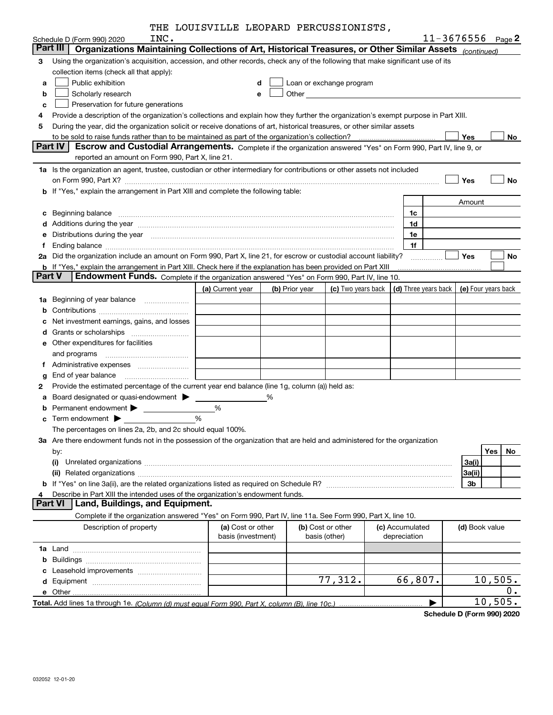|               |                                                                                                                                                                                                                                | THE LOUISVILLE LEOPARD PERCUSSIONISTS,  |   |                |                                                         |                                 |                |                       |
|---------------|--------------------------------------------------------------------------------------------------------------------------------------------------------------------------------------------------------------------------------|-----------------------------------------|---|----------------|---------------------------------------------------------|---------------------------------|----------------|-----------------------|
|               | INC.<br>Schedule D (Form 990) 2020                                                                                                                                                                                             |                                         |   |                |                                                         |                                 |                | $11 - 3676556$ Page 2 |
|               | Organizations Maintaining Collections of Art, Historical Treasures, or Other Similar Assets (continued)<br>Part III                                                                                                            |                                         |   |                |                                                         |                                 |                |                       |
| З             | Using the organization's acquisition, accession, and other records, check any of the following that make significant use of its                                                                                                |                                         |   |                |                                                         |                                 |                |                       |
|               | collection items (check all that apply):                                                                                                                                                                                       |                                         |   |                |                                                         |                                 |                |                       |
| а             | Public exhibition                                                                                                                                                                                                              | d                                       |   |                | Loan or exchange program                                |                                 |                |                       |
| b             | Scholarly research                                                                                                                                                                                                             | e                                       |   |                |                                                         |                                 |                |                       |
| с             | Preservation for future generations                                                                                                                                                                                            |                                         |   |                |                                                         |                                 |                |                       |
| 4             | Provide a description of the organization's collections and explain how they further the organization's exempt purpose in Part XIII.                                                                                           |                                         |   |                |                                                         |                                 |                |                       |
| 5             | During the year, did the organization solicit or receive donations of art, historical treasures, or other similar assets                                                                                                       |                                         |   |                |                                                         |                                 |                |                       |
|               |                                                                                                                                                                                                                                |                                         |   |                |                                                         |                                 | Yes            | No                    |
|               | Escrow and Custodial Arrangements. Complete if the organization answered "Yes" on Form 990, Part IV, line 9, or<br>Part IV<br>reported an amount on Form 990, Part X, line 21.                                                 |                                         |   |                |                                                         |                                 |                |                       |
|               |                                                                                                                                                                                                                                |                                         |   |                |                                                         |                                 |                |                       |
|               | 1a Is the organization an agent, trustee, custodian or other intermediary for contributions or other assets not included                                                                                                       |                                         |   |                |                                                         |                                 |                |                       |
|               |                                                                                                                                                                                                                                |                                         |   |                |                                                         |                                 | Yes            | <b>No</b>             |
|               | b If "Yes," explain the arrangement in Part XIII and complete the following table:                                                                                                                                             |                                         |   |                |                                                         |                                 |                |                       |
|               |                                                                                                                                                                                                                                |                                         |   |                |                                                         |                                 | Amount         |                       |
| с             | Beginning balance                                                                                                                                                                                                              |                                         |   |                |                                                         | 1c                              |                |                       |
| d             | Additions during the year manufactured and an account of the state of the state of the state of the state of the state of the state of the state of the state of the state of the state of the state of the state of the state |                                         |   |                |                                                         | 1d                              |                |                       |
| е             | Distributions during the year manufactured and contain an account of the state of the state of the state of the state of the state of the state of the state of the state of the state of the state of the state of the state  |                                         |   |                |                                                         | 1e                              |                |                       |
| f             |                                                                                                                                                                                                                                |                                         |   |                |                                                         | 1f                              |                |                       |
| 2a            | Did the organization include an amount on Form 990, Part X, line 21, for escrow or custodial account liability?                                                                                                                |                                         |   |                |                                                         |                                 | Yes            | No                    |
| <b>Part V</b> | <b>b</b> If "Yes," explain the arrangement in Part XIII. Check here if the explanation has been provided on Part XIII<br>Endowment Funds. Complete if the organization answered "Yes" on Form 990, Part IV, line 10.           |                                         |   |                |                                                         |                                 |                |                       |
|               |                                                                                                                                                                                                                                | (a) Current year                        |   | (b) Prior year | (c) Two years back $\vert$ (d) Three years back $\vert$ |                                 |                | (e) Four years back   |
| 1a            | Beginning of year balance <i>manumman</i>                                                                                                                                                                                      |                                         |   |                |                                                         |                                 |                |                       |
|               |                                                                                                                                                                                                                                |                                         |   |                |                                                         |                                 |                |                       |
| b             | Net investment earnings, gains, and losses                                                                                                                                                                                     |                                         |   |                |                                                         |                                 |                |                       |
| с             |                                                                                                                                                                                                                                |                                         |   |                |                                                         |                                 |                |                       |
| d             | Other expenditures for facilities                                                                                                                                                                                              |                                         |   |                |                                                         |                                 |                |                       |
| е             |                                                                                                                                                                                                                                |                                         |   |                |                                                         |                                 |                |                       |
|               | and programs                                                                                                                                                                                                                   |                                         |   |                |                                                         |                                 |                |                       |
| f.            |                                                                                                                                                                                                                                |                                         |   |                |                                                         |                                 |                |                       |
| g             | End of year balance                                                                                                                                                                                                            |                                         |   |                |                                                         |                                 |                |                       |
| 2             | Provide the estimated percentage of the current year end balance (line 1g, column (a)) held as:                                                                                                                                |                                         |   |                |                                                         |                                 |                |                       |
| a             |                                                                                                                                                                                                                                |                                         | % |                |                                                         |                                 |                |                       |
| b             | Permanent endowment > The Manuscript Permanent endowment > The Manuscript Permanent > The Manuscript Permanent P                                                                                                               | %                                       |   |                |                                                         |                                 |                |                       |
| c             |                                                                                                                                                                                                                                | %                                       |   |                |                                                         |                                 |                |                       |
|               | The percentages on lines 2a, 2b, and 2c should equal 100%.                                                                                                                                                                     |                                         |   |                |                                                         |                                 |                |                       |
|               | 3a Are there endowment funds not in the possession of the organization that are held and administered for the organization                                                                                                     |                                         |   |                |                                                         |                                 |                |                       |
|               | by:                                                                                                                                                                                                                            |                                         |   |                |                                                         |                                 |                | Yes<br>No             |
|               | (i)                                                                                                                                                                                                                            |                                         |   |                |                                                         |                                 | 3a(i)          |                       |
|               |                                                                                                                                                                                                                                |                                         |   |                |                                                         |                                 | 3a(ii)         |                       |
| 4             | Describe in Part XIII the intended uses of the organization's endowment funds.                                                                                                                                                 |                                         |   |                |                                                         |                                 | 3b             |                       |
|               | Land, Buildings, and Equipment.<br><b>Part VI</b>                                                                                                                                                                              |                                         |   |                |                                                         |                                 |                |                       |
|               | Complete if the organization answered "Yes" on Form 990, Part IV, line 11a. See Form 990, Part X, line 10.                                                                                                                     |                                         |   |                |                                                         |                                 |                |                       |
|               | Description of property                                                                                                                                                                                                        | (a) Cost or other<br>basis (investment) |   |                | (b) Cost or other<br>basis (other)                      | (c) Accumulated<br>depreciation | (d) Book value |                       |
|               |                                                                                                                                                                                                                                |                                         |   |                |                                                         |                                 |                |                       |
| b             |                                                                                                                                                                                                                                |                                         |   |                |                                                         |                                 |                |                       |
| с             |                                                                                                                                                                                                                                |                                         |   |                |                                                         |                                 |                |                       |
| d             |                                                                                                                                                                                                                                |                                         |   |                | 77,312.                                                 | 66,807.                         |                | 10,505.               |
|               |                                                                                                                                                                                                                                |                                         |   |                |                                                         |                                 |                | 0.                    |
|               |                                                                                                                                                                                                                                |                                         |   |                |                                                         |                                 |                | 10,505.               |
|               |                                                                                                                                                                                                                                |                                         |   |                |                                                         |                                 |                |                       |

**Schedule D (Form 990) 2020**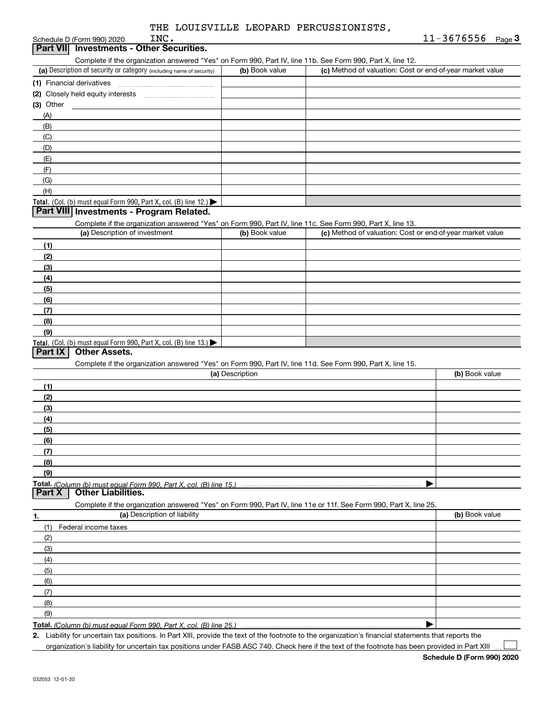| INC.<br>Schedule D (Form 990) 2020                                                                         |                | $11 - 3676556$ Page 3                                     |
|------------------------------------------------------------------------------------------------------------|----------------|-----------------------------------------------------------|
| Part VII Investments - Other Securities.                                                                   |                |                                                           |
| Complete if the organization answered "Yes" on Form 990, Part IV, line 11b. See Form 990, Part X, line 12. |                |                                                           |
| (a) Description of security or category (including name of security)                                       | (b) Book value | (c) Method of valuation: Cost or end-of-year market value |
| (1) Financial derivatives                                                                                  |                |                                                           |
| (2) Closely held equity interests                                                                          |                |                                                           |
| (3) Other                                                                                                  |                |                                                           |
| (A)                                                                                                        |                |                                                           |
| (B)                                                                                                        |                |                                                           |
| (C)                                                                                                        |                |                                                           |
| (D)                                                                                                        |                |                                                           |
| (E)                                                                                                        |                |                                                           |
| (F)                                                                                                        |                |                                                           |
| (G)                                                                                                        |                |                                                           |
| (H)                                                                                                        |                |                                                           |

### Total. (Col. (b) must equal Form 990, Part X, col. (B) line 12.)

### **Part VIII Investments - Program Related.**

Complete if the organization answered "Yes" on Form 990, Part IV, line 11c. See Form 990, Part X, line 13.

| (a) Description of investment                                    | (b) Book value | (c) Method of valuation: Cost or end-of-year market value |
|------------------------------------------------------------------|----------------|-----------------------------------------------------------|
| (1)                                                              |                |                                                           |
| (2)                                                              |                |                                                           |
| $\frac{1}{2}$                                                    |                |                                                           |
| (4)                                                              |                |                                                           |
| $\frac{1}{2}$                                                    |                |                                                           |
| (6)                                                              |                |                                                           |
| (7)                                                              |                |                                                           |
| (8)                                                              |                |                                                           |
| (9)                                                              |                |                                                           |
| Total. (Col. (b) must equal Form 990, Part X, col. (B) line 13.) |                |                                                           |

### **Part IX Other Assets.**

Complete if the organization answered "Yes" on Form 990, Part IV, line 11d. See Form 990, Part X, line 15.

| (a) Description                                                                                                   | (b) Book value |
|-------------------------------------------------------------------------------------------------------------------|----------------|
| (1)                                                                                                               |                |
| (2)                                                                                                               |                |
| (3)                                                                                                               |                |
| (4)                                                                                                               |                |
| (5)                                                                                                               |                |
| (6)                                                                                                               |                |
| (7)                                                                                                               |                |
| (8)                                                                                                               |                |
| (9)                                                                                                               |                |
|                                                                                                                   |                |
| <b>Other Liabilities.</b><br><b>Part X</b>                                                                        |                |
| Complete if the organization answered "Yes" on Form 990, Part IV, line 11e or 11f. See Form 990, Part X, line 25. |                |
| (a) Description of liability<br>1.                                                                                | (b) Book value |
| Federal income taxes<br>(1)                                                                                       |                |
| (2)                                                                                                               |                |
| (3)                                                                                                               |                |
| (4)                                                                                                               |                |

| つに<br>Part<br>aan<br>∶ ⊑orm –<br>$\sim$<br>lın o<br>ا در رہے<br>$m\mu$<br>∩IIImn<br>ر رے |  |
|------------------------------------------------------------------------------------------|--|

**2.**| Liability for uncertain tax positions. In Part XIII, provide the text of the footnote to the organization's financial statements that reports the

organization's liability for uncertain tax positions under FASB ASC 740. Check here if the text of the footnote has been provided in Part XIII

 $\mathcal{L}^{\text{max}}$ 

(5)(6)(7) $(9)$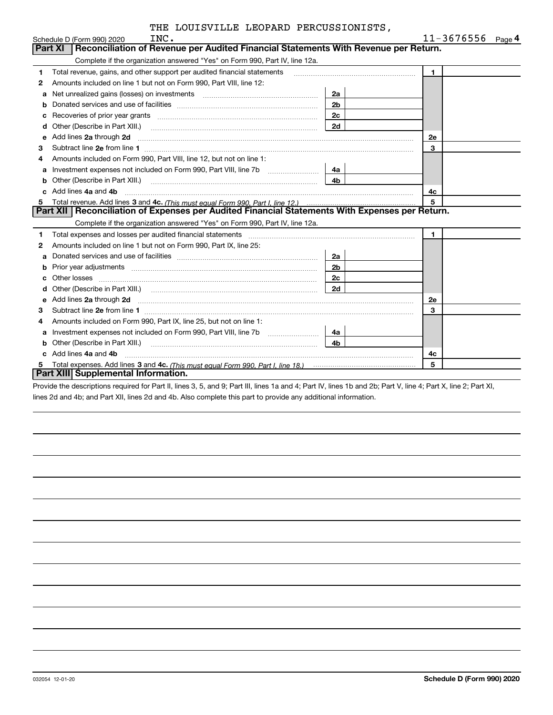|    | INC.<br>Schedule D (Form 990) 2020                                                                                                                                                                                                  |                | 11-3676556<br>$_{\text{Page}}$ 4 |
|----|-------------------------------------------------------------------------------------------------------------------------------------------------------------------------------------------------------------------------------------|----------------|----------------------------------|
|    | Reconciliation of Revenue per Audited Financial Statements With Revenue per Return.<br>Part XI                                                                                                                                      |                |                                  |
|    | Complete if the organization answered "Yes" on Form 990, Part IV, line 12a.                                                                                                                                                         |                |                                  |
| 1  | Total revenue, gains, and other support per audited financial statements                                                                                                                                                            |                | $\mathbf{1}$                     |
| 2  | Amounts included on line 1 but not on Form 990, Part VIII, line 12:                                                                                                                                                                 |                |                                  |
| a  | Net unrealized gains (losses) on investments [11] matter contracts and the unrealized gains (losses) on investments                                                                                                                 | 2a             |                                  |
| b  |                                                                                                                                                                                                                                     | 2 <sub>b</sub> |                                  |
| c  |                                                                                                                                                                                                                                     | 2c             |                                  |
| d  | Other (Describe in Part XIII.) [2001] [2012] [2012] [2012] [2012] [2012] [2012] [2012] [2012] [2012] [2012] [2012] [2012] [2012] [2012] [2012] [2012] [2012] [2012] [2012] [2012] [2012] [2012] [2012] [2012] [2012] [2012] [2      | 2d             |                                  |
| е  | Add lines 2a through 2d                                                                                                                                                                                                             |                | <b>2e</b>                        |
| 3  |                                                                                                                                                                                                                                     |                | 3                                |
| 4  | Amounts included on Form 990, Part VIII, line 12, but not on line 1:                                                                                                                                                                |                |                                  |
| а  |                                                                                                                                                                                                                                     | 4a             |                                  |
| b  |                                                                                                                                                                                                                                     | 4 <sub>b</sub> |                                  |
|    | Add lines 4a and 4b                                                                                                                                                                                                                 |                | 4c                               |
| 5. |                                                                                                                                                                                                                                     |                | 5                                |
|    | Part XII   Reconciliation of Expenses per Audited Financial Statements With Expenses per Return.                                                                                                                                    |                |                                  |
|    | Complete if the organization answered "Yes" on Form 990, Part IV, line 12a.                                                                                                                                                         |                |                                  |
| 1  | Total expenses and losses per audited financial statements                                                                                                                                                                          |                | $\mathbf{1}$                     |
| 2  | Amounts included on line 1 but not on Form 990, Part IX, line 25:                                                                                                                                                                   |                |                                  |
| а  |                                                                                                                                                                                                                                     | 2a             |                                  |
| b  | Prior year adjustments <i>www.www.www.www.www.www.www.www.www.</i> ww.                                                                                                                                                              | 2 <sub>b</sub> |                                  |
|    | Other losses                                                                                                                                                                                                                        | 2c             |                                  |
| d  |                                                                                                                                                                                                                                     |                |                                  |
| e  | Add lines 2a through 2d <b>must be a constructed as the constant of the S2a</b> through 2d must be a constructed as a construction of the set of the set of the set of the set of the set of the set of the set of the set of the s |                | 2e                               |
| 3  |                                                                                                                                                                                                                                     |                | 3                                |
| 4  | Amounts included on Form 990, Part IX, line 25, but not on line 1:                                                                                                                                                                  |                |                                  |
| a  | Investment expenses not included on Form 990, Part VIII, line 7b [1000000000000000000000000000000000                                                                                                                                | 4a             |                                  |
| b  |                                                                                                                                                                                                                                     | 4 <sub>b</sub> |                                  |
|    | c Add lines 4a and 4b                                                                                                                                                                                                               |                | 4c                               |
|    |                                                                                                                                                                                                                                     |                | 5                                |
|    | Part XIII Supplemental Information.                                                                                                                                                                                                 |                |                                  |

**Part XIII| Supplemental Information.**<br>Provide the descriptions required for Part II, lines 3, 5, and 9; Part III, lines 1a and 4; Part IV, lines 1b and 2b; Part V, line 4; Part X, line 2; Part XI, lines 2d and 4b; and Part XII, lines 2d and 4b. Also complete this part to provide any additional information.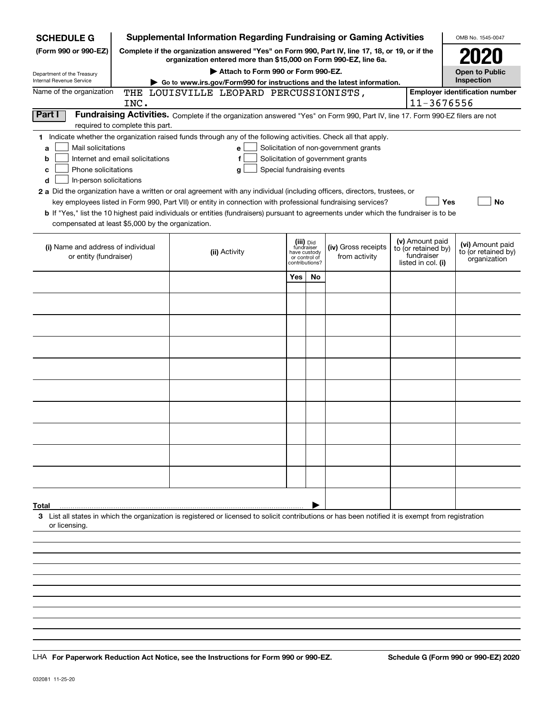| <b>SCHEDULE G</b>                                 |                                                                                                                                                                     | <b>Supplemental Information Regarding Fundraising or Gaming Activities</b>                                                                         |     |                                         |                                       |  |                                  | OMB No. 1545-0047                       |  |
|---------------------------------------------------|---------------------------------------------------------------------------------------------------------------------------------------------------------------------|----------------------------------------------------------------------------------------------------------------------------------------------------|-----|-----------------------------------------|---------------------------------------|--|----------------------------------|-----------------------------------------|--|
| (Form 990 or 990-EZ)                              | Complete if the organization answered "Yes" on Form 990, Part IV, line 17, 18, or 19, or if the<br>organization entered more than \$15,000 on Form 990-EZ, line 6a. |                                                                                                                                                    |     |                                         |                                       |  |                                  |                                         |  |
| Department of the Treasury                        | Attach to Form 990 or Form 990-EZ.                                                                                                                                  |                                                                                                                                                    |     |                                         |                                       |  |                                  |                                         |  |
| Internal Revenue Service                          | Go to www.irs.gov/Form990 for instructions and the latest information.                                                                                              |                                                                                                                                                    |     |                                         |                                       |  |                                  |                                         |  |
| Name of the organization                          |                                                                                                                                                                     | THE LOUISVILLE LEOPARD PERCUSSIONISTS,                                                                                                             |     |                                         |                                       |  |                                  | <b>Employer identification number</b>   |  |
|                                                   | INC.                                                                                                                                                                |                                                                                                                                                    |     |                                         |                                       |  | 11-3676556                       |                                         |  |
| Part I                                            | required to complete this part.                                                                                                                                     | Fundraising Activities. Complete if the organization answered "Yes" on Form 990, Part IV, line 17. Form 990-EZ filers are not                      |     |                                         |                                       |  |                                  |                                         |  |
|                                                   |                                                                                                                                                                     | 1 Indicate whether the organization raised funds through any of the following activities. Check all that apply.                                    |     |                                         |                                       |  |                                  |                                         |  |
| Mail solicitations<br>a                           |                                                                                                                                                                     | е                                                                                                                                                  |     |                                         | Solicitation of non-government grants |  |                                  |                                         |  |
| b                                                 | Internet and email solicitations                                                                                                                                    | f                                                                                                                                                  |     |                                         | Solicitation of government grants     |  |                                  |                                         |  |
| Phone solicitations<br>с                          |                                                                                                                                                                     | Special fundraising events<br>g                                                                                                                    |     |                                         |                                       |  |                                  |                                         |  |
| In-person solicitations<br>d                      |                                                                                                                                                                     |                                                                                                                                                    |     |                                         |                                       |  |                                  |                                         |  |
|                                                   |                                                                                                                                                                     | 2 a Did the organization have a written or oral agreement with any individual (including officers, directors, trustees, or                         |     |                                         |                                       |  |                                  |                                         |  |
|                                                   |                                                                                                                                                                     | key employees listed in Form 990, Part VII) or entity in connection with professional fundraising services?                                        |     |                                         |                                       |  | Yes                              | No                                      |  |
|                                                   |                                                                                                                                                                     | <b>b</b> If "Yes," list the 10 highest paid individuals or entities (fundraisers) pursuant to agreements under which the fundraiser is to be       |     |                                         |                                       |  |                                  |                                         |  |
| compensated at least \$5,000 by the organization. |                                                                                                                                                                     |                                                                                                                                                    |     |                                         |                                       |  |                                  |                                         |  |
|                                                   |                                                                                                                                                                     |                                                                                                                                                    |     |                                         |                                       |  | (v) Amount paid                  |                                         |  |
| (i) Name and address of individual                |                                                                                                                                                                     | (ii) Activity                                                                                                                                      |     | (iii) Did<br>fundraiser<br>have custody | (iv) Gross receipts                   |  | to (or retained by)              | (vi) Amount paid<br>to (or retained by) |  |
| or entity (fundraiser)                            |                                                                                                                                                                     |                                                                                                                                                    |     | or control of<br>contributions?         | from activity                         |  | fundraiser<br>listed in col. (i) | organization                            |  |
|                                                   |                                                                                                                                                                     |                                                                                                                                                    | Yes | No                                      |                                       |  |                                  |                                         |  |
|                                                   |                                                                                                                                                                     |                                                                                                                                                    |     |                                         |                                       |  |                                  |                                         |  |
|                                                   |                                                                                                                                                                     |                                                                                                                                                    |     |                                         |                                       |  |                                  |                                         |  |
|                                                   |                                                                                                                                                                     |                                                                                                                                                    |     |                                         |                                       |  |                                  |                                         |  |
|                                                   |                                                                                                                                                                     |                                                                                                                                                    |     |                                         |                                       |  |                                  |                                         |  |
|                                                   |                                                                                                                                                                     |                                                                                                                                                    |     |                                         |                                       |  |                                  |                                         |  |
|                                                   |                                                                                                                                                                     |                                                                                                                                                    |     |                                         |                                       |  |                                  |                                         |  |
|                                                   |                                                                                                                                                                     |                                                                                                                                                    |     |                                         |                                       |  |                                  |                                         |  |
|                                                   |                                                                                                                                                                     |                                                                                                                                                    |     |                                         |                                       |  |                                  |                                         |  |
|                                                   |                                                                                                                                                                     |                                                                                                                                                    |     |                                         |                                       |  |                                  |                                         |  |
|                                                   |                                                                                                                                                                     |                                                                                                                                                    |     |                                         |                                       |  |                                  |                                         |  |
|                                                   |                                                                                                                                                                     |                                                                                                                                                    |     |                                         |                                       |  |                                  |                                         |  |
|                                                   |                                                                                                                                                                     |                                                                                                                                                    |     |                                         |                                       |  |                                  |                                         |  |
|                                                   |                                                                                                                                                                     |                                                                                                                                                    |     |                                         |                                       |  |                                  |                                         |  |
|                                                   |                                                                                                                                                                     |                                                                                                                                                    |     |                                         |                                       |  |                                  |                                         |  |
|                                                   |                                                                                                                                                                     |                                                                                                                                                    |     |                                         |                                       |  |                                  |                                         |  |
|                                                   |                                                                                                                                                                     |                                                                                                                                                    |     |                                         |                                       |  |                                  |                                         |  |
|                                                   |                                                                                                                                                                     |                                                                                                                                                    |     |                                         |                                       |  |                                  |                                         |  |
|                                                   |                                                                                                                                                                     |                                                                                                                                                    |     |                                         |                                       |  |                                  |                                         |  |
|                                                   |                                                                                                                                                                     |                                                                                                                                                    |     |                                         |                                       |  |                                  |                                         |  |
| Total                                             |                                                                                                                                                                     |                                                                                                                                                    |     |                                         |                                       |  |                                  |                                         |  |
| or licensing.                                     |                                                                                                                                                                     | 3 List all states in which the organization is registered or licensed to solicit contributions or has been notified it is exempt from registration |     |                                         |                                       |  |                                  |                                         |  |
|                                                   |                                                                                                                                                                     |                                                                                                                                                    |     |                                         |                                       |  |                                  |                                         |  |
|                                                   |                                                                                                                                                                     |                                                                                                                                                    |     |                                         |                                       |  |                                  |                                         |  |
|                                                   |                                                                                                                                                                     |                                                                                                                                                    |     |                                         |                                       |  |                                  |                                         |  |
|                                                   |                                                                                                                                                                     |                                                                                                                                                    |     |                                         |                                       |  |                                  |                                         |  |
|                                                   |                                                                                                                                                                     |                                                                                                                                                    |     |                                         |                                       |  |                                  |                                         |  |
|                                                   |                                                                                                                                                                     |                                                                                                                                                    |     |                                         |                                       |  |                                  |                                         |  |

LHA For Paperwork Reduction Act Notice, see the Instructions for Form 990 or 990-EZ. Schedule G (Form 990 or 990-EZ) 2020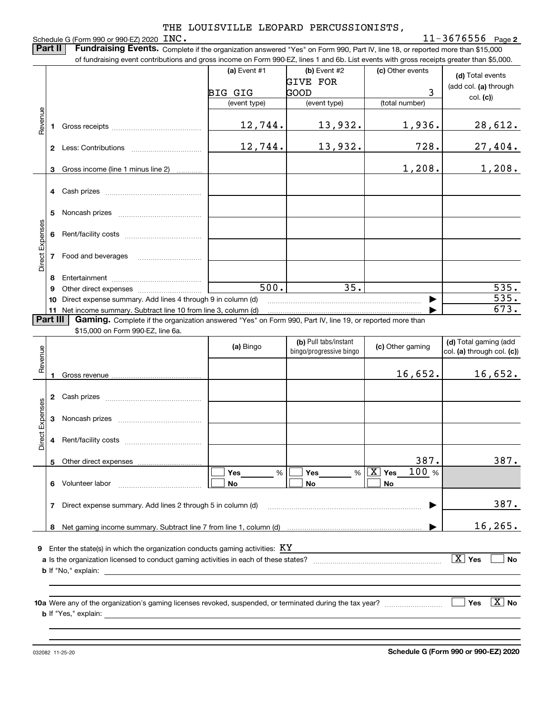### Schedule G (Form 990 or 990-EZ) 2020 INC.

**2** INC. 11-3676556

**Part II Fundraising Events.** Complete if the organization answered "Yes" on Form 990, Part IV, line 18, or reported more than \$15,000<br>15.000 of fundraising event contributions and gross income on Form 990-EZ. lines 1 an of fundraising event contributions and gross income on Form 990-EZ, lines 1 and 6b. List events with gross receipts greater than \$5,000.

|                 |          | OF RIFLOR BOOK IS A BOOK ON THE REPORT OF LIGHT ON THE REPORT OF LIGHT ON THE REPORT OF THE REPORT OF CHILD ON                                |                    |                         |                                 |                                     |
|-----------------|----------|-----------------------------------------------------------------------------------------------------------------------------------------------|--------------------|-------------------------|---------------------------------|-------------------------------------|
|                 |          |                                                                                                                                               | (a) Event $#1$     | $(b)$ Event #2          | (c) Other events                | (d) Total events                    |
|                 |          |                                                                                                                                               |                    | <b>GIVE FOR</b>         |                                 | (add col. (a) through               |
|                 |          |                                                                                                                                               | <b>BIG GIG</b>     | GOOD                    | 3                               | col. (c)                            |
|                 |          |                                                                                                                                               | (event type)       | (event type)            | (total number)                  |                                     |
| Revenue         |          |                                                                                                                                               |                    |                         |                                 |                                     |
|                 |          |                                                                                                                                               | 12,744.            | 13,932.                 | 1,936.                          | <u>28,612.</u>                      |
|                 |          |                                                                                                                                               | 12,744.            | 13,932.                 | 728.                            | 27,404.                             |
|                 |          |                                                                                                                                               |                    |                         |                                 |                                     |
|                 | 3        | Gross income (line 1 minus line 2)                                                                                                            |                    |                         | 1,208.                          | 1,208.                              |
|                 |          |                                                                                                                                               |                    |                         |                                 |                                     |
|                 |          | 4 Cash prizes                                                                                                                                 |                    |                         |                                 |                                     |
|                 |          |                                                                                                                                               |                    |                         |                                 |                                     |
|                 | 5        |                                                                                                                                               |                    |                         |                                 |                                     |
| Direct Expenses |          |                                                                                                                                               |                    |                         |                                 |                                     |
|                 |          |                                                                                                                                               |                    |                         |                                 |                                     |
|                 |          | 7 Food and beverages                                                                                                                          |                    |                         |                                 |                                     |
|                 |          |                                                                                                                                               |                    |                         |                                 |                                     |
|                 | 8        |                                                                                                                                               |                    |                         |                                 |                                     |
|                 | 9        |                                                                                                                                               | $\overline{500}$ . | $\overline{35}$ .       |                                 | $\overline{535}$ .                  |
|                 |          | 10 Direct expense summary. Add lines 4 through 9 in column (d)                                                                                |                    |                         |                                 | 535.                                |
|                 |          | 11 Net income summary. Subtract line 10 from line 3, column (d)                                                                               |                    |                         |                                 | 673.                                |
|                 | Part III | Gaming. Complete if the organization answered "Yes" on Form 990, Part IV, line 19, or reported more than<br>\$15,000 on Form 990-EZ, line 6a. |                    |                         |                                 |                                     |
|                 |          |                                                                                                                                               |                    | (b) Pull tabs/instant   |                                 | (d) Total gaming (add               |
|                 |          |                                                                                                                                               | (a) Bingo          | bingo/progressive bingo | (c) Other gaming                | col. (a) through col. (c))          |
| Revenue         |          |                                                                                                                                               |                    |                         |                                 |                                     |
|                 |          |                                                                                                                                               |                    |                         | 16,652.                         | 16,652.                             |
|                 |          |                                                                                                                                               |                    |                         |                                 |                                     |
|                 |          |                                                                                                                                               |                    |                         |                                 |                                     |
|                 |          |                                                                                                                                               |                    |                         |                                 |                                     |
| Direct Expenses |          |                                                                                                                                               |                    |                         |                                 |                                     |
|                 |          |                                                                                                                                               |                    |                         |                                 |                                     |
|                 | 4        |                                                                                                                                               |                    |                         |                                 |                                     |
|                 |          | 5 Other direct expenses                                                                                                                       |                    |                         | 387.                            | 387.                                |
|                 |          |                                                                                                                                               | Yes<br>%           | Yes<br>%                | 100 %<br>$\boxed{\text{X}}$ Yes |                                     |
|                 | 6        | Volunteer labor                                                                                                                               | No                 | No                      | <b>No</b>                       |                                     |
|                 |          |                                                                                                                                               |                    |                         |                                 |                                     |
|                 | 7        | Direct expense summary. Add lines 2 through 5 in column (d)                                                                                   |                    |                         |                                 | 387.                                |
|                 |          |                                                                                                                                               |                    |                         |                                 |                                     |
|                 | 8        |                                                                                                                                               |                    |                         |                                 | 16, 265.                            |
| 9               |          | Enter the state(s) in which the organization conducts gaming activities: $KY$                                                                 |                    |                         |                                 |                                     |
|                 |          |                                                                                                                                               |                    |                         |                                 | $\boxed{\text{X}}$ Yes<br><b>No</b> |
|                 |          | <b>b</b> If "No," explain:                                                                                                                    |                    |                         |                                 |                                     |
|                 |          |                                                                                                                                               |                    |                         |                                 |                                     |
|                 |          |                                                                                                                                               |                    |                         |                                 |                                     |
|                 |          |                                                                                                                                               |                    |                         |                                 | $\boxed{\text{X}}$ No<br>Yes        |
|                 |          | <b>b</b> If "Yes," explain:                                                                                                                   |                    |                         |                                 |                                     |
|                 |          |                                                                                                                                               |                    |                         |                                 |                                     |
|                 |          |                                                                                                                                               |                    |                         |                                 |                                     |

**Schedule G (Form 990 or 990-EZ) 2020**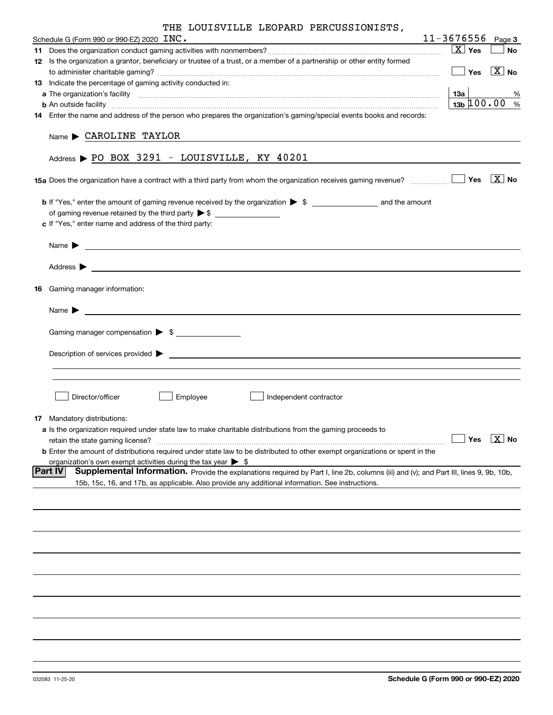| Schedule G (Form 990 or 990-EZ) 2020 $\overline{INC}$ .                                                                                                                                                                                    | 11-3676556             | Page 3                                             |  |  |  |  |  |  |  |  |
|--------------------------------------------------------------------------------------------------------------------------------------------------------------------------------------------------------------------------------------------|------------------------|----------------------------------------------------|--|--|--|--|--|--|--|--|
|                                                                                                                                                                                                                                            | $\boxed{\text{X}}$ Yes | <b>No</b>                                          |  |  |  |  |  |  |  |  |
| 12 Is the organization a grantor, beneficiary or trustee of a trust, or a member of a partnership or other entity formed                                                                                                                   |                        |                                                    |  |  |  |  |  |  |  |  |
|                                                                                                                                                                                                                                            |                        | $\boxed{\phantom{1}}$ Yes $\boxed{\phantom{1}}$ No |  |  |  |  |  |  |  |  |
| 13 Indicate the percentage of gaming activity conducted in:                                                                                                                                                                                |                        |                                                    |  |  |  |  |  |  |  |  |
|                                                                                                                                                                                                                                            |                        | %                                                  |  |  |  |  |  |  |  |  |
| <b>b</b> An outside facility <i>www.communicality www.communicality.communicality www.communicality www.communicality.communicality www.communicality.com</i>                                                                              | $13b$ $100.00$         | %                                                  |  |  |  |  |  |  |  |  |
| 14 Enter the name and address of the person who prepares the organization's gaming/special events books and records:                                                                                                                       |                        |                                                    |  |  |  |  |  |  |  |  |
| Name CAROLINE TAYLOR                                                                                                                                                                                                                       |                        |                                                    |  |  |  |  |  |  |  |  |
| Address > PO BOX 3291 - LOUISVILLE, KY 40201                                                                                                                                                                                               |                        |                                                    |  |  |  |  |  |  |  |  |
|                                                                                                                                                                                                                                            |                        |                                                    |  |  |  |  |  |  |  |  |
|                                                                                                                                                                                                                                            |                        |                                                    |  |  |  |  |  |  |  |  |
|                                                                                                                                                                                                                                            |                        |                                                    |  |  |  |  |  |  |  |  |
| c If "Yes," enter name and address of the third party:                                                                                                                                                                                     |                        |                                                    |  |  |  |  |  |  |  |  |
| <u> Alexandria (h. 1888).</u><br>Alexandria (h. 1888).<br>Name $\blacktriangleright$                                                                                                                                                       |                        |                                                    |  |  |  |  |  |  |  |  |
| Address $\blacktriangleright$                                                                                                                                                                                                              |                        |                                                    |  |  |  |  |  |  |  |  |
| <b>16</b> Gaming manager information:                                                                                                                                                                                                      |                        |                                                    |  |  |  |  |  |  |  |  |
| <u> 1980 - Jan Stein Stein, fransk politik (f. 1980)</u><br>Name $\blacktriangleright$                                                                                                                                                     |                        |                                                    |  |  |  |  |  |  |  |  |
|                                                                                                                                                                                                                                            |                        |                                                    |  |  |  |  |  |  |  |  |
| Gaming manager compensation > \$                                                                                                                                                                                                           |                        |                                                    |  |  |  |  |  |  |  |  |
| $Description of services provided$ $\triangleright$                                                                                                                                                                                        |                        |                                                    |  |  |  |  |  |  |  |  |
|                                                                                                                                                                                                                                            |                        |                                                    |  |  |  |  |  |  |  |  |
| Director/officer<br>Employee<br>Independent contractor                                                                                                                                                                                     |                        |                                                    |  |  |  |  |  |  |  |  |
| <b>17</b> Mandatory distributions:                                                                                                                                                                                                         |                        |                                                    |  |  |  |  |  |  |  |  |
| a Is the organization required under state law to make charitable distributions from the gaming proceeds to                                                                                                                                |                        |                                                    |  |  |  |  |  |  |  |  |
| retain the state gaming license?                                                                                                                                                                                                           |                        | $\boxed{\phantom{1}}$ Yes $\boxed{\phantom{1}}$ No |  |  |  |  |  |  |  |  |
| <b>b</b> Enter the amount of distributions required under state law to be distributed to other exempt organizations or spent in the                                                                                                        |                        |                                                    |  |  |  |  |  |  |  |  |
| organization's own exempt activities during the tax year $\triangleright$ \$<br><b>Part IV</b>                                                                                                                                             |                        |                                                    |  |  |  |  |  |  |  |  |
| Supplemental Information. Provide the explanations required by Part I, line 2b, columns (iii) and (v); and Part III, lines 9, 9b, 10b,<br>15b, 15c, 16, and 17b, as applicable. Also provide any additional information. See instructions. |                        |                                                    |  |  |  |  |  |  |  |  |
|                                                                                                                                                                                                                                            |                        |                                                    |  |  |  |  |  |  |  |  |
|                                                                                                                                                                                                                                            |                        |                                                    |  |  |  |  |  |  |  |  |
|                                                                                                                                                                                                                                            |                        |                                                    |  |  |  |  |  |  |  |  |
|                                                                                                                                                                                                                                            |                        |                                                    |  |  |  |  |  |  |  |  |
|                                                                                                                                                                                                                                            |                        |                                                    |  |  |  |  |  |  |  |  |
|                                                                                                                                                                                                                                            |                        |                                                    |  |  |  |  |  |  |  |  |
|                                                                                                                                                                                                                                            |                        |                                                    |  |  |  |  |  |  |  |  |
|                                                                                                                                                                                                                                            |                        |                                                    |  |  |  |  |  |  |  |  |
|                                                                                                                                                                                                                                            |                        |                                                    |  |  |  |  |  |  |  |  |
|                                                                                                                                                                                                                                            |                        |                                                    |  |  |  |  |  |  |  |  |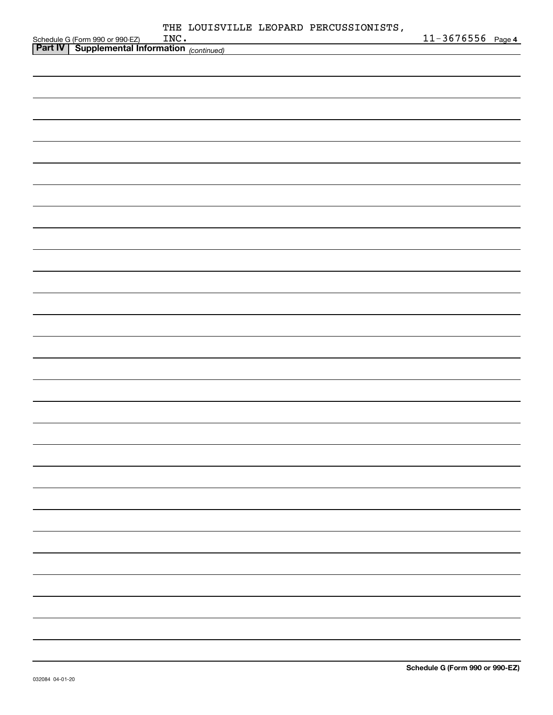|                                                                                                              |  |  | 11-3676556 Page 4 |  |
|--------------------------------------------------------------------------------------------------------------|--|--|-------------------|--|
| Schedule G (Form 990 or 990-EZ)    INC •<br><b>Part IV</b>   Supplemental Information <sub>(continued)</sub> |  |  |                   |  |
|                                                                                                              |  |  |                   |  |
|                                                                                                              |  |  |                   |  |
|                                                                                                              |  |  |                   |  |
|                                                                                                              |  |  |                   |  |
|                                                                                                              |  |  |                   |  |
|                                                                                                              |  |  |                   |  |
|                                                                                                              |  |  |                   |  |
|                                                                                                              |  |  |                   |  |
|                                                                                                              |  |  |                   |  |
|                                                                                                              |  |  |                   |  |
|                                                                                                              |  |  |                   |  |
|                                                                                                              |  |  |                   |  |
|                                                                                                              |  |  |                   |  |
|                                                                                                              |  |  |                   |  |
|                                                                                                              |  |  |                   |  |
|                                                                                                              |  |  |                   |  |
|                                                                                                              |  |  |                   |  |
|                                                                                                              |  |  |                   |  |
|                                                                                                              |  |  |                   |  |
|                                                                                                              |  |  |                   |  |
|                                                                                                              |  |  |                   |  |
|                                                                                                              |  |  |                   |  |
|                                                                                                              |  |  |                   |  |
|                                                                                                              |  |  |                   |  |
|                                                                                                              |  |  |                   |  |
|                                                                                                              |  |  |                   |  |
|                                                                                                              |  |  |                   |  |
|                                                                                                              |  |  |                   |  |
|                                                                                                              |  |  |                   |  |
|                                                                                                              |  |  |                   |  |
|                                                                                                              |  |  |                   |  |
|                                                                                                              |  |  |                   |  |
|                                                                                                              |  |  |                   |  |
|                                                                                                              |  |  |                   |  |
|                                                                                                              |  |  |                   |  |
|                                                                                                              |  |  |                   |  |
|                                                                                                              |  |  |                   |  |
|                                                                                                              |  |  |                   |  |
|                                                                                                              |  |  |                   |  |
|                                                                                                              |  |  |                   |  |
|                                                                                                              |  |  |                   |  |
|                                                                                                              |  |  |                   |  |
|                                                                                                              |  |  |                   |  |
|                                                                                                              |  |  |                   |  |
|                                                                                                              |  |  |                   |  |
|                                                                                                              |  |  |                   |  |
|                                                                                                              |  |  |                   |  |
|                                                                                                              |  |  |                   |  |
|                                                                                                              |  |  |                   |  |